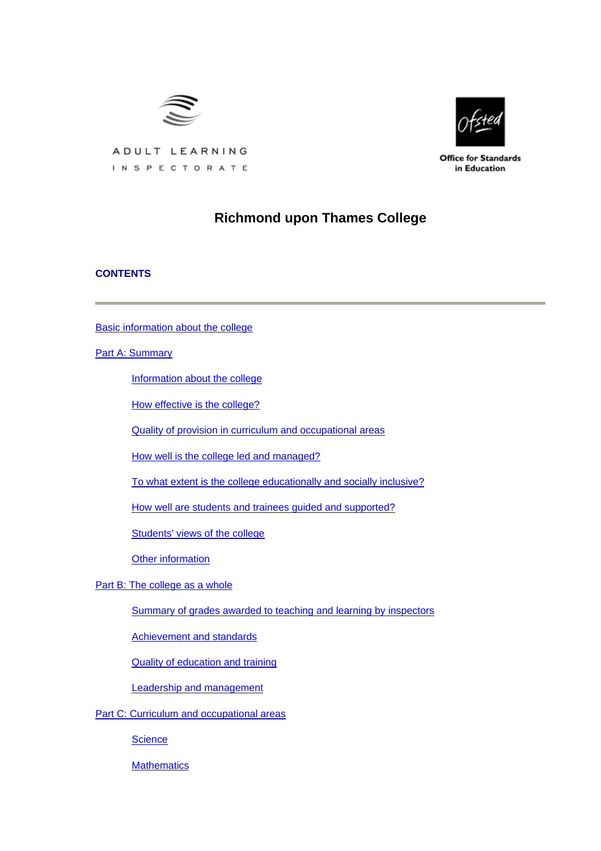



**Office for Standards** in Education

ADULT LEARNING INSPECTORATE

# **Richmond upon Thames College**

## **CONTENTS**

[Basic information about the college](#page-1-0)

[Part A: Summary](#page-2-0)

[Information about the college](#page-2-0)

[How effective is the college?](#page-2-0)

[Quality of provision in curriculum and occupational areas](#page-3-0)

[How well is the college led and managed?](#page-5-0)

[To what extent is the college educationally and socially inclusive?](#page-5-0)

[How well are students and trainees guided and supported?](#page-6-0)

[Students' views of the college](#page-6-0)

[Other information](#page-7-0)

[Part B: The college as a whole](#page-7-0)

[Summary of grades awarded to teaching and learning by inspectors](#page-7-0)

[Achievement and standards](#page-8-0)

[Quality of education and training](#page-10-0)

[Leadership and management](#page-15-0)

[Part C: Curriculum and occupational areas](#page-17-0)

**[Science](#page-17-0)** 

**[Mathematics](#page-21-0)**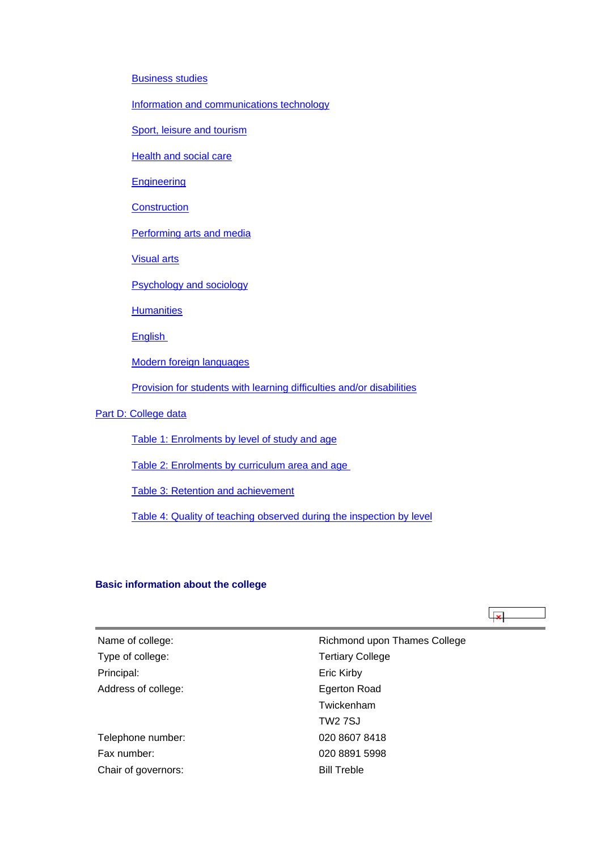<span id="page-1-0"></span>[Business studies](#page-24-0)

[Information and communications technology](#page-27-0)

[Sport, leisure and tourism](#page-31-0)

[Health and social care](#page-35-0)

**[Engineering](#page-38-0)** 

**[Construction](#page-41-0)** 

[Performing arts and media](#page-44-0)

[Visual arts](#page-48-0)

[Psychology and sociology](#page-51-0)

**[Humanities](#page-54-0)** 

**English** 

[Modern foreign languages](#page-61-0)

[Provision for students with learning difficulties and/or disabilities](#page-64-0)

[Part D: College data](#page-66-0)

[Table 1: Enrolments by level of study and age](#page-67-0)

[Table 2: Enrolments by curriculum area and age](#page-67-0) 

[Table 3: Retention and achievement](#page-68-0)

[Table 4: Quality of teaching observed during the inspection by level](#page-69-0)

## **Basic information about the college**

 $\overline{4}$ 

| Name of college:    | Richmond upon Thames College |  |  |
|---------------------|------------------------------|--|--|
| Type of college:    | <b>Tertiary College</b>      |  |  |
| Principal:          | Eric Kirby                   |  |  |
| Address of college: | Egerton Road                 |  |  |
|                     | Twickenham                   |  |  |
|                     | <b>TW2 7SJ</b>               |  |  |
| Telephone number:   | 020 8607 8418                |  |  |
| Fax number:         | 020 8891 5998                |  |  |
| Chair of governors: | <b>Bill Treble</b>           |  |  |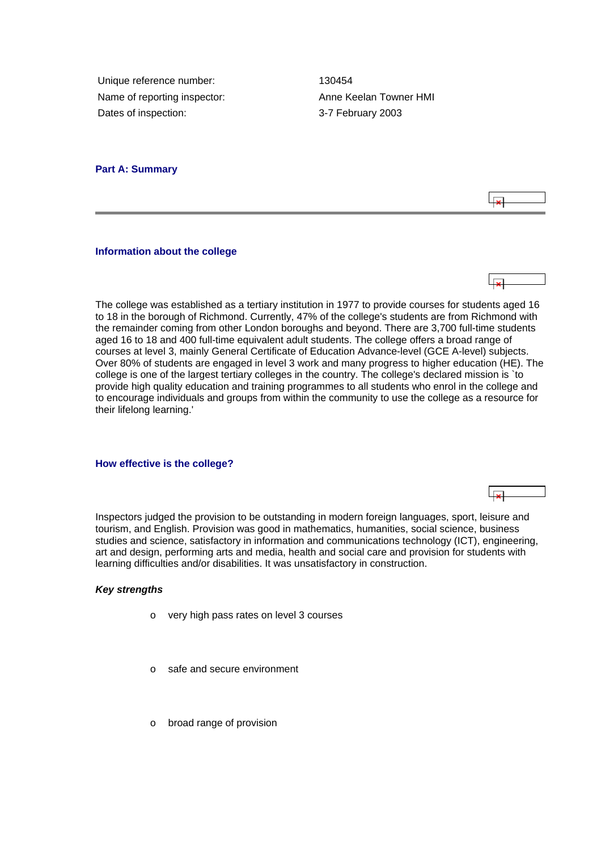<span id="page-2-0"></span>Unique reference number: 130454 Name of reporting inspector: Anne Keelan Towner HMI Dates of inspection: 3-7 February 2003

## **Part A: Summary**

#### **Information about the college**



The college was established as a tertiary institution in 1977 to provide courses for students aged 16 to 18 in the borough of Richmond. Currently, 47% of the college's students are from Richmond with the remainder coming from other London boroughs and beyond. There are 3,700 full-time students aged 16 to 18 and 400 full-time equivalent adult students. The college offers a broad range of courses at level 3, mainly General Certificate of Education Advance-level (GCE A-level) subjects. Over 80% of students are engaged in level 3 work and many progress to higher education (HE). The college is one of the largest tertiary colleges in the country. The college's declared mission is `to provide high quality education and training programmes to all students who enrol in the college and to encourage individuals and groups from within the community to use the college as a resource for their lifelong learning.'

**How effective is the college?**

Inspectors judged the provision to be outstanding in modern foreign languages, sport, leisure and tourism, and English. Provision was good in mathematics, humanities, social science, business studies and science, satisfactory in information and communications technology (ICT), engineering, art and design, performing arts and media, health and social care and provision for students with learning difficulties and/or disabilities. It was unsatisfactory in construction.

#### *Key strengths*

- o very high pass rates on level 3 courses
- o safe and secure environment
- o broad range of provision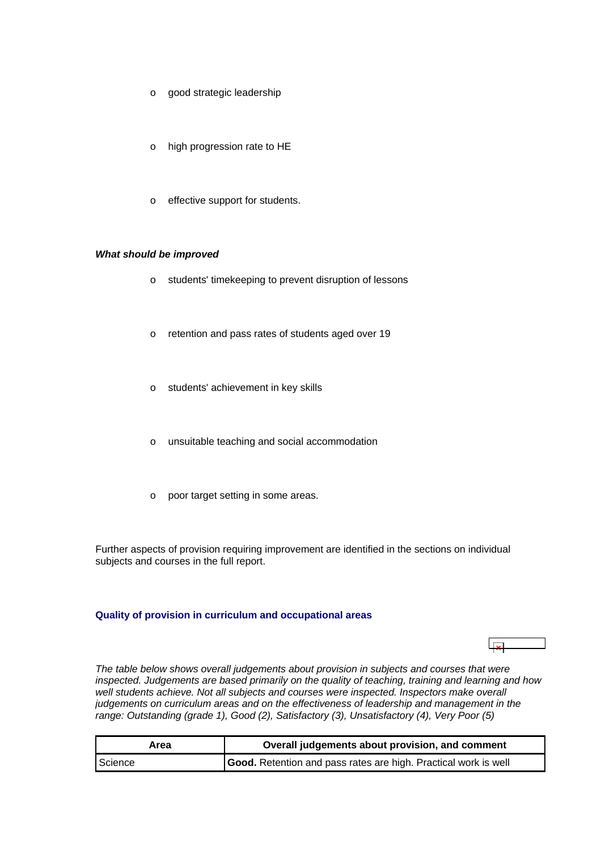- <span id="page-3-0"></span>o good strategic leadership
- o high progression rate to HE
- o effective support for students.

## *What should be improved*

- o students' timekeeping to prevent disruption of lessons
- o retention and pass rates of students aged over 19
- o students' achievement in key skills
- o unsuitable teaching and social accommodation
- o poor target setting in some areas.

Further aspects of provision requiring improvement are identified in the sections on individual subjects and courses in the full report.

#### **Quality of provision in curriculum and occupational areas**

ابجا

*The table below shows overall judgements about provision in subjects and courses that were inspected. Judgements are based primarily on the quality of teaching, training and learning and how*  well students achieve. Not all subjects and courses were inspected. Inspectors make overall *judgements on curriculum areas and on the effectiveness of leadership and management in the range: Outstanding (grade 1), Good (2), Satisfactory (3), Unsatisfactory (4), Very Poor (5)*

| Area    | Overall judgements about provision, and comment                 |  |  |  |
|---------|-----------------------------------------------------------------|--|--|--|
| Science | Good. Retention and pass rates are high. Practical work is well |  |  |  |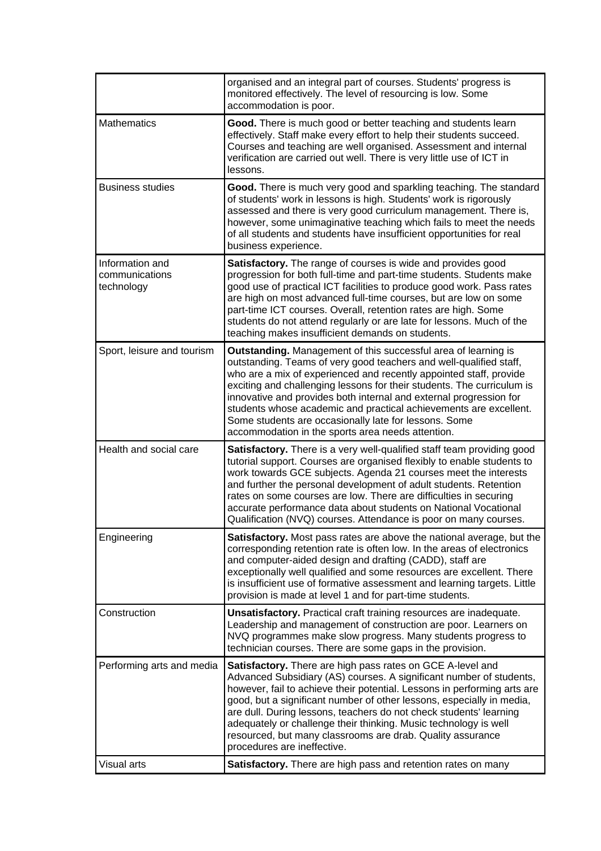|                                                 | organised and an integral part of courses. Students' progress is<br>monitored effectively. The level of resourcing is low. Some<br>accommodation is poor.                                                                                                                                                                                                                                                                                                                                                                                            |  |  |  |
|-------------------------------------------------|------------------------------------------------------------------------------------------------------------------------------------------------------------------------------------------------------------------------------------------------------------------------------------------------------------------------------------------------------------------------------------------------------------------------------------------------------------------------------------------------------------------------------------------------------|--|--|--|
| <b>Mathematics</b>                              | Good. There is much good or better teaching and students learn<br>effectively. Staff make every effort to help their students succeed.<br>Courses and teaching are well organised. Assessment and internal<br>verification are carried out well. There is very little use of ICT in<br>lessons.                                                                                                                                                                                                                                                      |  |  |  |
| <b>Business studies</b>                         | Good. There is much very good and sparkling teaching. The standard<br>of students' work in lessons is high. Students' work is rigorously<br>assessed and there is very good curriculum management. There is,<br>however, some unimaginative teaching which fails to meet the needs<br>of all students and students have insufficient opportunities for real<br>business experience.                                                                                                                                                                  |  |  |  |
| Information and<br>communications<br>technology | <b>Satisfactory.</b> The range of courses is wide and provides good<br>progression for both full-time and part-time students. Students make<br>good use of practical ICT facilities to produce good work. Pass rates<br>are high on most advanced full-time courses, but are low on some<br>part-time ICT courses. Overall, retention rates are high. Some<br>students do not attend regularly or are late for lessons. Much of the<br>teaching makes insufficient demands on students.                                                              |  |  |  |
| Sport, leisure and tourism                      | <b>Outstanding.</b> Management of this successful area of learning is<br>outstanding. Teams of very good teachers and well-qualified staff,<br>who are a mix of experienced and recently appointed staff, provide<br>exciting and challenging lessons for their students. The curriculum is<br>innovative and provides both internal and external progression for<br>students whose academic and practical achievements are excellent.<br>Some students are occasionally late for lessons. Some<br>accommodation in the sports area needs attention. |  |  |  |
| Health and social care                          | Satisfactory. There is a very well-qualified staff team providing good<br>tutorial support. Courses are organised flexibly to enable students to<br>work towards GCE subjects. Agenda 21 courses meet the interests<br>and further the personal development of adult students. Retention<br>rates on some courses are low. There are difficulties in securing<br>accurate performance data about students on National Vocational<br>Qualification (NVQ) courses. Attendance is poor on many courses.                                                 |  |  |  |
| Engineering                                     | <b>Satisfactory.</b> Most pass rates are above the national average, but the<br>corresponding retention rate is often low. In the areas of electronics<br>and computer-aided design and drafting (CADD), staff are<br>exceptionally well qualified and some resources are excellent. There<br>is insufficient use of formative assessment and learning targets. Little<br>provision is made at level 1 and for part-time students.                                                                                                                   |  |  |  |
| Construction                                    | <b>Unsatisfactory.</b> Practical craft training resources are inadequate.<br>Leadership and management of construction are poor. Learners on<br>NVQ programmes make slow progress. Many students progress to<br>technician courses. There are some gaps in the provision.                                                                                                                                                                                                                                                                            |  |  |  |
| Performing arts and media                       | Satisfactory. There are high pass rates on GCE A-level and<br>Advanced Subsidiary (AS) courses. A significant number of students,<br>however, fail to achieve their potential. Lessons in performing arts are<br>good, but a significant number of other lessons, especially in media,<br>are dull. During lessons, teachers do not check students' learning<br>adequately or challenge their thinking. Music technology is well<br>resourced, but many classrooms are drab. Quality assurance<br>procedures are ineffective.                        |  |  |  |
| Visual arts                                     | Satisfactory. There are high pass and retention rates on many                                                                                                                                                                                                                                                                                                                                                                                                                                                                                        |  |  |  |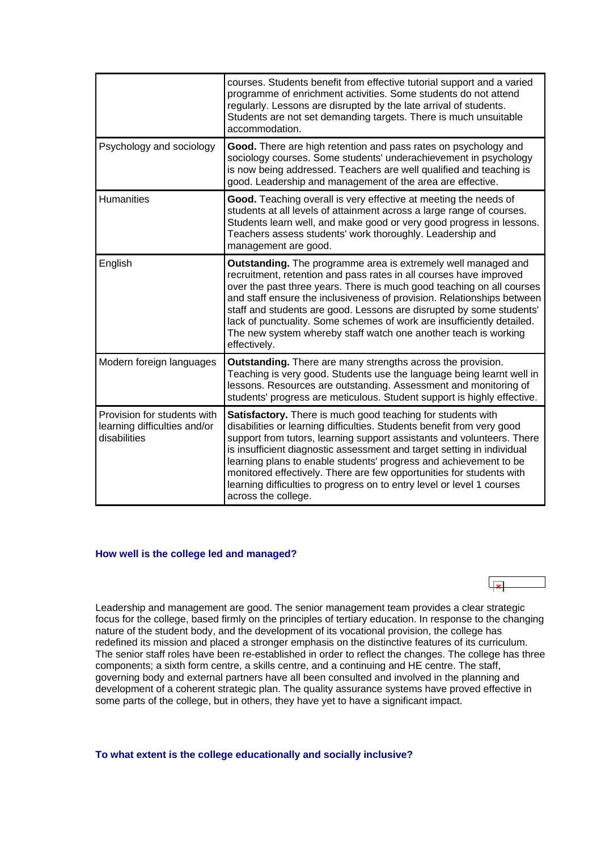<span id="page-5-0"></span>

|                                                                             | courses. Students benefit from effective tutorial support and a varied<br>programme of enrichment activities. Some students do not attend<br>regularly. Lessons are disrupted by the late arrival of students.<br>Students are not set demanding targets. There is much unsuitable<br>accommodation.                                                                                                                                                                                                                                           |
|-----------------------------------------------------------------------------|------------------------------------------------------------------------------------------------------------------------------------------------------------------------------------------------------------------------------------------------------------------------------------------------------------------------------------------------------------------------------------------------------------------------------------------------------------------------------------------------------------------------------------------------|
| Psychology and sociology                                                    | Good. There are high retention and pass rates on psychology and<br>sociology courses. Some students' underachievement in psychology<br>is now being addressed. Teachers are well qualified and teaching is<br>good. Leadership and management of the area are effective.                                                                                                                                                                                                                                                                       |
| <b>Humanities</b>                                                           | Good. Teaching overall is very effective at meeting the needs of<br>students at all levels of attainment across a large range of courses.<br>Students learn well, and make good or very good progress in lessons.<br>Teachers assess students' work thoroughly. Leadership and<br>management are good.                                                                                                                                                                                                                                         |
| English                                                                     | Outstanding. The programme area is extremely well managed and<br>recruitment, retention and pass rates in all courses have improved<br>over the past three years. There is much good teaching on all courses<br>and staff ensure the inclusiveness of provision. Relationships between<br>staff and students are good. Lessons are disrupted by some students'<br>lack of punctuality. Some schemes of work are insufficiently detailed.<br>The new system whereby staff watch one another teach is working<br>effectively.                    |
| Modern foreign languages                                                    | <b>Outstanding.</b> There are many strengths across the provision.<br>Teaching is very good. Students use the language being learnt well in<br>lessons. Resources are outstanding. Assessment and monitoring of<br>students' progress are meticulous. Student support is highly effective.                                                                                                                                                                                                                                                     |
| Provision for students with<br>learning difficulties and/or<br>disabilities | <b>Satisfactory.</b> There is much good teaching for students with<br>disabilities or learning difficulties. Students benefit from very good<br>support from tutors, learning support assistants and volunteers. There<br>is insufficient diagnostic assessment and target setting in individual<br>learning plans to enable students' progress and achievement to be<br>monitored effectively. There are few opportunities for students with<br>learning difficulties to progress on to entry level or level 1 courses<br>across the college. |

#### **How well is the college led and managed?**

Leadership and management are good. The senior management team provides a clear strategic focus for the college, based firmly on the principles of tertiary education. In response to the changing nature of the student body, and the development of its vocational provision, the college has redefined its mission and placed a stronger emphasis on the distinctive features of its curriculum. The senior staff roles have been re-established in order to reflect the changes. The college has three components; a sixth form centre, a skills centre, and a continuing and HE centre. The staff, governing body and external partners have all been consulted and involved in the planning and development of a coherent strategic plan. The quality assurance systems have proved effective in some parts of the college, but in others, they have yet to have a significant impact.

العطا

**To what extent is the college educationally and socially inclusive?**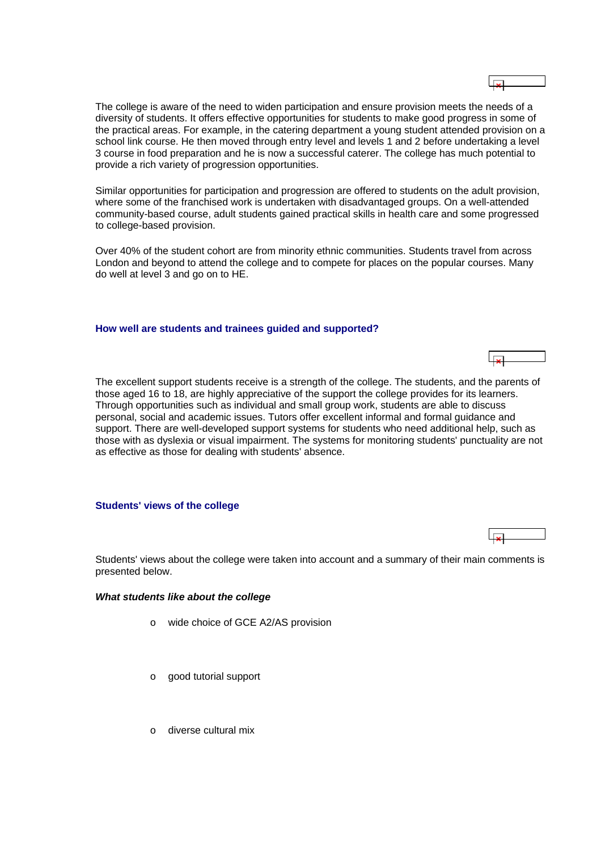<span id="page-6-0"></span>

| The college is aware of the need to widen participation and ensure provision meets the needs of a      |
|--------------------------------------------------------------------------------------------------------|
| diversity of students. It offers effective opportunities for students to make good progress in some of |
| the practical areas. For example, in the catering department a young student attended provision on a   |
| school link course. He then moved through entry level and levels 1 and 2 before undertaking a level    |
| 3 course in food preparation and he is now a successful caterer. The college has much potential to     |
| provide a rich variety of progression opportunities.                                                   |
|                                                                                                        |

 $\overline{1}$ 

Similar opportunities for participation and progression are offered to students on the adult provision, where some of the franchised work is undertaken with disadvantaged groups. On a well-attended community-based course, adult students gained practical skills in health care and some progressed to college-based provision.

Over 40% of the student cohort are from minority ethnic communities. Students travel from across London and beyond to attend the college and to compete for places on the popular courses. Many do well at level 3 and go on to HE.

## **How well are students and trainees guided and supported?**



#### **Students' views of the college**

Students' views about the college were taken into account and a summary of their main comments is presented below.

#### *What students like about the college*

- o wide choice of GCE A2/AS provision
- o good tutorial support
- o diverse cultural mix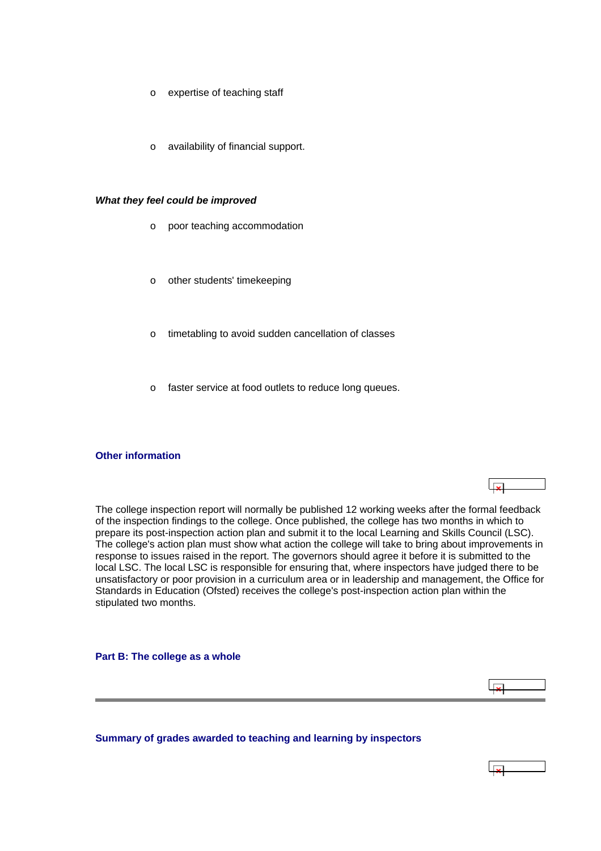- <span id="page-7-0"></span>o expertise of teaching staff
- o availability of financial support.

#### *What they feel could be improved*

- o poor teaching accommodation
- o other students' timekeeping
- o timetabling to avoid sudden cancellation of classes
- o faster service at food outlets to reduce long queues.

#### **Other information**

The college inspection report will normally be published 12 working weeks after the formal feedback of the inspection findings to the college. Once published, the college has two months in which to prepare its post-inspection action plan and submit it to the local Learning and Skills Council (LSC). The college's action plan must show what action the college will take to bring about improvements in response to issues raised in the report. The governors should agree it before it is submitted to the local LSC. The local LSC is responsible for ensuring that, where inspectors have judged there to be unsatisfactory or poor provision in a curriculum area or in leadership and management, the Office for Standards in Education (Ofsted) receives the college's post-inspection action plan within the stipulated two months.

**Part B: The college as a whole**

**Summary of grades awarded to teaching and learning by inspectors**

⊩یجا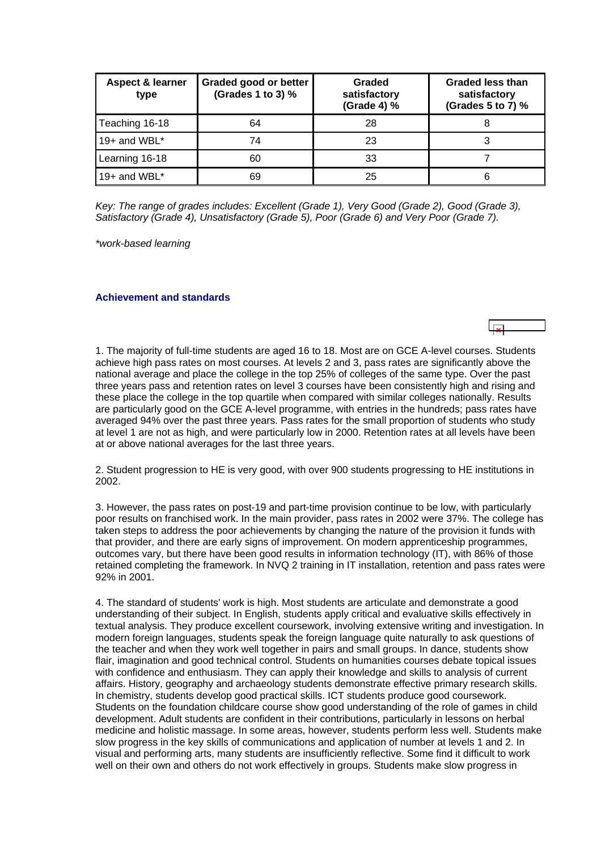<span id="page-8-0"></span>

| Aspect & learner<br>type | Graded good or better<br>(Grades 1 to 3) % | Graded<br>satisfactory<br>(Grade 4) % | <b>Graded less than</b><br>satisfactory<br>(Grades 5 to 7) % |
|--------------------------|--------------------------------------------|---------------------------------------|--------------------------------------------------------------|
| Teaching 16-18           | 64                                         | 28                                    |                                                              |
| 19+ and WBL*             | 74                                         | 23                                    |                                                              |
| Learning 16-18           | 60                                         | 33                                    |                                                              |
| 19+ and WBL $*$          | 69                                         | 25                                    |                                                              |

*Key: The range of grades includes: Excellent (Grade 1), Very Good (Grade 2), Good (Grade 3), Satisfactory (Grade 4), Unsatisfactory (Grade 5), Poor (Grade 6) and Very Poor (Grade 7).*

*\*work-based learning*

#### **Achievement and standards**

1. The majority of full-time students are aged 16 to 18. Most are on GCE A-level courses. Students achieve high pass rates on most courses. At levels 2 and 3, pass rates are significantly above the national average and place the college in the top 25% of colleges of the same type. Over the past three years pass and retention rates on level 3 courses have been consistently high and rising and these place the college in the top quartile when compared with similar colleges nationally. Results are particularly good on the GCE A-level programme, with entries in the hundreds; pass rates have averaged 94% over the past three years. Pass rates for the small proportion of students who study at level 1 are not as high, and were particularly low in 2000. Retention rates at all levels have been at or above national averages for the last three years.

2. Student progression to HE is very good, with over 900 students progressing to HE institutions in 2002.

3. However, the pass rates on post-19 and part-time provision continue to be low, with particularly poor results on franchised work. In the main provider, pass rates in 2002 were 37%. The college has taken steps to address the poor achievements by changing the nature of the provision it funds with that provider, and there are early signs of improvement. On modern apprenticeship programmes, outcomes vary, but there have been good results in information technology (IT), with 86% of those retained completing the framework. In NVQ 2 training in IT installation, retention and pass rates were 92% in 2001.

4. The standard of students' work is high. Most students are articulate and demonstrate a good understanding of their subject. In English, students apply critical and evaluative skills effectively in textual analysis. They produce excellent coursework, involving extensive writing and investigation. In modern foreign languages, students speak the foreign language quite naturally to ask questions of the teacher and when they work well together in pairs and small groups. In dance, students show flair, imagination and good technical control. Students on humanities courses debate topical issues with confidence and enthusiasm. They can apply their knowledge and skills to analysis of current affairs. History, geography and archaeology students demonstrate effective primary research skills. In chemistry, students develop good practical skills. ICT students produce good coursework. Students on the foundation childcare course show good understanding of the role of games in child development. Adult students are confident in their contributions, particularly in lessons on herbal medicine and holistic massage. In some areas, however, students perform less well. Students make slow progress in the key skills of communications and application of number at levels 1 and 2. In visual and performing arts, many students are insufficiently reflective. Some find it difficult to work well on their own and others do not work effectively in groups. Students make slow progress in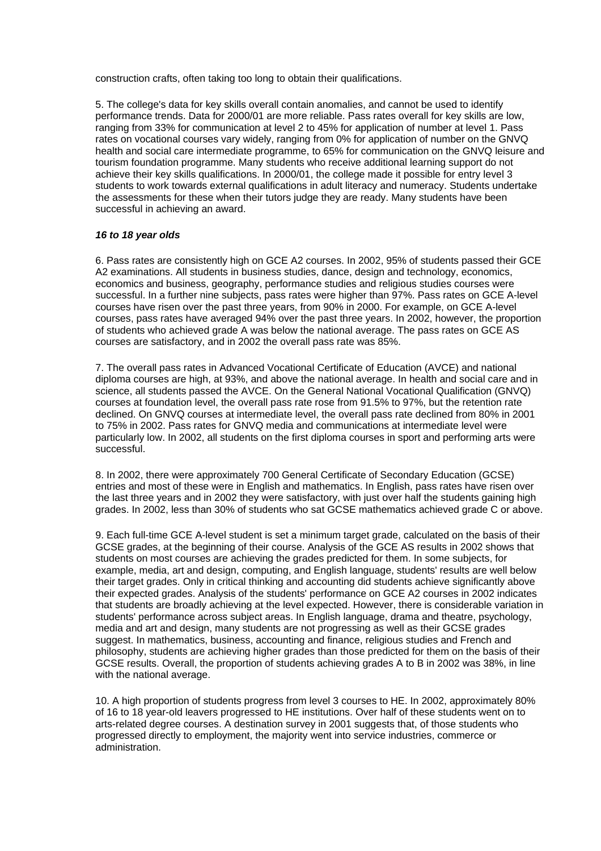construction crafts, often taking too long to obtain their qualifications.

5. The college's data for key skills overall contain anomalies, and cannot be used to identify performance trends. Data for 2000/01 are more reliable. Pass rates overall for key skills are low, ranging from 33% for communication at level 2 to 45% for application of number at level 1. Pass rates on vocational courses vary widely, ranging from 0% for application of number on the GNVQ health and social care intermediate programme, to 65% for communication on the GNVQ leisure and tourism foundation programme. Many students who receive additional learning support do not achieve their key skills qualifications. In 2000/01, the college made it possible for entry level 3 students to work towards external qualifications in adult literacy and numeracy. Students undertake the assessments for these when their tutors judge they are ready. Many students have been successful in achieving an award.

#### *16 to 18 year olds*

6. Pass rates are consistently high on GCE A2 courses. In 2002, 95% of students passed their GCE A2 examinations. All students in business studies, dance, design and technology, economics, economics and business, geography, performance studies and religious studies courses were successful. In a further nine subjects, pass rates were higher than 97%. Pass rates on GCE A-level courses have risen over the past three years, from 90% in 2000. For example, on GCE A-level courses, pass rates have averaged 94% over the past three years. In 2002, however, the proportion of students who achieved grade A was below the national average. The pass rates on GCE AS courses are satisfactory, and in 2002 the overall pass rate was 85%.

7. The overall pass rates in Advanced Vocational Certificate of Education (AVCE) and national diploma courses are high, at 93%, and above the national average. In health and social care and in science, all students passed the AVCE. On the General National Vocational Qualification (GNVQ) courses at foundation level, the overall pass rate rose from 91.5% to 97%, but the retention rate declined. On GNVQ courses at intermediate level, the overall pass rate declined from 80% in 2001 to 75% in 2002. Pass rates for GNVQ media and communications at intermediate level were particularly low. In 2002, all students on the first diploma courses in sport and performing arts were successful.

8. In 2002, there were approximately 700 General Certificate of Secondary Education (GCSE) entries and most of these were in English and mathematics. In English, pass rates have risen over the last three years and in 2002 they were satisfactory, with just over half the students gaining high grades. In 2002, less than 30% of students who sat GCSE mathematics achieved grade C or above.

9. Each full-time GCE A-level student is set a minimum target grade, calculated on the basis of their GCSE grades, at the beginning of their course. Analysis of the GCE AS results in 2002 shows that students on most courses are achieving the grades predicted for them. In some subjects, for example, media, art and design, computing, and English language, students' results are well below their target grades. Only in critical thinking and accounting did students achieve significantly above their expected grades. Analysis of the students' performance on GCE A2 courses in 2002 indicates that students are broadly achieving at the level expected. However, there is considerable variation in students' performance across subject areas. In English language, drama and theatre, psychology, media and art and design, many students are not progressing as well as their GCSE grades suggest. In mathematics, business, accounting and finance, religious studies and French and philosophy, students are achieving higher grades than those predicted for them on the basis of their GCSE results. Overall, the proportion of students achieving grades A to B in 2002 was 38%, in line with the national average.

10. A high proportion of students progress from level 3 courses to HE. In 2002, approximately 80% of 16 to 18 year-old leavers progressed to HE institutions. Over half of these students went on to arts-related degree courses. A destination survey in 2001 suggests that, of those students who progressed directly to employment, the majority went into service industries, commerce or administration.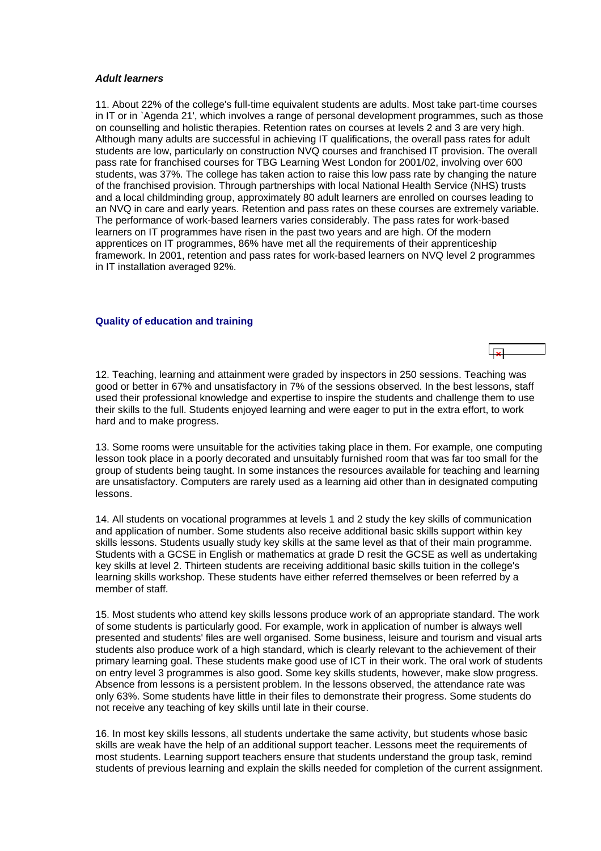#### <span id="page-10-0"></span>*Adult learners*

11. About 22% of the college's full-time equivalent students are adults. Most take part-time courses in IT or in `Agenda 21', which involves a range of personal development programmes, such as those on counselling and holistic therapies. Retention rates on courses at levels 2 and 3 are very high. Although many adults are successful in achieving IT qualifications, the overall pass rates for adult students are low, particularly on construction NVQ courses and franchised IT provision. The overall pass rate for franchised courses for TBG Learning West London for 2001/02, involving over 600 students, was 37%. The college has taken action to raise this low pass rate by changing the nature of the franchised provision. Through partnerships with local National Health Service (NHS) trusts and a local childminding group, approximately 80 adult learners are enrolled on courses leading to an NVQ in care and early years. Retention and pass rates on these courses are extremely variable. The performance of work-based learners varies considerably. The pass rates for work-based learners on IT programmes have risen in the past two years and are high. Of the modern apprentices on IT programmes, 86% have met all the requirements of their apprenticeship framework. In 2001, retention and pass rates for work-based learners on NVQ level 2 programmes in IT installation averaged 92%.

#### **Quality of education and training**

12. Teaching, learning and attainment were graded by inspectors in 250 sessions. Teaching was good or better in 67% and unsatisfactory in 7% of the sessions observed. In the best lessons, staff used their professional knowledge and expertise to inspire the students and challenge them to use their skills to the full. Students enjoyed learning and were eager to put in the extra effort, to work hard and to make progress.

13. Some rooms were unsuitable for the activities taking place in them. For example, one computing lesson took place in a poorly decorated and unsuitably furnished room that was far too small for the group of students being taught. In some instances the resources available for teaching and learning are unsatisfactory. Computers are rarely used as a learning aid other than in designated computing lessons.

14. All students on vocational programmes at levels 1 and 2 study the key skills of communication and application of number. Some students also receive additional basic skills support within key skills lessons. Students usually study key skills at the same level as that of their main programme. Students with a GCSE in English or mathematics at grade D resit the GCSE as well as undertaking key skills at level 2. Thirteen students are receiving additional basic skills tuition in the college's learning skills workshop. These students have either referred themselves or been referred by a member of staff.

15. Most students who attend key skills lessons produce work of an appropriate standard. The work of some students is particularly good. For example, work in application of number is always well presented and students' files are well organised. Some business, leisure and tourism and visual arts students also produce work of a high standard, which is clearly relevant to the achievement of their primary learning goal. These students make good use of ICT in their work. The oral work of students on entry level 3 programmes is also good. Some key skills students, however, make slow progress. Absence from lessons is a persistent problem. In the lessons observed, the attendance rate was only 63%. Some students have little in their files to demonstrate their progress. Some students do not receive any teaching of key skills until late in their course.

16. In most key skills lessons, all students undertake the same activity, but students whose basic skills are weak have the help of an additional support teacher. Lessons meet the requirements of most students. Learning support teachers ensure that students understand the group task, remind students of previous learning and explain the skills needed for completion of the current assignment.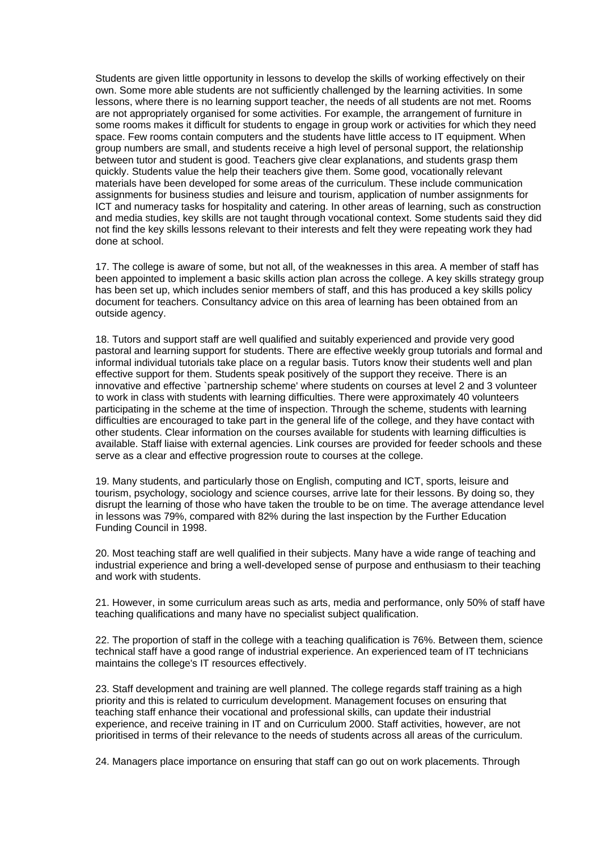Students are given little opportunity in lessons to develop the skills of working effectively on their own. Some more able students are not sufficiently challenged by the learning activities. In some lessons, where there is no learning support teacher, the needs of all students are not met. Rooms are not appropriately organised for some activities. For example, the arrangement of furniture in some rooms makes it difficult for students to engage in group work or activities for which they need space. Few rooms contain computers and the students have little access to IT equipment. When group numbers are small, and students receive a high level of personal support, the relationship between tutor and student is good. Teachers give clear explanations, and students grasp them quickly. Students value the help their teachers give them. Some good, vocationally relevant materials have been developed for some areas of the curriculum. These include communication assignments for business studies and leisure and tourism, application of number assignments for ICT and numeracy tasks for hospitality and catering. In other areas of learning, such as construction and media studies, key skills are not taught through vocational context. Some students said they did not find the key skills lessons relevant to their interests and felt they were repeating work they had done at school.

17. The college is aware of some, but not all, of the weaknesses in this area. A member of staff has been appointed to implement a basic skills action plan across the college. A key skills strategy group has been set up, which includes senior members of staff, and this has produced a key skills policy document for teachers. Consultancy advice on this area of learning has been obtained from an outside agency.

18. Tutors and support staff are well qualified and suitably experienced and provide very good pastoral and learning support for students. There are effective weekly group tutorials and formal and informal individual tutorials take place on a regular basis. Tutors know their students well and plan effective support for them. Students speak positively of the support they receive. There is an innovative and effective `partnership scheme' where students on courses at level 2 and 3 volunteer to work in class with students with learning difficulties. There were approximately 40 volunteers participating in the scheme at the time of inspection. Through the scheme, students with learning difficulties are encouraged to take part in the general life of the college, and they have contact with other students. Clear information on the courses available for students with learning difficulties is available. Staff liaise with external agencies. Link courses are provided for feeder schools and these serve as a clear and effective progression route to courses at the college.

19. Many students, and particularly those on English, computing and ICT, sports, leisure and tourism, psychology, sociology and science courses, arrive late for their lessons. By doing so, they disrupt the learning of those who have taken the trouble to be on time. The average attendance level in lessons was 79%, compared with 82% during the last inspection by the Further Education Funding Council in 1998.

20. Most teaching staff are well qualified in their subjects. Many have a wide range of teaching and industrial experience and bring a well-developed sense of purpose and enthusiasm to their teaching and work with students.

21. However, in some curriculum areas such as arts, media and performance, only 50% of staff have teaching qualifications and many have no specialist subject qualification.

22. The proportion of staff in the college with a teaching qualification is 76%. Between them, science technical staff have a good range of industrial experience. An experienced team of IT technicians maintains the college's IT resources effectively.

23. Staff development and training are well planned. The college regards staff training as a high priority and this is related to curriculum development. Management focuses on ensuring that teaching staff enhance their vocational and professional skills, can update their industrial experience, and receive training in IT and on Curriculum 2000. Staff activities, however, are not prioritised in terms of their relevance to the needs of students across all areas of the curriculum.

24. Managers place importance on ensuring that staff can go out on work placements. Through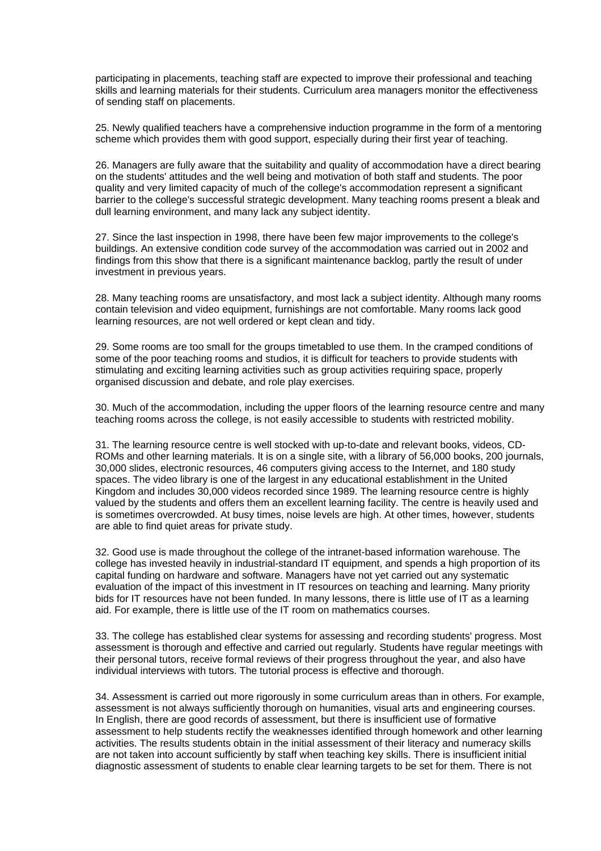participating in placements, teaching staff are expected to improve their professional and teaching skills and learning materials for their students. Curriculum area managers monitor the effectiveness of sending staff on placements.

25. Newly qualified teachers have a comprehensive induction programme in the form of a mentoring scheme which provides them with good support, especially during their first year of teaching.

26. Managers are fully aware that the suitability and quality of accommodation have a direct bearing on the students' attitudes and the well being and motivation of both staff and students. The poor quality and very limited capacity of much of the college's accommodation represent a significant barrier to the college's successful strategic development. Many teaching rooms present a bleak and dull learning environment, and many lack any subject identity.

27. Since the last inspection in 1998, there have been few major improvements to the college's buildings. An extensive condition code survey of the accommodation was carried out in 2002 and findings from this show that there is a significant maintenance backlog, partly the result of under investment in previous years.

28. Many teaching rooms are unsatisfactory, and most lack a subject identity. Although many rooms contain television and video equipment, furnishings are not comfortable. Many rooms lack good learning resources, are not well ordered or kept clean and tidy.

29. Some rooms are too small for the groups timetabled to use them. In the cramped conditions of some of the poor teaching rooms and studios, it is difficult for teachers to provide students with stimulating and exciting learning activities such as group activities requiring space, properly organised discussion and debate, and role play exercises.

30. Much of the accommodation, including the upper floors of the learning resource centre and many teaching rooms across the college, is not easily accessible to students with restricted mobility.

31. The learning resource centre is well stocked with up-to-date and relevant books, videos, CD-ROMs and other learning materials. It is on a single site, with a library of 56,000 books, 200 journals, 30,000 slides, electronic resources, 46 computers giving access to the Internet, and 180 study spaces. The video library is one of the largest in any educational establishment in the United Kingdom and includes 30,000 videos recorded since 1989. The learning resource centre is highly valued by the students and offers them an excellent learning facility. The centre is heavily used and is sometimes overcrowded. At busy times, noise levels are high. At other times, however, students are able to find quiet areas for private study.

32. Good use is made throughout the college of the intranet-based information warehouse. The college has invested heavily in industrial-standard IT equipment, and spends a high proportion of its capital funding on hardware and software. Managers have not yet carried out any systematic evaluation of the impact of this investment in IT resources on teaching and learning. Many priority bids for IT resources have not been funded. In many lessons, there is little use of IT as a learning aid. For example, there is little use of the IT room on mathematics courses.

33. The college has established clear systems for assessing and recording students' progress. Most assessment is thorough and effective and carried out regularly. Students have regular meetings with their personal tutors, receive formal reviews of their progress throughout the year, and also have individual interviews with tutors. The tutorial process is effective and thorough.

34. Assessment is carried out more rigorously in some curriculum areas than in others. For example, assessment is not always sufficiently thorough on humanities, visual arts and engineering courses. In English, there are good records of assessment, but there is insufficient use of formative assessment to help students rectify the weaknesses identified through homework and other learning activities. The results students obtain in the initial assessment of their literacy and numeracy skills are not taken into account sufficiently by staff when teaching key skills. There is insufficient initial diagnostic assessment of students to enable clear learning targets to be set for them. There is not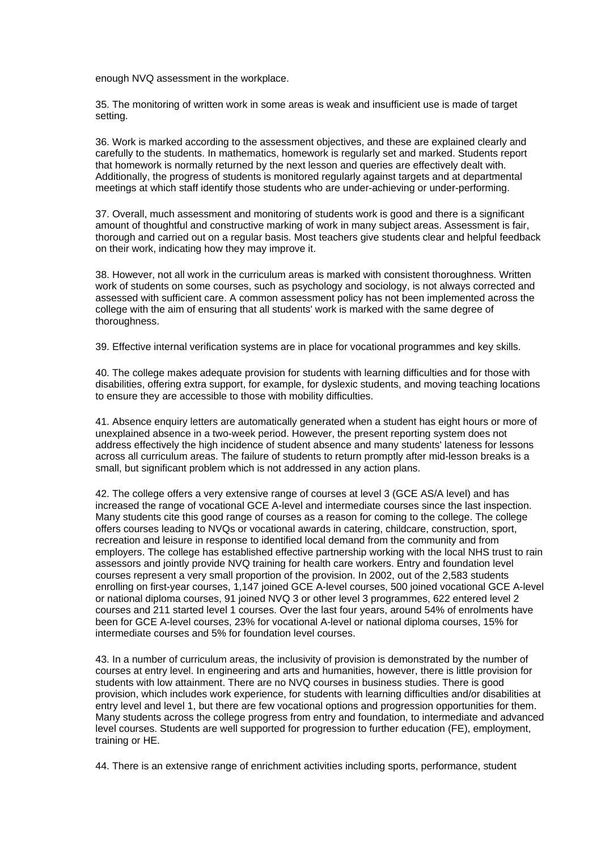enough NVQ assessment in the workplace.

35. The monitoring of written work in some areas is weak and insufficient use is made of target setting.

36. Work is marked according to the assessment objectives, and these are explained clearly and carefully to the students. In mathematics, homework is regularly set and marked. Students report that homework is normally returned by the next lesson and queries are effectively dealt with. Additionally, the progress of students is monitored regularly against targets and at departmental meetings at which staff identify those students who are under-achieving or under-performing.

37. Overall, much assessment and monitoring of students work is good and there is a significant amount of thoughtful and constructive marking of work in many subject areas. Assessment is fair, thorough and carried out on a regular basis. Most teachers give students clear and helpful feedback on their work, indicating how they may improve it.

38. However, not all work in the curriculum areas is marked with consistent thoroughness. Written work of students on some courses, such as psychology and sociology, is not always corrected and assessed with sufficient care. A common assessment policy has not been implemented across the college with the aim of ensuring that all students' work is marked with the same degree of thoroughness.

39. Effective internal verification systems are in place for vocational programmes and key skills.

40. The college makes adequate provision for students with learning difficulties and for those with disabilities, offering extra support, for example, for dyslexic students, and moving teaching locations to ensure they are accessible to those with mobility difficulties.

41. Absence enquiry letters are automatically generated when a student has eight hours or more of unexplained absence in a two-week period. However, the present reporting system does not address effectively the high incidence of student absence and many students' lateness for lessons across all curriculum areas. The failure of students to return promptly after mid-lesson breaks is a small, but significant problem which is not addressed in any action plans.

42. The college offers a very extensive range of courses at level 3 (GCE AS/A level) and has increased the range of vocational GCE A-level and intermediate courses since the last inspection. Many students cite this good range of courses as a reason for coming to the college. The college offers courses leading to NVQs or vocational awards in catering, childcare, construction, sport, recreation and leisure in response to identified local demand from the community and from employers. The college has established effective partnership working with the local NHS trust to rain assessors and jointly provide NVQ training for health care workers. Entry and foundation level courses represent a very small proportion of the provision. In 2002, out of the 2,583 students enrolling on first-year courses, 1,147 joined GCE A-level courses, 500 joined vocational GCE A-level or national diploma courses, 91 joined NVQ 3 or other level 3 programmes, 622 entered level 2 courses and 211 started level 1 courses. Over the last four years, around 54% of enrolments have been for GCE A-level courses, 23% for vocational A-level or national diploma courses, 15% for intermediate courses and 5% for foundation level courses.

43. In a number of curriculum areas, the inclusivity of provision is demonstrated by the number of courses at entry level. In engineering and arts and humanities, however, there is little provision for students with low attainment. There are no NVQ courses in business studies. There is good provision, which includes work experience, for students with learning difficulties and/or disabilities at entry level and level 1, but there are few vocational options and progression opportunities for them. Many students across the college progress from entry and foundation, to intermediate and advanced level courses. Students are well supported for progression to further education (FE), employment, training or HE.

44. There is an extensive range of enrichment activities including sports, performance, student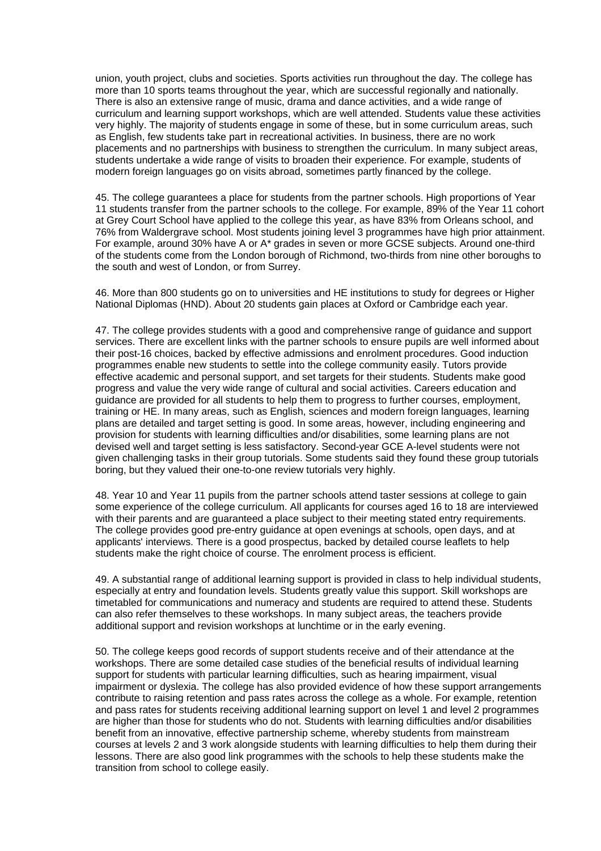union, youth project, clubs and societies. Sports activities run throughout the day. The college has more than 10 sports teams throughout the year, which are successful regionally and nationally. There is also an extensive range of music, drama and dance activities, and a wide range of curriculum and learning support workshops, which are well attended. Students value these activities very highly. The majority of students engage in some of these, but in some curriculum areas, such as English, few students take part in recreational activities. In business, there are no work placements and no partnerships with business to strengthen the curriculum. In many subject areas, students undertake a wide range of visits to broaden their experience. For example, students of modern foreign languages go on visits abroad, sometimes partly financed by the college.

45. The college guarantees a place for students from the partner schools. High proportions of Year 11 students transfer from the partner schools to the college. For example, 89% of the Year 11 cohort at Grey Court School have applied to the college this year, as have 83% from Orleans school, and 76% from Waldergrave school. Most students joining level 3 programmes have high prior attainment. For example, around 30% have A or A\* grades in seven or more GCSE subjects. Around one-third of the students come from the London borough of Richmond, two-thirds from nine other boroughs to the south and west of London, or from Surrey.

46. More than 800 students go on to universities and HE institutions to study for degrees or Higher National Diplomas (HND). About 20 students gain places at Oxford or Cambridge each year.

47. The college provides students with a good and comprehensive range of guidance and support services. There are excellent links with the partner schools to ensure pupils are well informed about their post-16 choices, backed by effective admissions and enrolment procedures. Good induction programmes enable new students to settle into the college community easily. Tutors provide effective academic and personal support, and set targets for their students. Students make good progress and value the very wide range of cultural and social activities. Careers education and guidance are provided for all students to help them to progress to further courses, employment, training or HE. In many areas, such as English, sciences and modern foreign languages, learning plans are detailed and target setting is good. In some areas, however, including engineering and provision for students with learning difficulties and/or disabilities, some learning plans are not devised well and target setting is less satisfactory. Second-year GCE A-level students were not given challenging tasks in their group tutorials. Some students said they found these group tutorials boring, but they valued their one-to-one review tutorials very highly.

48. Year 10 and Year 11 pupils from the partner schools attend taster sessions at college to gain some experience of the college curriculum. All applicants for courses aged 16 to 18 are interviewed with their parents and are guaranteed a place subject to their meeting stated entry requirements. The college provides good pre-entry guidance at open evenings at schools, open days, and at applicants' interviews. There is a good prospectus, backed by detailed course leaflets to help students make the right choice of course. The enrolment process is efficient.

49. A substantial range of additional learning support is provided in class to help individual students, especially at entry and foundation levels. Students greatly value this support. Skill workshops are timetabled for communications and numeracy and students are required to attend these. Students can also refer themselves to these workshops. In many subject areas, the teachers provide additional support and revision workshops at lunchtime or in the early evening.

50. The college keeps good records of support students receive and of their attendance at the workshops. There are some detailed case studies of the beneficial results of individual learning support for students with particular learning difficulties, such as hearing impairment, visual impairment or dyslexia. The college has also provided evidence of how these support arrangements contribute to raising retention and pass rates across the college as a whole. For example, retention and pass rates for students receiving additional learning support on level 1 and level 2 programmes are higher than those for students who do not. Students with learning difficulties and/or disabilities benefit from an innovative, effective partnership scheme, whereby students from mainstream courses at levels 2 and 3 work alongside students with learning difficulties to help them during their lessons. There are also good link programmes with the schools to help these students make the transition from school to college easily.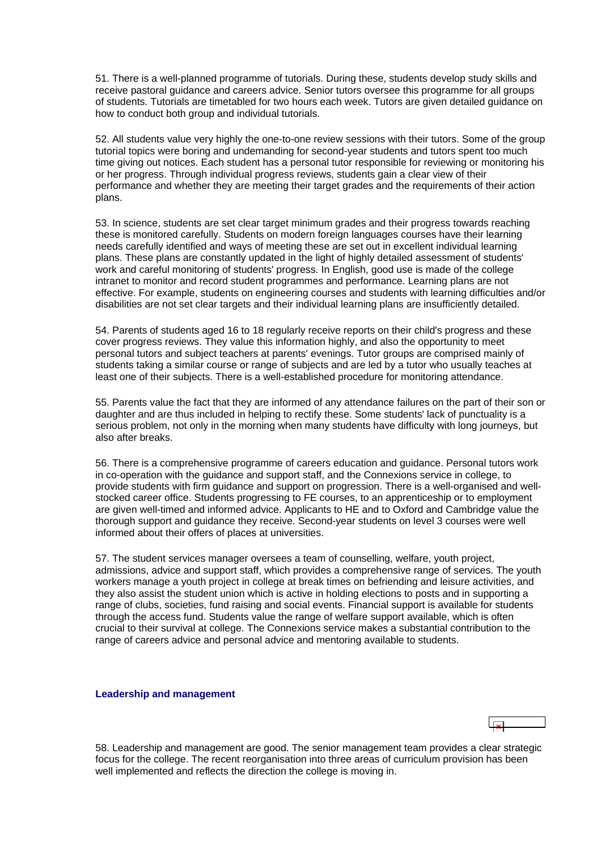<span id="page-15-0"></span>51. There is a well-planned programme of tutorials. During these, students develop study skills and receive pastoral guidance and careers advice. Senior tutors oversee this programme for all groups of students. Tutorials are timetabled for two hours each week. Tutors are given detailed guidance on how to conduct both group and individual tutorials.

52. All students value very highly the one-to-one review sessions with their tutors. Some of the group tutorial topics were boring and undemanding for second-year students and tutors spent too much time giving out notices. Each student has a personal tutor responsible for reviewing or monitoring his or her progress. Through individual progress reviews, students gain a clear view of their performance and whether they are meeting their target grades and the requirements of their action plans.

53. In science, students are set clear target minimum grades and their progress towards reaching these is monitored carefully. Students on modern foreign languages courses have their learning needs carefully identified and ways of meeting these are set out in excellent individual learning plans. These plans are constantly updated in the light of highly detailed assessment of students' work and careful monitoring of students' progress. In English, good use is made of the college intranet to monitor and record student programmes and performance. Learning plans are not effective. For example, students on engineering courses and students with learning difficulties and/or disabilities are not set clear targets and their individual learning plans are insufficiently detailed.

54. Parents of students aged 16 to 18 regularly receive reports on their child's progress and these cover progress reviews. They value this information highly, and also the opportunity to meet personal tutors and subject teachers at parents' evenings. Tutor groups are comprised mainly of students taking a similar course or range of subjects and are led by a tutor who usually teaches at least one of their subjects. There is a well-established procedure for monitoring attendance.

55. Parents value the fact that they are informed of any attendance failures on the part of their son or daughter and are thus included in helping to rectify these. Some students' lack of punctuality is a serious problem, not only in the morning when many students have difficulty with long journeys, but also after breaks.

56. There is a comprehensive programme of careers education and guidance. Personal tutors work in co-operation with the guidance and support staff, and the Connexions service in college, to provide students with firm guidance and support on progression. There is a well-organised and wellstocked career office. Students progressing to FE courses, to an apprenticeship or to employment are given well-timed and informed advice. Applicants to HE and to Oxford and Cambridge value the thorough support and guidance they receive. Second-year students on level 3 courses were well informed about their offers of places at universities.

57. The student services manager oversees a team of counselling, welfare, youth project, admissions, advice and support staff, which provides a comprehensive range of services. The youth workers manage a youth project in college at break times on befriending and leisure activities, and they also assist the student union which is active in holding elections to posts and in supporting a range of clubs, societies, fund raising and social events. Financial support is available for students through the access fund. Students value the range of welfare support available, which is often crucial to their survival at college. The Connexions service makes a substantial contribution to the range of careers advice and personal advice and mentoring available to students.

#### **Leadership and management**

58. Leadership and management are good. The senior management team provides a clear strategic focus for the college. The recent reorganisation into three areas of curriculum provision has been well implemented and reflects the direction the college is moving in.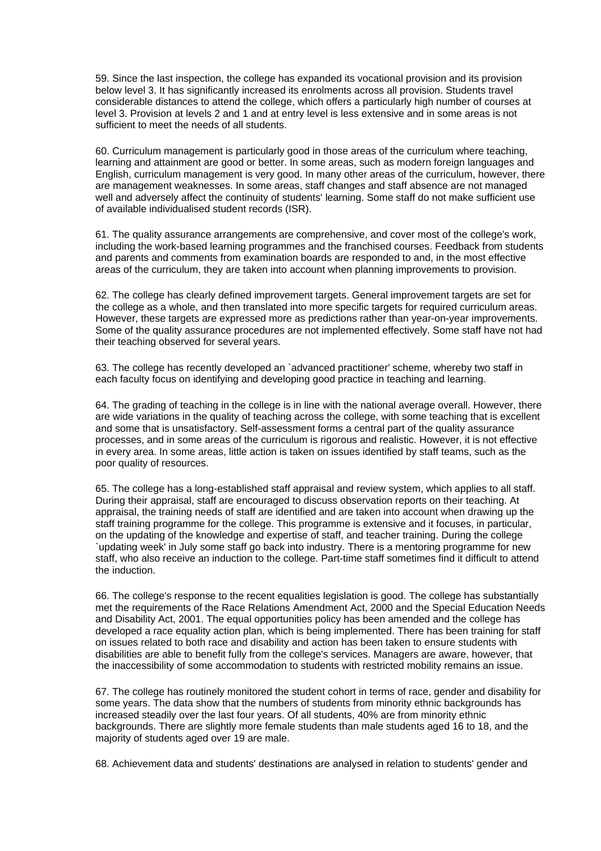59. Since the last inspection, the college has expanded its vocational provision and its provision below level 3. It has significantly increased its enrolments across all provision. Students travel considerable distances to attend the college, which offers a particularly high number of courses at level 3. Provision at levels 2 and 1 and at entry level is less extensive and in some areas is not sufficient to meet the needs of all students.

60. Curriculum management is particularly good in those areas of the curriculum where teaching, learning and attainment are good or better. In some areas, such as modern foreign languages and English, curriculum management is very good. In many other areas of the curriculum, however, there are management weaknesses. In some areas, staff changes and staff absence are not managed well and adversely affect the continuity of students' learning. Some staff do not make sufficient use of available individualised student records (ISR).

61. The quality assurance arrangements are comprehensive, and cover most of the college's work, including the work-based learning programmes and the franchised courses. Feedback from students and parents and comments from examination boards are responded to and, in the most effective areas of the curriculum, they are taken into account when planning improvements to provision.

62. The college has clearly defined improvement targets. General improvement targets are set for the college as a whole, and then translated into more specific targets for required curriculum areas. However, these targets are expressed more as predictions rather than year-on-year improvements. Some of the quality assurance procedures are not implemented effectively. Some staff have not had their teaching observed for several years.

63. The college has recently developed an `advanced practitioner' scheme, whereby two staff in each faculty focus on identifying and developing good practice in teaching and learning.

64. The grading of teaching in the college is in line with the national average overall. However, there are wide variations in the quality of teaching across the college, with some teaching that is excellent and some that is unsatisfactory. Self-assessment forms a central part of the quality assurance processes, and in some areas of the curriculum is rigorous and realistic. However, it is not effective in every area. In some areas, little action is taken on issues identified by staff teams, such as the poor quality of resources.

65. The college has a long-established staff appraisal and review system, which applies to all staff. During their appraisal, staff are encouraged to discuss observation reports on their teaching. At appraisal, the training needs of staff are identified and are taken into account when drawing up the staff training programme for the college. This programme is extensive and it focuses, in particular, on the updating of the knowledge and expertise of staff, and teacher training. During the college `updating week' in July some staff go back into industry. There is a mentoring programme for new staff, who also receive an induction to the college. Part-time staff sometimes find it difficult to attend the induction.

66. The college's response to the recent equalities legislation is good. The college has substantially met the requirements of the Race Relations Amendment Act, 2000 and the Special Education Needs and Disability Act, 2001. The equal opportunities policy has been amended and the college has developed a race equality action plan, which is being implemented. There has been training for staff on issues related to both race and disability and action has been taken to ensure students with disabilities are able to benefit fully from the college's services. Managers are aware, however, that the inaccessibility of some accommodation to students with restricted mobility remains an issue.

67. The college has routinely monitored the student cohort in terms of race, gender and disability for some years. The data show that the numbers of students from minority ethnic backgrounds has increased steadily over the last four years. Of all students, 40% are from minority ethnic backgrounds. There are slightly more female students than male students aged 16 to 18, and the majority of students aged over 19 are male.

68. Achievement data and students' destinations are analysed in relation to students' gender and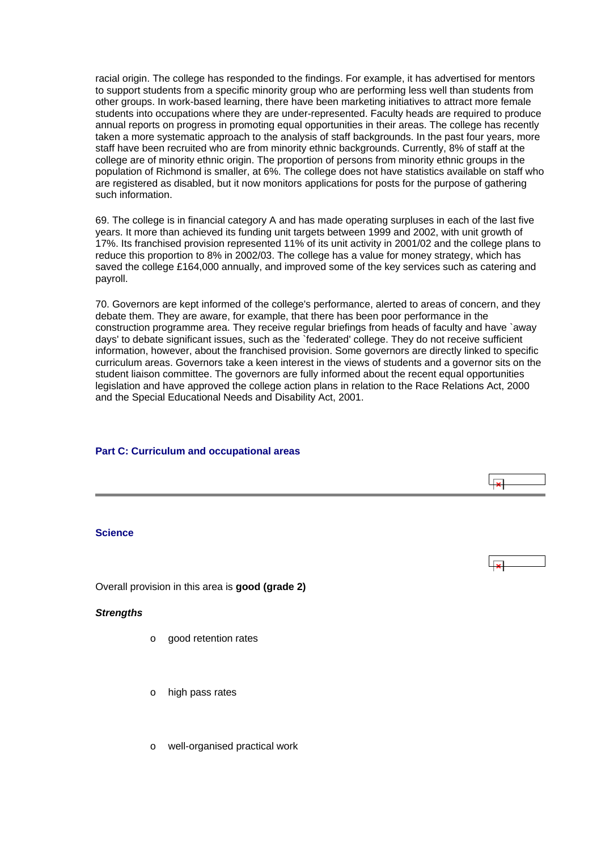<span id="page-17-0"></span>racial origin. The college has responded to the findings. For example, it has advertised for mentors to support students from a specific minority group who are performing less well than students from other groups. In work-based learning, there have been marketing initiatives to attract more female students into occupations where they are under-represented. Faculty heads are required to produce annual reports on progress in promoting equal opportunities in their areas. The college has recently taken a more systematic approach to the analysis of staff backgrounds. In the past four years, more staff have been recruited who are from minority ethnic backgrounds. Currently, 8% of staff at the college are of minority ethnic origin. The proportion of persons from minority ethnic groups in the population of Richmond is smaller, at 6%. The college does not have statistics available on staff who are registered as disabled, but it now monitors applications for posts for the purpose of gathering such information.

69. The college is in financial category A and has made operating surpluses in each of the last five years. It more than achieved its funding unit targets between 1999 and 2002, with unit growth of 17%. Its franchised provision represented 11% of its unit activity in 2001/02 and the college plans to reduce this proportion to 8% in 2002/03. The college has a value for money strategy, which has saved the college £164,000 annually, and improved some of the key services such as catering and payroll.

70. Governors are kept informed of the college's performance, alerted to areas of concern, and they debate them. They are aware, for example, that there has been poor performance in the construction programme area. They receive regular briefings from heads of faculty and have `away days' to debate significant issues, such as the `federated' college. They do not receive sufficient information, however, about the franchised provision. Some governors are directly linked to specific curriculum areas. Governors take a keen interest in the views of students and a governor sits on the student liaison committee. The governors are fully informed about the recent equal opportunities legislation and have approved the college action plans in relation to the Race Relations Act, 2000 and the Special Educational Needs and Disability Act, 2001.

## **Part C: Curriculum and occupational areas**

#### **Science**

Overall provision in this area is **good (grade 2)**

#### *Strengths*

- o good retention rates
- o high pass rates
- o well-organised practical work

 $\overline{1}$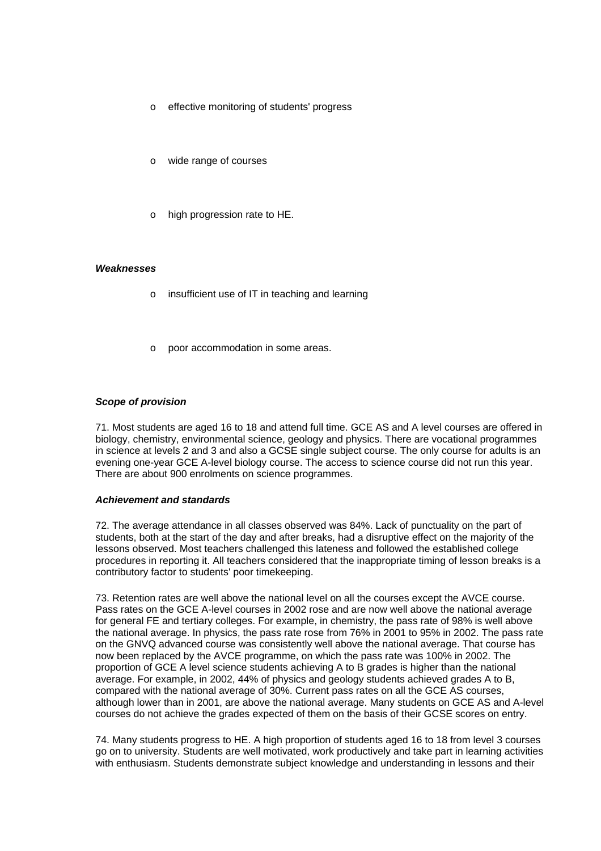- o effective monitoring of students' progress
- wide range of courses
- o high progression rate to HE.

#### *Weaknesses*

- o insufficient use of IT in teaching and learning
- poor accommodation in some areas.

## *Scope of provision*

71. Most students are aged 16 to 18 and attend full time. GCE AS and A level courses are offered in biology, chemistry, environmental science, geology and physics. There are vocational programmes in science at levels 2 and 3 and also a GCSE single subject course. The only course for adults is an evening one-year GCE A-level biology course. The access to science course did not run this year. There are about 900 enrolments on science programmes.

#### *Achievement and standards*

72. The average attendance in all classes observed was 84%. Lack of punctuality on the part of students, both at the start of the day and after breaks, had a disruptive effect on the majority of the lessons observed. Most teachers challenged this lateness and followed the established college procedures in reporting it. All teachers considered that the inappropriate timing of lesson breaks is a contributory factor to students' poor timekeeping.

73. Retention rates are well above the national level on all the courses except the AVCE course. Pass rates on the GCE A-level courses in 2002 rose and are now well above the national average for general FE and tertiary colleges. For example, in chemistry, the pass rate of 98% is well above the national average. In physics, the pass rate rose from 76% in 2001 to 95% in 2002. The pass rate on the GNVQ advanced course was consistently well above the national average. That course has now been replaced by the AVCE programme, on which the pass rate was 100% in 2002. The proportion of GCE A level science students achieving A to B grades is higher than the national average. For example, in 2002, 44% of physics and geology students achieved grades A to B, compared with the national average of 30%. Current pass rates on all the GCE AS courses, although lower than in 2001, are above the national average. Many students on GCE AS and A-level courses do not achieve the grades expected of them on the basis of their GCSE scores on entry.

74. Many students progress to HE. A high proportion of students aged 16 to 18 from level 3 courses go on to university. Students are well motivated, work productively and take part in learning activities with enthusiasm. Students demonstrate subject knowledge and understanding in lessons and their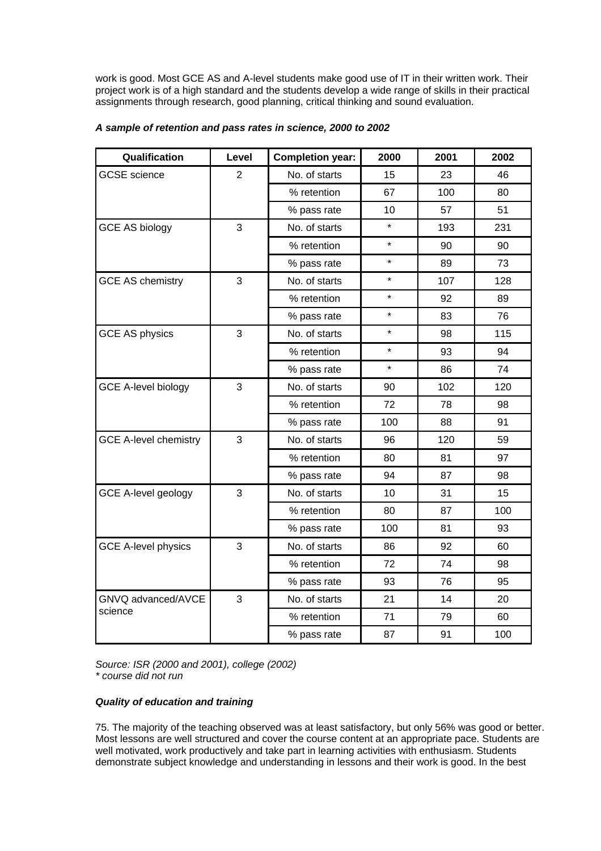work is good. Most GCE AS and A-level students make good use of IT in their written work. Their project work is of a high standard and the students develop a wide range of skills in their practical assignments through research, good planning, critical thinking and sound evaluation.

| Qualification                | Level | <b>Completion year:</b> | 2000    | 2001 | 2002 |
|------------------------------|-------|-------------------------|---------|------|------|
| <b>GCSE</b> science          | 2     | No. of starts           | 15      | 23   | 46   |
|                              |       | % retention             | 67      | 100  | 80   |
|                              |       | % pass rate             | 10      | 57   | 51   |
| <b>GCE AS biology</b>        | 3     | No. of starts           | $\star$ | 193  | 231  |
|                              |       | % retention             | $\star$ | 90   | 90   |
|                              |       | % pass rate             | $\star$ | 89   | 73   |
| <b>GCE AS chemistry</b>      | 3     | No. of starts           | $\star$ | 107  | 128  |
|                              |       | % retention             | $\star$ | 92   | 89   |
|                              |       | % pass rate             | $\star$ | 83   | 76   |
| <b>GCE AS physics</b>        | 3     | No. of starts           | $\star$ | 98   | 115  |
|                              |       | % retention             | $\star$ | 93   | 94   |
|                              |       | % pass rate             | $\star$ | 86   | 74   |
| <b>GCE A-level biology</b>   | 3     | No. of starts           | 90      | 102  | 120  |
|                              |       | % retention             | 72      | 78   | 98   |
|                              |       | % pass rate             | 100     | 88   | 91   |
| <b>GCE A-level chemistry</b> | 3     | No. of starts           | 96      | 120  | 59   |
|                              |       | % retention             | 80      | 81   | 97   |
|                              |       | % pass rate             | 94      | 87   | 98   |
| <b>GCE A-level geology</b>   | 3     | No. of starts           | 10      | 31   | 15   |
|                              |       | % retention             | 80      | 87   | 100  |
|                              |       | % pass rate             | 100     | 81   | 93   |
| <b>GCE A-level physics</b>   | 3     | No. of starts           | 86      | 92   | 60   |
|                              |       | % retention             | 72      | 74   | 98   |
|                              |       | % pass rate             | 93      | 76   | 95   |
| GNVQ advanced/AVCE           | 3     | No. of starts           | 21      | 14   | 20   |
| science                      |       | % retention             | 71      | 79   | 60   |
|                              |       | % pass rate             | 87      | 91   | 100  |

## *A sample of retention and pass rates in science, 2000 to 2002*

*Source: ISR (2000 and 2001), college (2002) \* course did not run*

## *Quality of education and training*

75. The majority of the teaching observed was at least satisfactory, but only 56% was good or better. Most lessons are well structured and cover the course content at an appropriate pace. Students are well motivated, work productively and take part in learning activities with enthusiasm. Students demonstrate subject knowledge and understanding in lessons and their work is good. In the best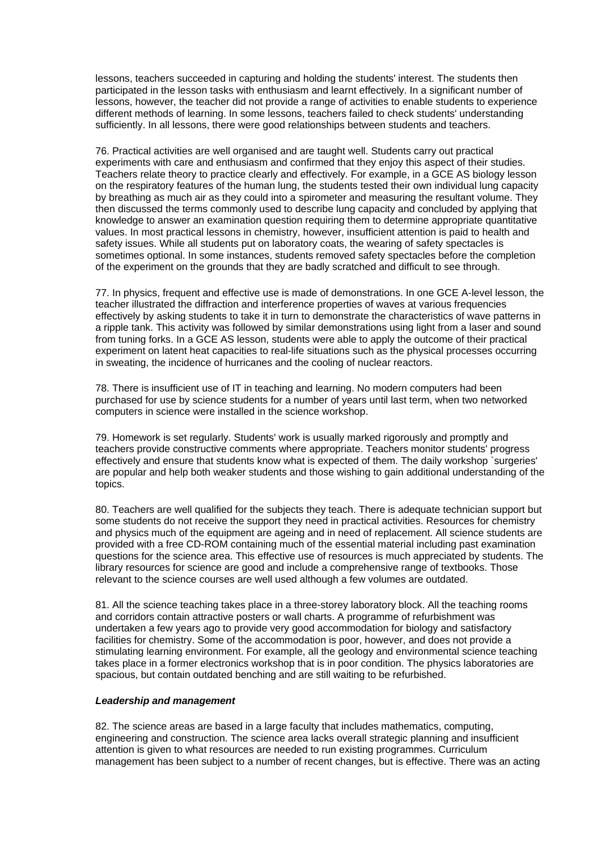lessons, teachers succeeded in capturing and holding the students' interest. The students then participated in the lesson tasks with enthusiasm and learnt effectively. In a significant number of lessons, however, the teacher did not provide a range of activities to enable students to experience different methods of learning. In some lessons, teachers failed to check students' understanding sufficiently. In all lessons, there were good relationships between students and teachers.

76. Practical activities are well organised and are taught well. Students carry out practical experiments with care and enthusiasm and confirmed that they enjoy this aspect of their studies. Teachers relate theory to practice clearly and effectively. For example, in a GCE AS biology lesson on the respiratory features of the human lung, the students tested their own individual lung capacity by breathing as much air as they could into a spirometer and measuring the resultant volume. They then discussed the terms commonly used to describe lung capacity and concluded by applying that knowledge to answer an examination question requiring them to determine appropriate quantitative values. In most practical lessons in chemistry, however, insufficient attention is paid to health and safety issues. While all students put on laboratory coats, the wearing of safety spectacles is sometimes optional. In some instances, students removed safety spectacles before the completion of the experiment on the grounds that they are badly scratched and difficult to see through.

77. In physics, frequent and effective use is made of demonstrations. In one GCE A-level lesson, the teacher illustrated the diffraction and interference properties of waves at various frequencies effectively by asking students to take it in turn to demonstrate the characteristics of wave patterns in a ripple tank. This activity was followed by similar demonstrations using light from a laser and sound from tuning forks. In a GCE AS lesson, students were able to apply the outcome of their practical experiment on latent heat capacities to real-life situations such as the physical processes occurring in sweating, the incidence of hurricanes and the cooling of nuclear reactors.

78. There is insufficient use of IT in teaching and learning. No modern computers had been purchased for use by science students for a number of years until last term, when two networked computers in science were installed in the science workshop.

79. Homework is set regularly. Students' work is usually marked rigorously and promptly and teachers provide constructive comments where appropriate. Teachers monitor students' progress effectively and ensure that students know what is expected of them. The daily workshop `surgeries' are popular and help both weaker students and those wishing to gain additional understanding of the topics.

80. Teachers are well qualified for the subjects they teach. There is adequate technician support but some students do not receive the support they need in practical activities. Resources for chemistry and physics much of the equipment are ageing and in need of replacement. All science students are provided with a free CD-ROM containing much of the essential material including past examination questions for the science area. This effective use of resources is much appreciated by students. The library resources for science are good and include a comprehensive range of textbooks. Those relevant to the science courses are well used although a few volumes are outdated.

81. All the science teaching takes place in a three-storey laboratory block. All the teaching rooms and corridors contain attractive posters or wall charts. A programme of refurbishment was undertaken a few years ago to provide very good accommodation for biology and satisfactory facilities for chemistry. Some of the accommodation is poor, however, and does not provide a stimulating learning environment. For example, all the geology and environmental science teaching takes place in a former electronics workshop that is in poor condition. The physics laboratories are spacious, but contain outdated benching and are still waiting to be refurbished.

#### *Leadership and management*

82. The science areas are based in a large faculty that includes mathematics, computing, engineering and construction. The science area lacks overall strategic planning and insufficient attention is given to what resources are needed to run existing programmes. Curriculum management has been subject to a number of recent changes, but is effective. There was an acting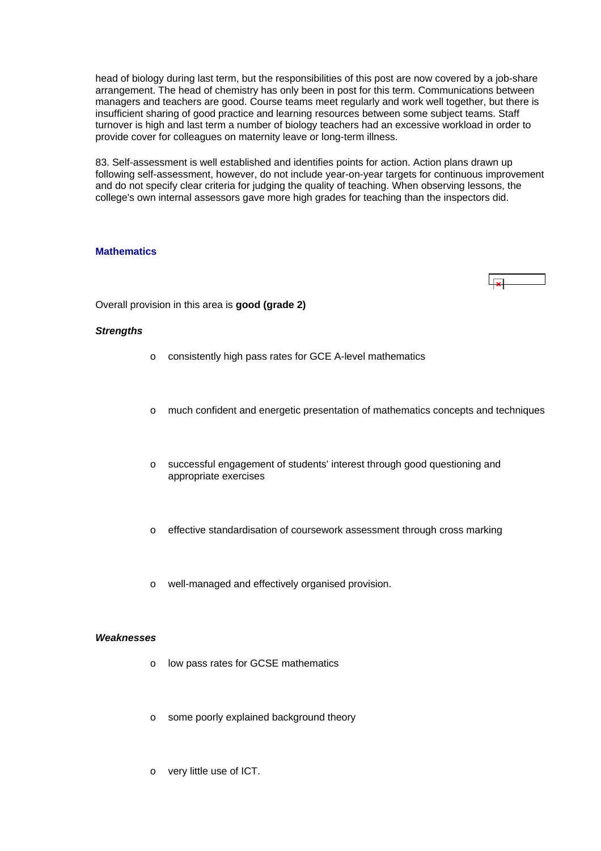<span id="page-21-0"></span>head of biology during last term, but the responsibilities of this post are now covered by a job-share arrangement. The head of chemistry has only been in post for this term. Communications between managers and teachers are good. Course teams meet regularly and work well together, but there is insufficient sharing of good practice and learning resources between some subject teams. Staff turnover is high and last term a number of biology teachers had an excessive workload in order to provide cover for colleagues on maternity leave or long-term illness.

83. Self-assessment is well established and identifies points for action. Action plans drawn up following self-assessment, however, do not include year-on-year targets for continuous improvement and do not specify clear criteria for judging the quality of teaching. When observing lessons, the college's own internal assessors gave more high grades for teaching than the inspectors did.

## **Mathematics**

Overall provision in this area is **good (grade 2)**

#### *Strengths*

- o consistently high pass rates for GCE A-level mathematics
- o much confident and energetic presentation of mathematics concepts and techniques
- o successful engagement of students' interest through good questioning and appropriate exercises
- o effective standardisation of coursework assessment through cross marking
- o well-managed and effectively organised provision.

#### *Weaknesses*

- o low pass rates for GCSE mathematics
- o some poorly explained background theory
- o very little use of ICT.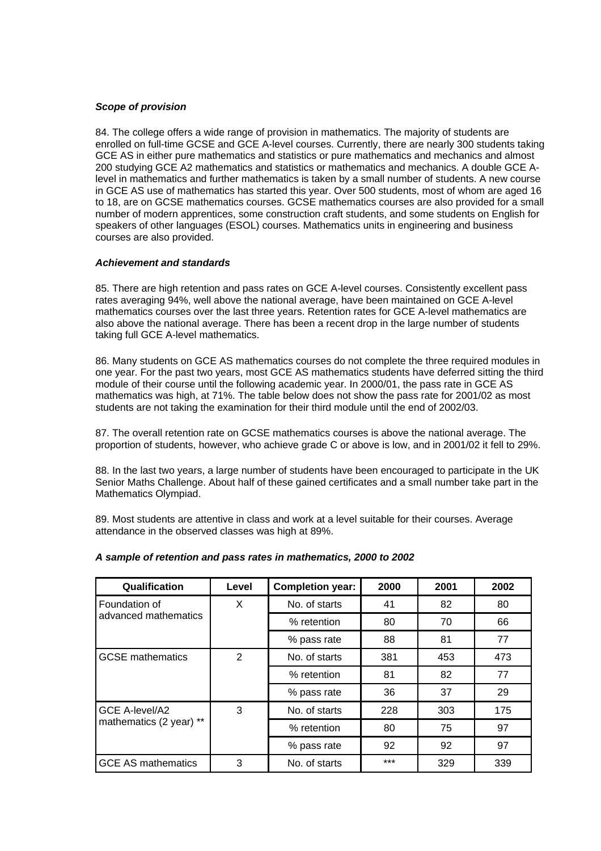## *Scope of provision*

84. The college offers a wide range of provision in mathematics. The majority of students are enrolled on full-time GCSE and GCE A-level courses. Currently, there are nearly 300 students taking GCE AS in either pure mathematics and statistics or pure mathematics and mechanics and almost 200 studying GCE A2 mathematics and statistics or mathematics and mechanics. A double GCE Alevel in mathematics and further mathematics is taken by a small number of students. A new course in GCE AS use of mathematics has started this year. Over 500 students, most of whom are aged 16 to 18, are on GCSE mathematics courses. GCSE mathematics courses are also provided for a small number of modern apprentices, some construction craft students, and some students on English for speakers of other languages (ESOL) courses. Mathematics units in engineering and business courses are also provided.

## *Achievement and standards*

85. There are high retention and pass rates on GCE A-level courses. Consistently excellent pass rates averaging 94%, well above the national average, have been maintained on GCE A-level mathematics courses over the last three years. Retention rates for GCE A-level mathematics are also above the national average. There has been a recent drop in the large number of students taking full GCE A-level mathematics.

86. Many students on GCE AS mathematics courses do not complete the three required modules in one year. For the past two years, most GCE AS mathematics students have deferred sitting the third module of their course until the following academic year. In 2000/01, the pass rate in GCE AS mathematics was high, at 71%. The table below does not show the pass rate for 2001/02 as most students are not taking the examination for their third module until the end of 2002/03.

87. The overall retention rate on GCSE mathematics courses is above the national average. The proportion of students, however, who achieve grade C or above is low, and in 2001/02 it fell to 29%.

88. In the last two years, a large number of students have been encouraged to participate in the UK Senior Maths Challenge. About half of these gained certificates and a small number take part in the Mathematics Olympiad.

89. Most students are attentive in class and work at a level suitable for their courses. Average attendance in the observed classes was high at 89%.

| Qualification             | Level | <b>Completion year:</b> | 2000  | 2001 | 2002 |
|---------------------------|-------|-------------------------|-------|------|------|
| Foundation of             | X     | No. of starts           | 41    | 82   | 80   |
| advanced mathematics      |       | % retention             | 80    | 70   | 66   |
|                           |       | % pass rate             | 88    | 81   | 77   |
| <b>GCSE</b> mathematics   | 2     | No. of starts           | 381   | 453  | 473  |
|                           |       | % retention             | 81    | 82   | 77   |
|                           |       | % pass rate             | 36    | 37   | 29   |
| GCE A-level/A2            | 3     | No. of starts           | 228   | 303  | 175  |
| mathematics (2 year) **   |       | % retention             | 80    | 75   | 97   |
|                           |       | % pass rate             | 92    | 92   | 97   |
| <b>GCE AS mathematics</b> | 3     | No. of starts           | $***$ | 329  | 339  |

#### *A sample of retention and pass rates in mathematics, 2000 to 2002*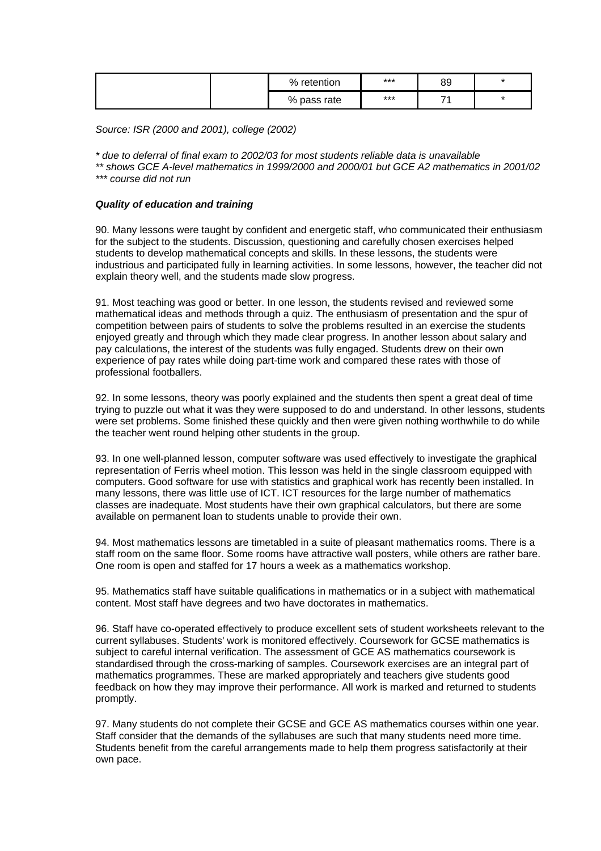|  | % retention | *** | 89 | $\star$ |
|--|-------------|-----|----|---------|
|  | % pass rate | *** | -  | $\star$ |

*Source: ISR (2000 and 2001), college (2002)*

*\* due to deferral of final exam to 2002/03 for most students reliable data is unavailable* 

*\*\* shows GCE A-level mathematics in 1999/2000 and 2000/01 but GCE A2 mathematics in 2001/02 \*\*\* course did not run*

## *Quality of education and training*

90. Many lessons were taught by confident and energetic staff, who communicated their enthusiasm for the subject to the students. Discussion, questioning and carefully chosen exercises helped students to develop mathematical concepts and skills. In these lessons, the students were industrious and participated fully in learning activities. In some lessons, however, the teacher did not explain theory well, and the students made slow progress.

91. Most teaching was good or better. In one lesson, the students revised and reviewed some mathematical ideas and methods through a quiz. The enthusiasm of presentation and the spur of competition between pairs of students to solve the problems resulted in an exercise the students enjoyed greatly and through which they made clear progress. In another lesson about salary and pay calculations, the interest of the students was fully engaged. Students drew on their own experience of pay rates while doing part-time work and compared these rates with those of professional footballers.

92. In some lessons, theory was poorly explained and the students then spent a great deal of time trying to puzzle out what it was they were supposed to do and understand. In other lessons, students were set problems. Some finished these quickly and then were given nothing worthwhile to do while the teacher went round helping other students in the group.

93. In one well-planned lesson, computer software was used effectively to investigate the graphical representation of Ferris wheel motion. This lesson was held in the single classroom equipped with computers. Good software for use with statistics and graphical work has recently been installed. In many lessons, there was little use of ICT. ICT resources for the large number of mathematics classes are inadequate. Most students have their own graphical calculators, but there are some available on permanent loan to students unable to provide their own.

94. Most mathematics lessons are timetabled in a suite of pleasant mathematics rooms. There is a staff room on the same floor. Some rooms have attractive wall posters, while others are rather bare. One room is open and staffed for 17 hours a week as a mathematics workshop.

95. Mathematics staff have suitable qualifications in mathematics or in a subject with mathematical content. Most staff have degrees and two have doctorates in mathematics.

96. Staff have co-operated effectively to produce excellent sets of student worksheets relevant to the current syllabuses. Students' work is monitored effectively. Coursework for GCSE mathematics is subject to careful internal verification. The assessment of GCE AS mathematics coursework is standardised through the cross-marking of samples. Coursework exercises are an integral part of mathematics programmes. These are marked appropriately and teachers give students good feedback on how they may improve their performance. All work is marked and returned to students promptly.

97. Many students do not complete their GCSE and GCE AS mathematics courses within one year. Staff consider that the demands of the syllabuses are such that many students need more time. Students benefit from the careful arrangements made to help them progress satisfactorily at their own pace.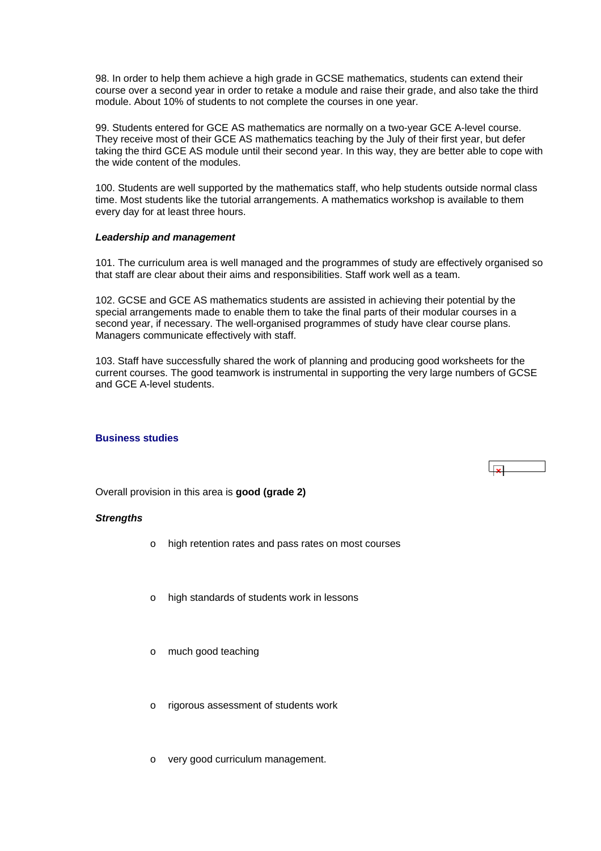<span id="page-24-0"></span>98. In order to help them achieve a high grade in GCSE mathematics, students can extend their course over a second year in order to retake a module and raise their grade, and also take the third module. About 10% of students to not complete the courses in one year.

99. Students entered for GCE AS mathematics are normally on a two-year GCE A-level course. They receive most of their GCE AS mathematics teaching by the July of their first year, but defer taking the third GCE AS module until their second year. In this way, they are better able to cope with the wide content of the modules.

100. Students are well supported by the mathematics staff, who help students outside normal class time. Most students like the tutorial arrangements. A mathematics workshop is available to them every day for at least three hours.

#### *Leadership and management*

101. The curriculum area is well managed and the programmes of study are effectively organised so that staff are clear about their aims and responsibilities. Staff work well as a team.

102. GCSE and GCE AS mathematics students are assisted in achieving their potential by the special arrangements made to enable them to take the final parts of their modular courses in a second year, if necessary. The well-organised programmes of study have clear course plans. Managers communicate effectively with staff.

103. Staff have successfully shared the work of planning and producing good worksheets for the current courses. The good teamwork is instrumental in supporting the very large numbers of GCSE and GCE A-level students.

 $\overline{1}$ 

## **Business studies**

Overall provision in this area is **good (grade 2)**

#### *Strengths*

- o high retention rates and pass rates on most courses
- high standards of students work in lessons
- o much good teaching
- o rigorous assessment of students work
- o very good curriculum management.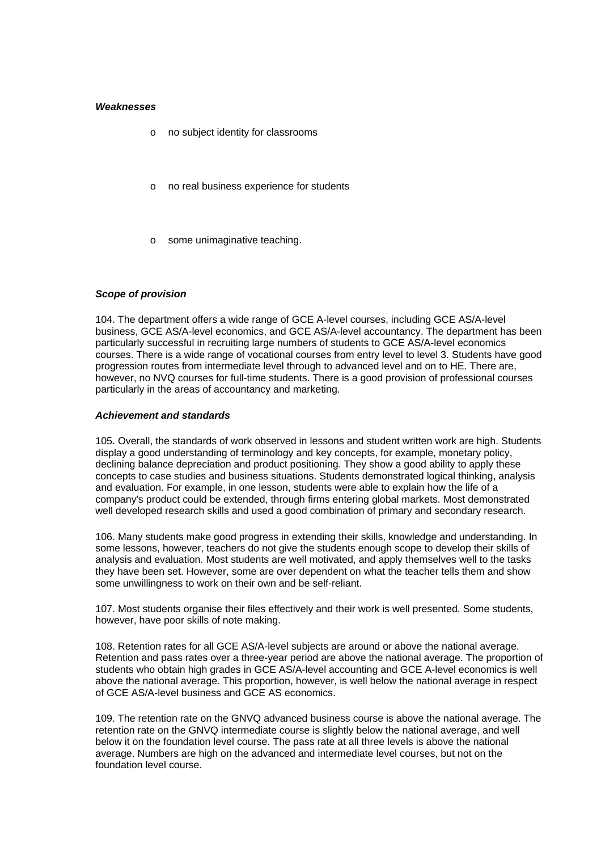#### *Weaknesses*

- o no subject identity for classrooms
- o no real business experience for students
- o some unimaginative teaching.

#### *Scope of provision*

104. The department offers a wide range of GCE A-level courses, including GCE AS/A-level business, GCE AS/A-level economics, and GCE AS/A-level accountancy. The department has been particularly successful in recruiting large numbers of students to GCE AS/A-level economics courses. There is a wide range of vocational courses from entry level to level 3. Students have good progression routes from intermediate level through to advanced level and on to HE. There are, however, no NVQ courses for full-time students. There is a good provision of professional courses particularly in the areas of accountancy and marketing.

#### *Achievement and standards*

105. Overall, the standards of work observed in lessons and student written work are high. Students display a good understanding of terminology and key concepts, for example, monetary policy, declining balance depreciation and product positioning. They show a good ability to apply these concepts to case studies and business situations. Students demonstrated logical thinking, analysis and evaluation. For example, in one lesson, students were able to explain how the life of a company's product could be extended, through firms entering global markets. Most demonstrated well developed research skills and used a good combination of primary and secondary research.

106. Many students make good progress in extending their skills, knowledge and understanding. In some lessons, however, teachers do not give the students enough scope to develop their skills of analysis and evaluation. Most students are well motivated, and apply themselves well to the tasks they have been set. However, some are over dependent on what the teacher tells them and show some unwillingness to work on their own and be self-reliant.

107. Most students organise their files effectively and their work is well presented. Some students, however, have poor skills of note making.

108. Retention rates for all GCE AS/A-level subjects are around or above the national average. Retention and pass rates over a three-year period are above the national average. The proportion of students who obtain high grades in GCE AS/A-level accounting and GCE A-level economics is well above the national average. This proportion, however, is well below the national average in respect of GCE AS/A-level business and GCE AS economics.

109. The retention rate on the GNVQ advanced business course is above the national average. The retention rate on the GNVQ intermediate course is slightly below the national average, and well below it on the foundation level course. The pass rate at all three levels is above the national average. Numbers are high on the advanced and intermediate level courses, but not on the foundation level course.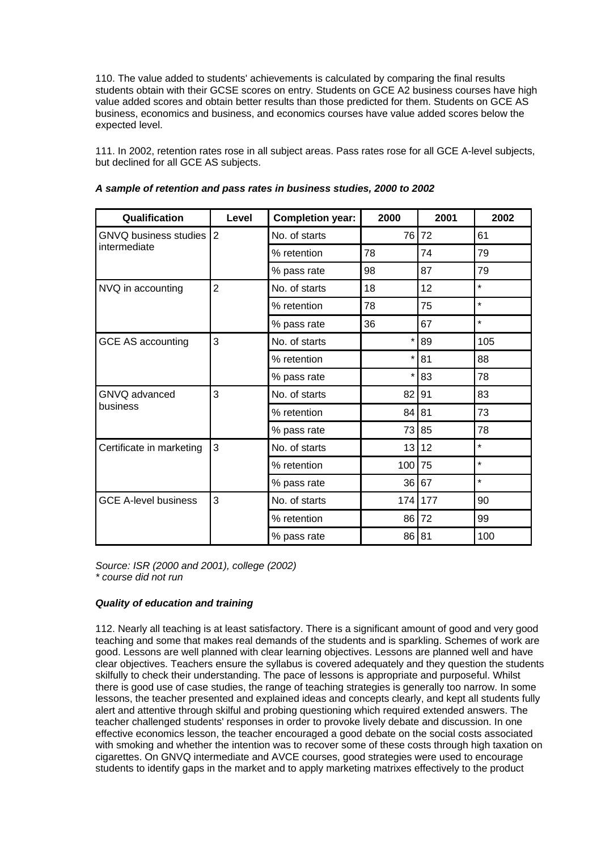110. The value added to students' achievements is calculated by comparing the final results students obtain with their GCSE scores on entry. Students on GCE A2 business courses have high value added scores and obtain better results than those predicted for them. Students on GCE AS business, economics and business, and economics courses have value added scores below the expected level.

111. In 2002, retention rates rose in all subject areas. Pass rates rose for all GCE A-level subjects, but declined for all GCE AS subjects.

| Qualification               | Level          | <b>Completion year:</b> | 2000    | 2001 | 2002    |
|-----------------------------|----------------|-------------------------|---------|------|---------|
| GNVQ business studies 2     |                | No. of starts           | 76 l    | 72   | 61      |
| intermediate                |                | % retention             | 78      | 74   | 79      |
|                             |                | % pass rate             | 98      | 87   | 79      |
| NVQ in accounting           | $\overline{2}$ | No. of starts           | 18      | 12   | $\star$ |
|                             |                | % retention             | 78      | 75   | $\star$ |
|                             |                | % pass rate             | 36      | 67   | $\star$ |
| <b>GCE AS accounting</b>    | 3              | No. of starts           | *       | 89   | 105     |
|                             |                | % retention             | *       | 81   | 88      |
|                             |                | % pass rate             | $\star$ | 83   | 78      |
| GNVQ advanced<br>business   | 3              | No. of starts           | 82      | 91   | 83      |
|                             |                | % retention             | 84      | 81   | 73      |
|                             |                | % pass rate             | 73      | 85   | 78      |
| Certificate in marketing    | 3              | No. of starts           | 13      | 12   | $\star$ |
|                             |                | % retention             | 100     | 75   | $\star$ |
|                             |                | % pass rate             | 36      | 67   | $\star$ |
| <b>GCE A-level business</b> | 3              | No. of starts           | 174     | 177  | 90      |
|                             |                | % retention             | 86      | 72   | 99      |
|                             |                | % pass rate             | 86      | 81   | 100     |

## *A sample of retention and pass rates in business studies, 2000 to 2002*

*Source: ISR (2000 and 2001), college (2002) \* course did not run*

## *Quality of education and training*

112. Nearly all teaching is at least satisfactory. There is a significant amount of good and very good teaching and some that makes real demands of the students and is sparkling. Schemes of work are good. Lessons are well planned with clear learning objectives. Lessons are planned well and have clear objectives. Teachers ensure the syllabus is covered adequately and they question the students skilfully to check their understanding. The pace of lessons is appropriate and purposeful. Whilst there is good use of case studies, the range of teaching strategies is generally too narrow. In some lessons, the teacher presented and explained ideas and concepts clearly, and kept all students fully alert and attentive through skilful and probing questioning which required extended answers. The teacher challenged students' responses in order to provoke lively debate and discussion. In one effective economics lesson, the teacher encouraged a good debate on the social costs associated with smoking and whether the intention was to recover some of these costs through high taxation on cigarettes. On GNVQ intermediate and AVCE courses, good strategies were used to encourage students to identify gaps in the market and to apply marketing matrixes effectively to the product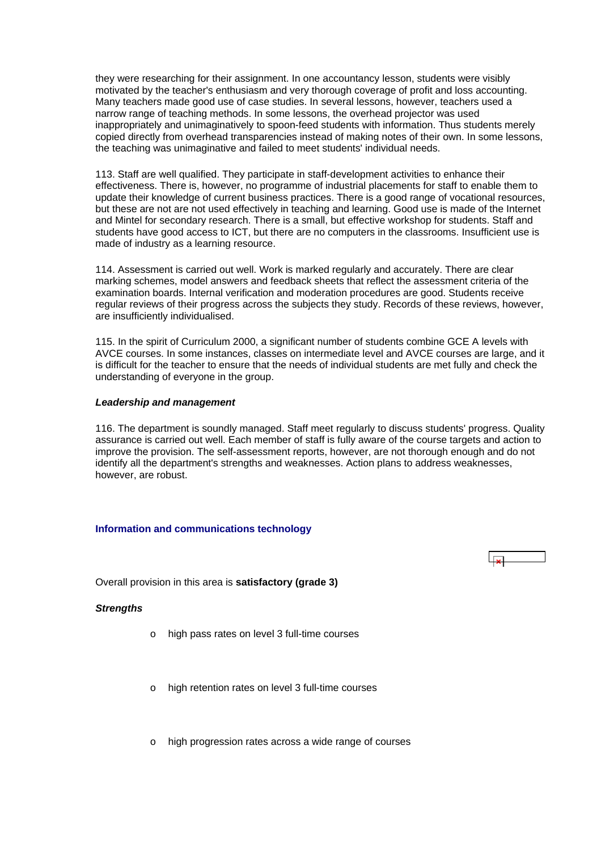<span id="page-27-0"></span>they were researching for their assignment. In one accountancy lesson, students were visibly motivated by the teacher's enthusiasm and very thorough coverage of profit and loss accounting. Many teachers made good use of case studies. In several lessons, however, teachers used a narrow range of teaching methods. In some lessons, the overhead projector was used inappropriately and unimaginatively to spoon-feed students with information. Thus students merely copied directly from overhead transparencies instead of making notes of their own. In some lessons, the teaching was unimaginative and failed to meet students' individual needs.

113. Staff are well qualified. They participate in staff-development activities to enhance their effectiveness. There is, however, no programme of industrial placements for staff to enable them to update their knowledge of current business practices. There is a good range of vocational resources, but these are not are not used effectively in teaching and learning. Good use is made of the Internet and Mintel for secondary research. There is a small, but effective workshop for students. Staff and students have good access to ICT, but there are no computers in the classrooms. Insufficient use is made of industry as a learning resource.

114. Assessment is carried out well. Work is marked regularly and accurately. There are clear marking schemes, model answers and feedback sheets that reflect the assessment criteria of the examination boards. Internal verification and moderation procedures are good. Students receive regular reviews of their progress across the subjects they study. Records of these reviews, however, are insufficiently individualised.

115. In the spirit of Curriculum 2000, a significant number of students combine GCE A levels with AVCE courses. In some instances, classes on intermediate level and AVCE courses are large, and it is difficult for the teacher to ensure that the needs of individual students are met fully and check the understanding of everyone in the group.

#### *Leadership and management*

116. The department is soundly managed. Staff meet regularly to discuss students' progress. Quality assurance is carried out well. Each member of staff is fully aware of the course targets and action to improve the provision. The self-assessment reports, however, are not thorough enough and do not identify all the department's strengths and weaknesses. Action plans to address weaknesses, however, are robust.

#### **Information and communications technology**

Overall provision in this area is **satisfactory (grade 3)**

## *Strengths*

- o high pass rates on level 3 full-time courses
- o high retention rates on level 3 full-time courses
- high progression rates across a wide range of courses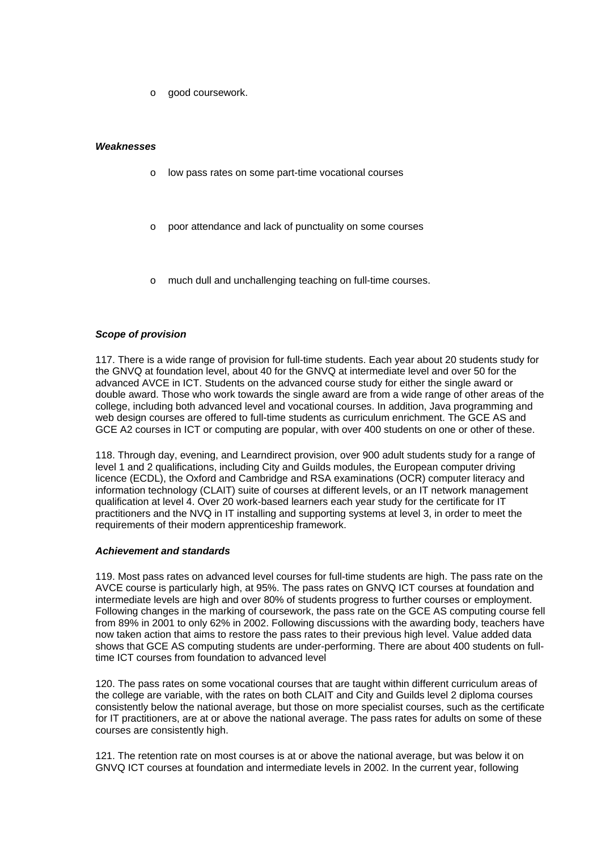o good coursework.

#### *Weaknesses*

- o low pass rates on some part-time vocational courses
- poor attendance and lack of punctuality on some courses
- much dull and unchallenging teaching on full-time courses.

#### *Scope of provision*

117. There is a wide range of provision for full-time students. Each year about 20 students study for the GNVQ at foundation level, about 40 for the GNVQ at intermediate level and over 50 for the advanced AVCE in ICT. Students on the advanced course study for either the single award or double award. Those who work towards the single award are from a wide range of other areas of the college, including both advanced level and vocational courses. In addition, Java programming and web design courses are offered to full-time students as curriculum enrichment. The GCE AS and GCE A2 courses in ICT or computing are popular, with over 400 students on one or other of these.

118. Through day, evening, and Learndirect provision, over 900 adult students study for a range of level 1 and 2 qualifications, including City and Guilds modules, the European computer driving licence (ECDL), the Oxford and Cambridge and RSA examinations (OCR) computer literacy and information technology (CLAIT) suite of courses at different levels, or an IT network management qualification at level 4. Over 20 work-based learners each year study for the certificate for IT practitioners and the NVQ in IT installing and supporting systems at level 3, in order to meet the requirements of their modern apprenticeship framework.

#### *Achievement and standards*

119. Most pass rates on advanced level courses for full-time students are high. The pass rate on the AVCE course is particularly high, at 95%. The pass rates on GNVQ ICT courses at foundation and intermediate levels are high and over 80% of students progress to further courses or employment. Following changes in the marking of coursework, the pass rate on the GCE AS computing course fell from 89% in 2001 to only 62% in 2002. Following discussions with the awarding body, teachers have now taken action that aims to restore the pass rates to their previous high level. Value added data shows that GCE AS computing students are under-performing. There are about 400 students on fulltime ICT courses from foundation to advanced level

120. The pass rates on some vocational courses that are taught within different curriculum areas of the college are variable, with the rates on both CLAIT and City and Guilds level 2 diploma courses consistently below the national average, but those on more specialist courses, such as the certificate for IT practitioners, are at or above the national average. The pass rates for adults on some of these courses are consistently high.

121. The retention rate on most courses is at or above the national average, but was below it on GNVQ ICT courses at foundation and intermediate levels in 2002. In the current year, following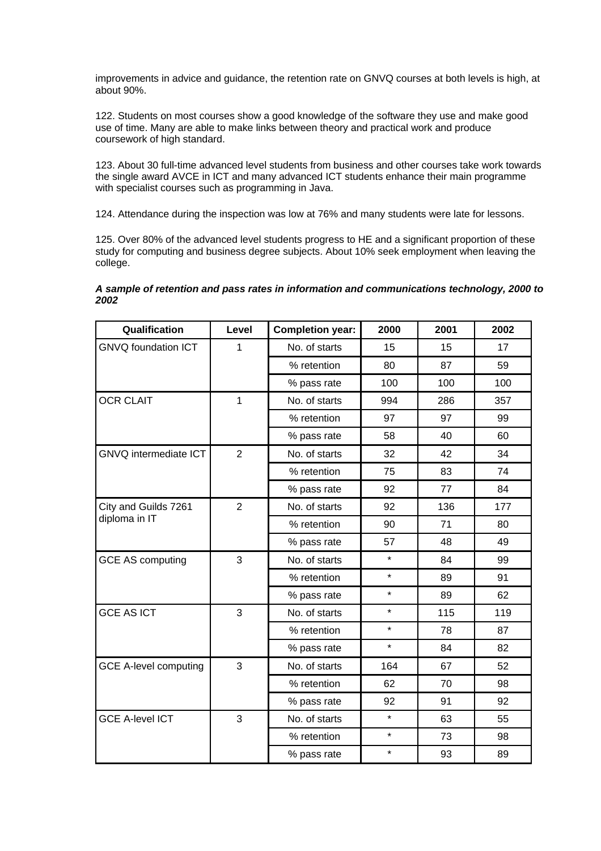improvements in advice and guidance, the retention rate on GNVQ courses at both levels is high, at about 90%.

122. Students on most courses show a good knowledge of the software they use and make good use of time. Many are able to make links between theory and practical work and produce coursework of high standard.

123. About 30 full-time advanced level students from business and other courses take work towards the single award AVCE in ICT and many advanced ICT students enhance their main programme with specialist courses such as programming in Java.

124. Attendance during the inspection was low at 76% and many students were late for lessons.

125. Over 80% of the advanced level students progress to HE and a significant proportion of these study for computing and business degree subjects. About 10% seek employment when leaving the college.

*A sample of retention and pass rates in information and communications technology, 2000 to 2002*

| Qualification                | Level          | <b>Completion year:</b> | 2000    | 2001 | 2002 |
|------------------------------|----------------|-------------------------|---------|------|------|
| <b>GNVQ foundation ICT</b>   | 1              | No. of starts           | 15      | 15   | 17   |
|                              |                | % retention             | 80      | 87   | 59   |
|                              |                | % pass rate             | 100     | 100  | 100  |
| <b>OCR CLAIT</b>             | 1              | No. of starts           | 994     | 286  | 357  |
|                              |                | % retention             | 97      | 97   | 99   |
|                              |                | % pass rate             | 58      | 40   | 60   |
| GNVQ intermediate ICT        | $\overline{2}$ | No. of starts           | 32      | 42   | 34   |
|                              |                | % retention             | 75      | 83   | 74   |
|                              |                | % pass rate             | 92      | 77   | 84   |
| City and Guilds 7261         | $\overline{2}$ | No. of starts           | 92      | 136  | 177  |
| diploma in IT                |                | % retention             | 90      | 71   | 80   |
|                              |                | % pass rate             | 57      | 48   | 49   |
| <b>GCE AS computing</b>      | 3              | No. of starts           | $\star$ | 84   | 99   |
|                              |                | % retention             | $\star$ | 89   | 91   |
|                              |                | % pass rate             | $\star$ | 89   | 62   |
| <b>GCE AS ICT</b>            | 3              | No. of starts           | $\star$ | 115  | 119  |
|                              |                | % retention             | $\star$ | 78   | 87   |
|                              |                | % pass rate             | $\star$ | 84   | 82   |
| <b>GCE A-level computing</b> | 3              | No. of starts           | 164     | 67   | 52   |
|                              |                | % retention             | 62      | 70   | 98   |
|                              |                | % pass rate             | 92      | 91   | 92   |
| <b>GCE A-level ICT</b>       | 3              | No. of starts           | $\star$ | 63   | 55   |
|                              |                | % retention             | $\star$ | 73   | 98   |
|                              |                | % pass rate             | $\star$ | 93   | 89   |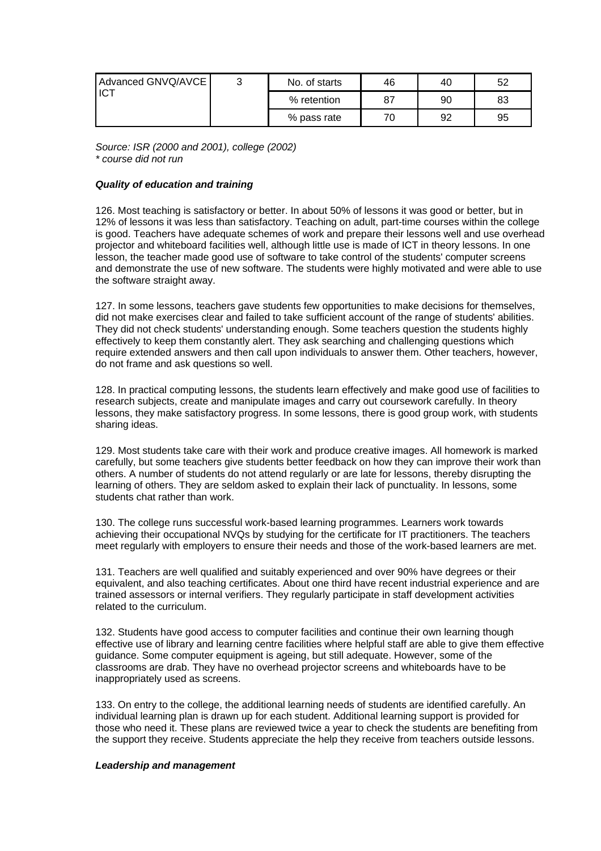| Advanced GNVQ/AVCE<br>ICT | ົ | No. of starts | 46 | 40 | 52 |
|---------------------------|---|---------------|----|----|----|
|                           |   | % retention   | 87 | 90 | 83 |
|                           |   | % pass rate   | 70 | 92 | 95 |

*Source: ISR (2000 and 2001), college (2002) \* course did not run*

## *Quality of education and training*

126. Most teaching is satisfactory or better. In about 50% of lessons it was good or better, but in 12% of lessons it was less than satisfactory. Teaching on adult, part-time courses within the college is good. Teachers have adequate schemes of work and prepare their lessons well and use overhead projector and whiteboard facilities well, although little use is made of ICT in theory lessons. In one lesson, the teacher made good use of software to take control of the students' computer screens and demonstrate the use of new software. The students were highly motivated and were able to use the software straight away.

127. In some lessons, teachers gave students few opportunities to make decisions for themselves, did not make exercises clear and failed to take sufficient account of the range of students' abilities. They did not check students' understanding enough. Some teachers question the students highly effectively to keep them constantly alert. They ask searching and challenging questions which require extended answers and then call upon individuals to answer them. Other teachers, however, do not frame and ask questions so well.

128. In practical computing lessons, the students learn effectively and make good use of facilities to research subjects, create and manipulate images and carry out coursework carefully. In theory lessons, they make satisfactory progress. In some lessons, there is good group work, with students sharing ideas.

129. Most students take care with their work and produce creative images. All homework is marked carefully, but some teachers give students better feedback on how they can improve their work than others. A number of students do not attend regularly or are late for lessons, thereby disrupting the learning of others. They are seldom asked to explain their lack of punctuality. In lessons, some students chat rather than work.

130. The college runs successful work-based learning programmes. Learners work towards achieving their occupational NVQs by studying for the certificate for IT practitioners. The teachers meet regularly with employers to ensure their needs and those of the work-based learners are met.

131. Teachers are well qualified and suitably experienced and over 90% have degrees or their equivalent, and also teaching certificates. About one third have recent industrial experience and are trained assessors or internal verifiers. They regularly participate in staff development activities related to the curriculum.

132. Students have good access to computer facilities and continue their own learning though effective use of library and learning centre facilities where helpful staff are able to give them effective guidance. Some computer equipment is ageing, but still adequate. However, some of the classrooms are drab. They have no overhead projector screens and whiteboards have to be inappropriately used as screens.

133. On entry to the college, the additional learning needs of students are identified carefully. An individual learning plan is drawn up for each student. Additional learning support is provided for those who need it. These plans are reviewed twice a year to check the students are benefiting from the support they receive. Students appreciate the help they receive from teachers outside lessons.

#### *Leadership and management*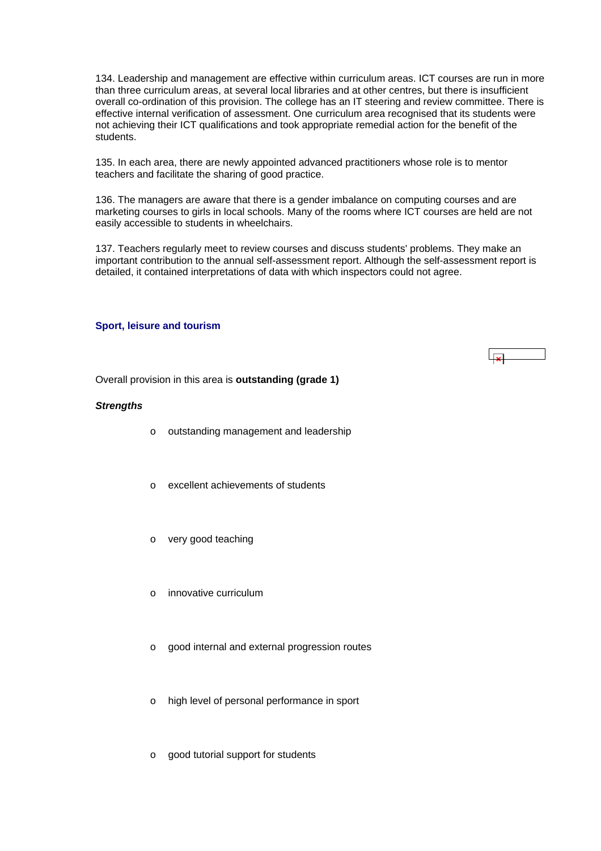<span id="page-31-0"></span>134. Leadership and management are effective within curriculum areas. ICT courses are run in more than three curriculum areas, at several local libraries and at other centres, but there is insufficient overall co-ordination of this provision. The college has an IT steering and review committee. There is effective internal verification of assessment. One curriculum area recognised that its students were not achieving their ICT qualifications and took appropriate remedial action for the benefit of the students.

135. In each area, there are newly appointed advanced practitioners whose role is to mentor teachers and facilitate the sharing of good practice.

136. The managers are aware that there is a gender imbalance on computing courses and are marketing courses to girls in local schools. Many of the rooms where ICT courses are held are not easily accessible to students in wheelchairs.

137. Teachers regularly meet to review courses and discuss students' problems. They make an important contribution to the annual self-assessment report. Although the self-assessment report is detailed, it contained interpretations of data with which inspectors could not agree.

#### **Sport, leisure and tourism**

 $\overline{1}$ 

Overall provision in this area is **outstanding (grade 1)**

#### *Strengths*

- o outstanding management and leadership
- o excellent achievements of students
- o very good teaching
- o innovative curriculum
- o good internal and external progression routes
- o high level of personal performance in sport
- o good tutorial support for students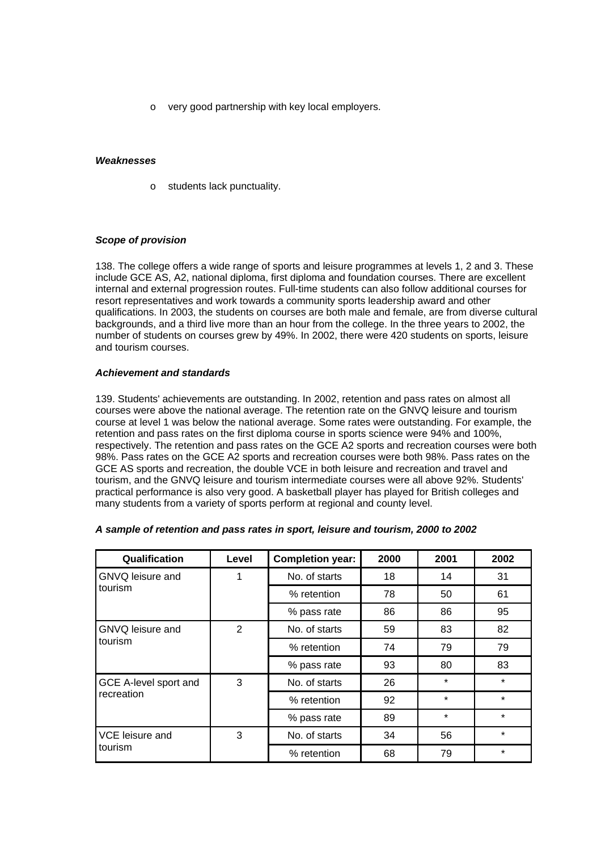o very good partnership with key local employers.

## *Weaknesses*

o students lack punctuality.

## *Scope of provision*

138. The college offers a wide range of sports and leisure programmes at levels 1, 2 and 3. These include GCE AS, A2, national diploma, first diploma and foundation courses. There are excellent internal and external progression routes. Full-time students can also follow additional courses for resort representatives and work towards a community sports leadership award and other qualifications. In 2003, the students on courses are both male and female, are from diverse cultural backgrounds, and a third live more than an hour from the college. In the three years to 2002, the number of students on courses grew by 49%. In 2002, there were 420 students on sports, leisure and tourism courses.

## *Achievement and standards*

139. Students' achievements are outstanding. In 2002, retention and pass rates on almost all courses were above the national average. The retention rate on the GNVQ leisure and tourism course at level 1 was below the national average. Some rates were outstanding. For example, the retention and pass rates on the first diploma course in sports science were 94% and 100%, respectively. The retention and pass rates on the GCE A2 sports and recreation courses were both 98%. Pass rates on the GCE A2 sports and recreation courses were both 98%. Pass rates on the GCE AS sports and recreation, the double VCE in both leisure and recreation and travel and tourism, and the GNVQ leisure and tourism intermediate courses were all above 92%. Students' practical performance is also very good. A basketball player has played for British colleges and many students from a variety of sports perform at regional and county level.

| Qualification         | Level | <b>Completion year:</b> | 2000 | 2001    | 2002    |
|-----------------------|-------|-------------------------|------|---------|---------|
| GNVQ leisure and      | 1     | No. of starts           | 18   | 14      | 31      |
| tourism               |       | % retention             | 78   | 50      | 61      |
|                       |       | % pass rate             | 86   | 86      | 95      |
| GNVQ leisure and      | 2     | No. of starts           | 59   | 83      | 82      |
| tourism               |       | % retention             | 74   | 79      | 79      |
|                       |       | % pass rate             | 93   | 80      | 83      |
| GCE A-level sport and | 3     | No. of starts           | 26   | $\star$ | $\star$ |
| recreation            |       | % retention             | 92   | $\star$ | $\star$ |
|                       |       | % pass rate             | 89   | $\star$ | $\star$ |
| VCE leisure and       | 3     | No. of starts           | 34   | 56      | $\star$ |
| tourism               |       | % retention             | 68   | 79      | $\star$ |

#### *A sample of retention and pass rates in sport, leisure and tourism, 2000 to 2002*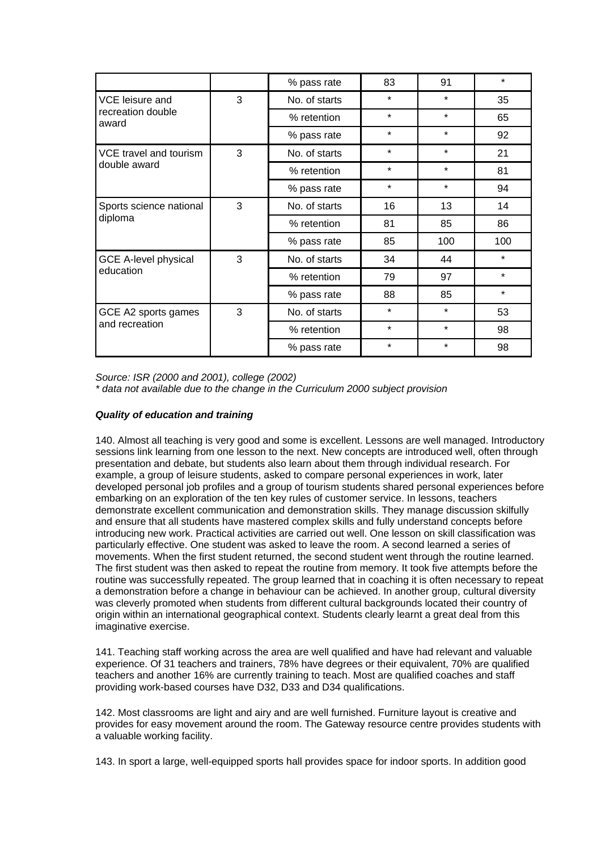|                                       |   | % pass rate   | 83      | 91      | $\star$ |
|---------------------------------------|---|---------------|---------|---------|---------|
| VCE leisure and                       | 3 | No. of starts | $\star$ | $\star$ | 35      |
| recreation double<br>award            |   | % retention   | $\star$ | $\star$ | 65      |
|                                       |   | % pass rate   | $\star$ | $\star$ | 92      |
| VCE travel and tourism                | 3 | No. of starts | $\star$ | $\star$ | 21      |
| double award                          |   | % retention   | $\star$ | $\star$ | 81      |
|                                       |   | % pass rate   | $\star$ | $\star$ | 94      |
| Sports science national               | 3 | No. of starts | 16      | 13      | 14      |
| diploma                               |   | % retention   | 81      | 85      | 86      |
|                                       |   | % pass rate   | 85      | 100     | 100     |
| <b>GCE A-level physical</b>           | 3 | No. of starts | 34      | 44      | $\star$ |
| education                             |   | % retention   | 79      | 97      | $\star$ |
|                                       |   | % pass rate   | 88      | 85      | $\star$ |
| GCE A2 sports games<br>and recreation | 3 | No. of starts | $\star$ | *       | 53      |
|                                       |   | % retention   | $\star$ | $\star$ | 98      |
|                                       |   | % pass rate   | $\star$ | $\star$ | 98      |

*Source: ISR (2000 and 2001), college (2002) \* data not available due to the change in the Curriculum 2000 subject provision*

## *Quality of education and training*

140. Almost all teaching is very good and some is excellent. Lessons are well managed. Introductory sessions link learning from one lesson to the next. New concepts are introduced well, often through presentation and debate, but students also learn about them through individual research. For example, a group of leisure students, asked to compare personal experiences in work, later developed personal job profiles and a group of tourism students shared personal experiences before embarking on an exploration of the ten key rules of customer service. In lessons, teachers demonstrate excellent communication and demonstration skills. They manage discussion skilfully and ensure that all students have mastered complex skills and fully understand concepts before introducing new work. Practical activities are carried out well. One lesson on skill classification was particularly effective. One student was asked to leave the room. A second learned a series of movements. When the first student returned, the second student went through the routine learned. The first student was then asked to repeat the routine from memory. It took five attempts before the routine was successfully repeated. The group learned that in coaching it is often necessary to repeat a demonstration before a change in behaviour can be achieved. In another group, cultural diversity was cleverly promoted when students from different cultural backgrounds located their country of origin within an international geographical context. Students clearly learnt a great deal from this imaginative exercise.

141. Teaching staff working across the area are well qualified and have had relevant and valuable experience. Of 31 teachers and trainers, 78% have degrees or their equivalent, 70% are qualified teachers and another 16% are currently training to teach. Most are qualified coaches and staff providing work-based courses have D32, D33 and D34 qualifications.

142. Most classrooms are light and airy and are well furnished. Furniture layout is creative and provides for easy movement around the room. The Gateway resource centre provides students with a valuable working facility.

143. In sport a large, well-equipped sports hall provides space for indoor sports. In addition good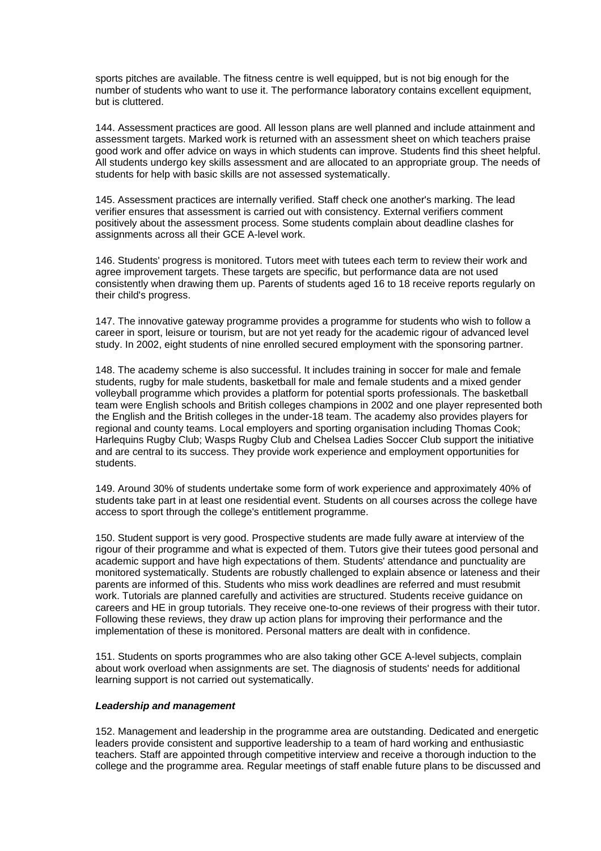sports pitches are available. The fitness centre is well equipped, but is not big enough for the number of students who want to use it. The performance laboratory contains excellent equipment, but is cluttered.

144. Assessment practices are good. All lesson plans are well planned and include attainment and assessment targets. Marked work is returned with an assessment sheet on which teachers praise good work and offer advice on ways in which students can improve. Students find this sheet helpful. All students undergo key skills assessment and are allocated to an appropriate group. The needs of students for help with basic skills are not assessed systematically.

145. Assessment practices are internally verified. Staff check one another's marking. The lead verifier ensures that assessment is carried out with consistency. External verifiers comment positively about the assessment process. Some students complain about deadline clashes for assignments across all their GCE A-level work.

146. Students' progress is monitored. Tutors meet with tutees each term to review their work and agree improvement targets. These targets are specific, but performance data are not used consistently when drawing them up. Parents of students aged 16 to 18 receive reports regularly on their child's progress.

147. The innovative gateway programme provides a programme for students who wish to follow a career in sport, leisure or tourism, but are not yet ready for the academic rigour of advanced level study. In 2002, eight students of nine enrolled secured employment with the sponsoring partner.

148. The academy scheme is also successful. It includes training in soccer for male and female students, rugby for male students, basketball for male and female students and a mixed gender volleyball programme which provides a platform for potential sports professionals. The basketball team were English schools and British colleges champions in 2002 and one player represented both the English and the British colleges in the under-18 team. The academy also provides players for regional and county teams. Local employers and sporting organisation including Thomas Cook; Harlequins Rugby Club; Wasps Rugby Club and Chelsea Ladies Soccer Club support the initiative and are central to its success. They provide work experience and employment opportunities for students.

149. Around 30% of students undertake some form of work experience and approximately 40% of students take part in at least one residential event. Students on all courses across the college have access to sport through the college's entitlement programme.

150. Student support is very good. Prospective students are made fully aware at interview of the rigour of their programme and what is expected of them. Tutors give their tutees good personal and academic support and have high expectations of them. Students' attendance and punctuality are monitored systematically. Students are robustly challenged to explain absence or lateness and their parents are informed of this. Students who miss work deadlines are referred and must resubmit work. Tutorials are planned carefully and activities are structured. Students receive guidance on careers and HE in group tutorials. They receive one-to-one reviews of their progress with their tutor. Following these reviews, they draw up action plans for improving their performance and the implementation of these is monitored. Personal matters are dealt with in confidence.

151. Students on sports programmes who are also taking other GCE A-level subjects, complain about work overload when assignments are set. The diagnosis of students' needs for additional learning support is not carried out systematically.

#### *Leadership and management*

152. Management and leadership in the programme area are outstanding. Dedicated and energetic leaders provide consistent and supportive leadership to a team of hard working and enthusiastic teachers. Staff are appointed through competitive interview and receive a thorough induction to the college and the programme area. Regular meetings of staff enable future plans to be discussed and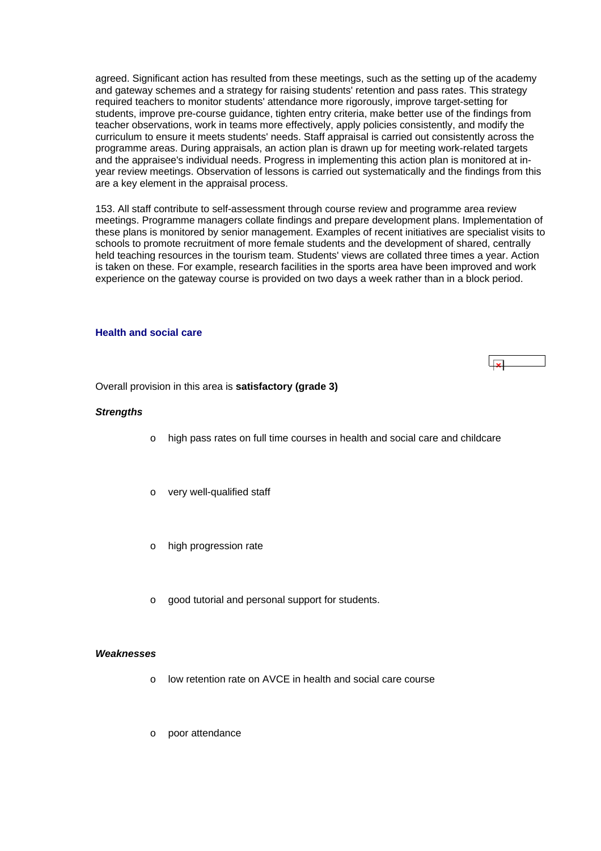<span id="page-35-0"></span>agreed. Significant action has resulted from these meetings, such as the setting up of the academy and gateway schemes and a strategy for raising students' retention and pass rates. This strategy required teachers to monitor students' attendance more rigorously, improve target-setting for students, improve pre-course guidance, tighten entry criteria, make better use of the findings from teacher observations, work in teams more effectively, apply policies consistently, and modify the curriculum to ensure it meets students' needs. Staff appraisal is carried out consistently across the programme areas. During appraisals, an action plan is drawn up for meeting work-related targets and the appraisee's individual needs. Progress in implementing this action plan is monitored at inyear review meetings. Observation of lessons is carried out systematically and the findings from this are a key element in the appraisal process.

153. All staff contribute to self-assessment through course review and programme area review meetings. Programme managers collate findings and prepare development plans. Implementation of these plans is monitored by senior management. Examples of recent initiatives are specialist visits to schools to promote recruitment of more female students and the development of shared, centrally held teaching resources in the tourism team. Students' views are collated three times a year. Action is taken on these. For example, research facilities in the sports area have been improved and work experience on the gateway course is provided on two days a week rather than in a block period.

#### **Health and social care**



Overall provision in this area is **satisfactory (grade 3)**

#### *Strengths*

- o high pass rates on full time courses in health and social care and childcare
- o very well-qualified staff
- o high progression rate
- o good tutorial and personal support for students.

#### *Weaknesses*

- o low retention rate on AVCE in health and social care course
- o poor attendance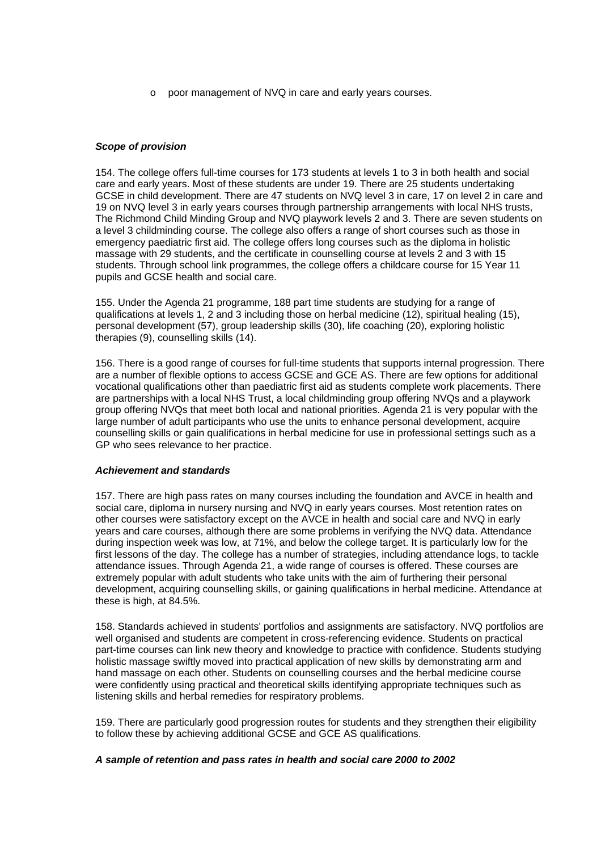poor management of NVQ in care and early years courses.

## *Scope of provision*

154. The college offers full-time courses for 173 students at levels 1 to 3 in both health and social care and early years. Most of these students are under 19. There are 25 students undertaking GCSE in child development. There are 47 students on NVQ level 3 in care, 17 on level 2 in care and 19 on NVQ level 3 in early years courses through partnership arrangements with local NHS trusts, The Richmond Child Minding Group and NVQ playwork levels 2 and 3. There are seven students on a level 3 childminding course. The college also offers a range of short courses such as those in emergency paediatric first aid. The college offers long courses such as the diploma in holistic massage with 29 students, and the certificate in counselling course at levels 2 and 3 with 15 students. Through school link programmes, the college offers a childcare course for 15 Year 11 pupils and GCSE health and social care.

155. Under the Agenda 21 programme, 188 part time students are studying for a range of qualifications at levels 1, 2 and 3 including those on herbal medicine (12), spiritual healing (15), personal development (57), group leadership skills (30), life coaching (20), exploring holistic therapies (9), counselling skills (14).

156. There is a good range of courses for full-time students that supports internal progression. There are a number of flexible options to access GCSE and GCE AS. There are few options for additional vocational qualifications other than paediatric first aid as students complete work placements. There are partnerships with a local NHS Trust, a local childminding group offering NVQs and a playwork group offering NVQs that meet both local and national priorities. Agenda 21 is very popular with the large number of adult participants who use the units to enhance personal development, acquire counselling skills or gain qualifications in herbal medicine for use in professional settings such as a GP who sees relevance to her practice.

#### *Achievement and standards*

157. There are high pass rates on many courses including the foundation and AVCE in health and social care, diploma in nursery nursing and NVQ in early years courses. Most retention rates on other courses were satisfactory except on the AVCE in health and social care and NVQ in early years and care courses, although there are some problems in verifying the NVQ data. Attendance during inspection week was low, at 71%, and below the college target. It is particularly low for the first lessons of the day. The college has a number of strategies, including attendance logs, to tackle attendance issues. Through Agenda 21, a wide range of courses is offered. These courses are extremely popular with adult students who take units with the aim of furthering their personal development, acquiring counselling skills, or gaining qualifications in herbal medicine. Attendance at these is high, at 84.5%.

158. Standards achieved in students' portfolios and assignments are satisfactory. NVQ portfolios are well organised and students are competent in cross-referencing evidence. Students on practical part-time courses can link new theory and knowledge to practice with confidence. Students studying holistic massage swiftly moved into practical application of new skills by demonstrating arm and hand massage on each other. Students on counselling courses and the herbal medicine course were confidently using practical and theoretical skills identifying appropriate techniques such as listening skills and herbal remedies for respiratory problems.

159. There are particularly good progression routes for students and they strengthen their eligibility to follow these by achieving additional GCSE and GCE AS qualifications.

## *A sample of retention and pass rates in health and social care 2000 to 2002*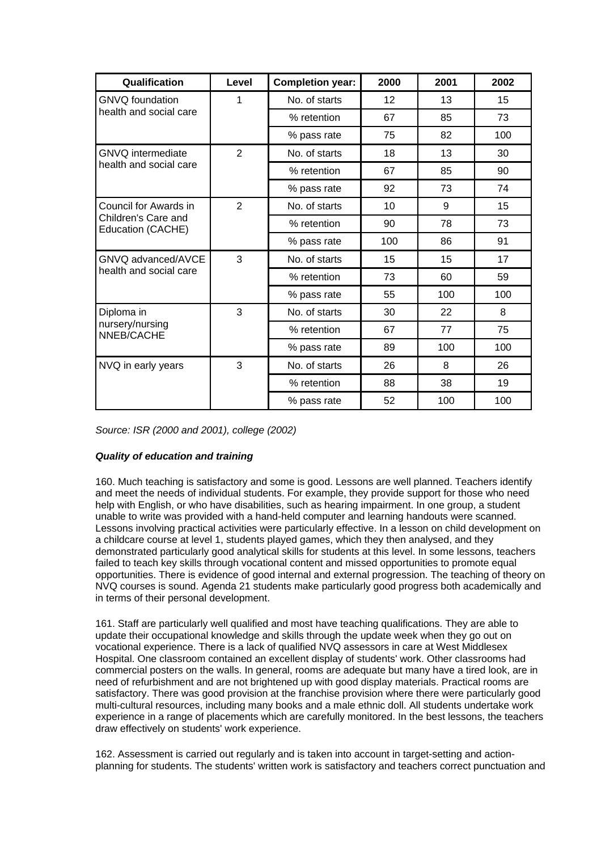| Qualification                            | Level          | <b>Completion year:</b> | 2000 | 2001 | 2002 |
|------------------------------------------|----------------|-------------------------|------|------|------|
| <b>GNVQ</b> foundation                   | 1              | No. of starts           | 12   | 13   | 15   |
| health and social care                   |                | % retention             | 67   | 85   | 73   |
|                                          |                | % pass rate             | 75   | 82   | 100  |
| GNVQ intermediate                        | 2              | No. of starts           | 18   | 13   | 30   |
| health and social care                   |                | % retention             | 67   | 85   | 90   |
|                                          |                | % pass rate             | 92   | 73   | 74   |
| Council for Awards in                    | $\overline{2}$ | No. of starts           | 10   | 9    | 15   |
| Children's Care and<br>Education (CACHE) |                | % retention             | 90   | 78   | 73   |
|                                          |                | % pass rate             | 100  | 86   | 91   |
| GNVQ advanced/AVCE                       | 3              | No. of starts           | 15   | 15   | 17   |
| health and social care                   |                | % retention             | 73   | 60   | 59   |
|                                          |                | % pass rate             | 55   | 100  | 100  |
| Diploma in                               | 3              | No. of starts           | 30   | 22   | 8    |
| nursery/nursing<br>NNEB/CACHE            |                | % retention             | 67   | 77   | 75   |
|                                          |                | % pass rate             | 89   | 100  | 100  |
| NVQ in early years                       | 3              | No. of starts           | 26   | 8    | 26   |
|                                          |                | % retention             | 88   | 38   | 19   |
|                                          |                | % pass rate             | 52   | 100  | 100  |

*Source: ISR (2000 and 2001), college (2002)*

## *Quality of education and training*

160. Much teaching is satisfactory and some is good. Lessons are well planned. Teachers identify and meet the needs of individual students. For example, they provide support for those who need help with English, or who have disabilities, such as hearing impairment. In one group, a student unable to write was provided with a hand-held computer and learning handouts were scanned. Lessons involving practical activities were particularly effective. In a lesson on child development on a childcare course at level 1, students played games, which they then analysed, and they demonstrated particularly good analytical skills for students at this level. In some lessons, teachers failed to teach key skills through vocational content and missed opportunities to promote equal opportunities. There is evidence of good internal and external progression. The teaching of theory on NVQ courses is sound. Agenda 21 students make particularly good progress both academically and in terms of their personal development.

161. Staff are particularly well qualified and most have teaching qualifications. They are able to update their occupational knowledge and skills through the update week when they go out on vocational experience. There is a lack of qualified NVQ assessors in care at West Middlesex Hospital. One classroom contained an excellent display of students' work. Other classrooms had commercial posters on the walls. In general, rooms are adequate but many have a tired look, are in need of refurbishment and are not brightened up with good display materials. Practical rooms are satisfactory. There was good provision at the franchise provision where there were particularly good multi-cultural resources, including many books and a male ethnic doll. All students undertake work experience in a range of placements which are carefully monitored. In the best lessons, the teachers draw effectively on students' work experience.

162. Assessment is carried out regularly and is taken into account in target-setting and actionplanning for students. The students' written work is satisfactory and teachers correct punctuation and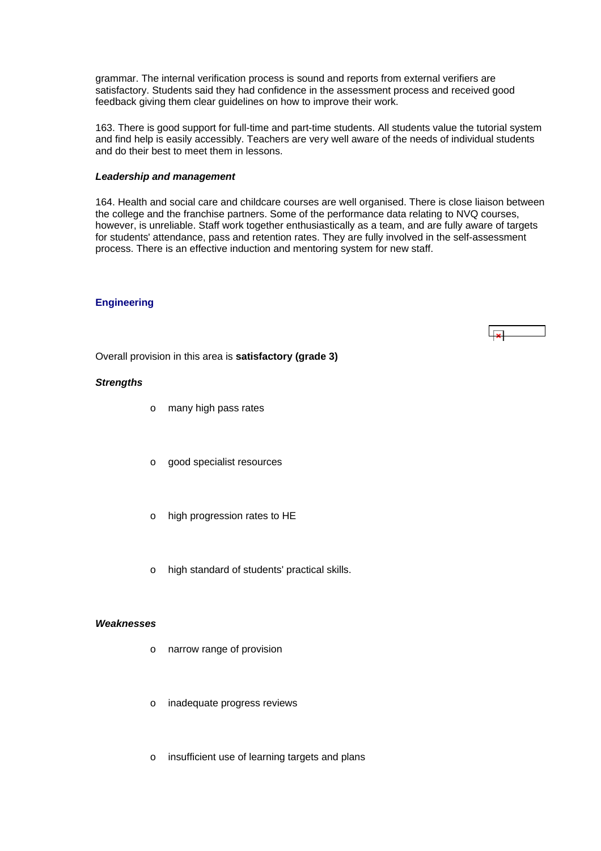<span id="page-38-0"></span>grammar. The internal verification process is sound and reports from external verifiers are satisfactory. Students said they had confidence in the assessment process and received good feedback giving them clear guidelines on how to improve their work.

163. There is good support for full-time and part-time students. All students value the tutorial system and find help is easily accessibly. Teachers are very well aware of the needs of individual students and do their best to meet them in lessons.

#### *Leadership and management*

164. Health and social care and childcare courses are well organised. There is close liaison between the college and the franchise partners. Some of the performance data relating to NVQ courses, however, is unreliable. Staff work together enthusiastically as a team, and are fully aware of targets for students' attendance, pass and retention rates. They are fully involved in the self-assessment process. There is an effective induction and mentoring system for new staff.

#### **Engineering**

Overall provision in this area is **satisfactory (grade 3)**

#### *Strengths*

- o many high pass rates
- o good specialist resources
- o high progression rates to HE
- o high standard of students' practical skills.

#### *Weaknesses*

- o narrow range of provision
- o inadequate progress reviews
- o insufficient use of learning targets and plans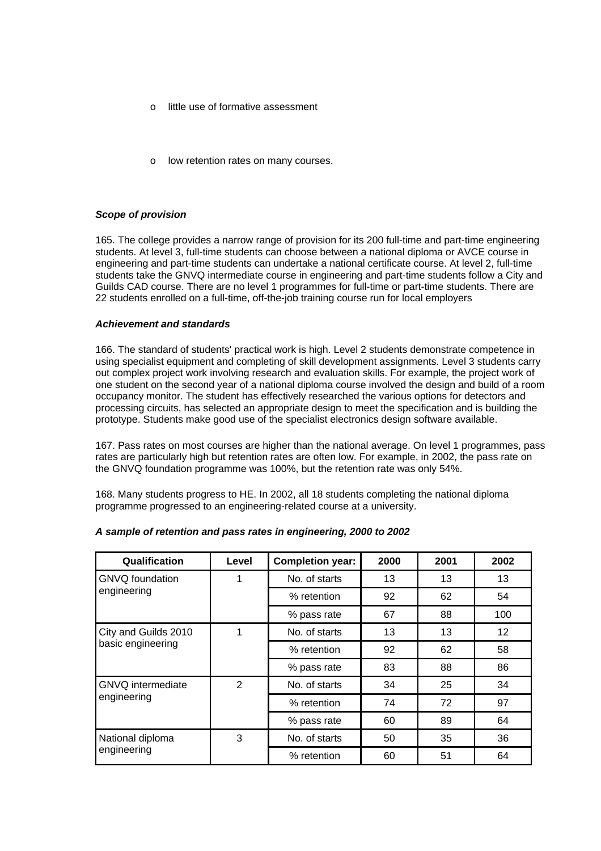- o little use of formative assessment
- low retention rates on many courses.

#### *Scope of provision*

165. The college provides a narrow range of provision for its 200 full-time and part-time engineering students. At level 3, full-time students can choose between a national diploma or AVCE course in engineering and part-time students can undertake a national certificate course. At level 2, full-time students take the GNVQ intermediate course in engineering and part-time students follow a City and Guilds CAD course. There are no level 1 programmes for full-time or part-time students. There are 22 students enrolled on a full-time, off-the-job training course run for local employers

#### *Achievement and standards*

166. The standard of students' practical work is high. Level 2 students demonstrate competence in using specialist equipment and completing of skill development assignments. Level 3 students carry out complex project work involving research and evaluation skills. For example, the project work of one student on the second year of a national diploma course involved the design and build of a room occupancy monitor. The student has effectively researched the various options for detectors and processing circuits, has selected an appropriate design to meet the specification and is building the prototype. Students make good use of the specialist electronics design software available.

167. Pass rates on most courses are higher than the national average. On level 1 programmes, pass rates are particularly high but retention rates are often low. For example, in 2002, the pass rate on the GNVQ foundation programme was 100%, but the retention rate was only 54%.

168. Many students progress to HE. In 2002, all 18 students completing the national diploma programme progressed to an engineering-related course at a university.

| Qualification            | Level | <b>Completion year:</b> | 2000 | 2001 | 2002              |
|--------------------------|-------|-------------------------|------|------|-------------------|
| <b>GNVQ</b> foundation   | 1     | No. of starts           | 13   | 13   | 13                |
| engineering              |       | % retention             | 92   | 62   | 54                |
|                          |       | % pass rate             | 67   | 88   | 100               |
| City and Guilds 2010     | 1     | No. of starts           | 13   | 13   | $12 \overline{ }$ |
| basic engineering        |       | % retention             | 92   | 62   | 58                |
|                          |       | % pass rate             | 83   | 88   | 86                |
| <b>GNVQ</b> intermediate | 2     | No. of starts           | 34   | 25   | 34                |
| engineering              |       | % retention             | 74   | 72   | 97                |
|                          |       | % pass rate             | 60   | 89   | 64                |
| National diploma         | 3     | No. of starts           | 50   | 35   | 36                |
| engineering              |       | % retention             | 60   | 51   | 64                |

## *A sample of retention and pass rates in engineering, 2000 to 2002*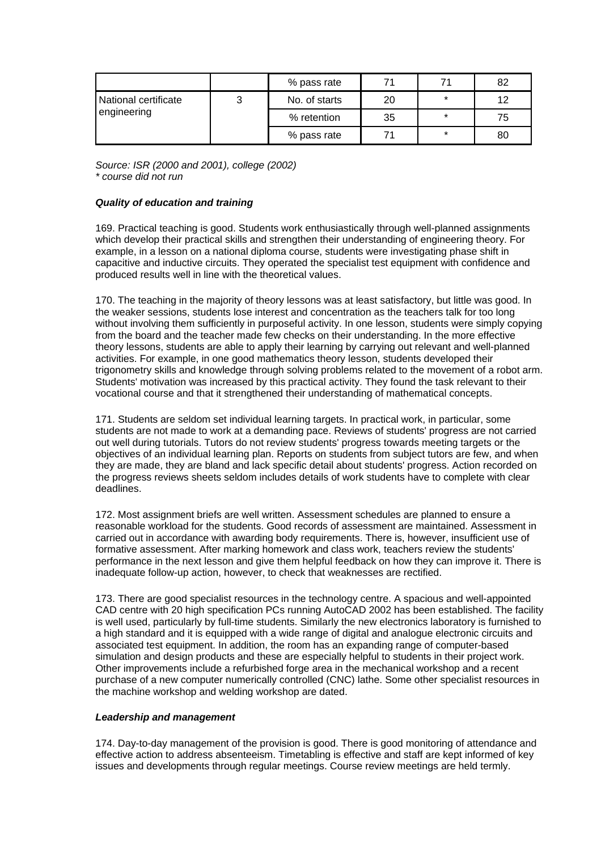|                                     |  | % pass rate   | 71 |         | 82 |
|-------------------------------------|--|---------------|----|---------|----|
| National certificate<br>engineering |  | No. of starts | 20 | $\star$ | 12 |
|                                     |  | % retention   | 35 | *       | 75 |
|                                     |  | % pass rate   | 71 | $\star$ | 80 |

*Source: ISR (2000 and 2001), college (2002) \* course did not run*

## *Quality of education and training*

169. Practical teaching is good. Students work enthusiastically through well-planned assignments which develop their practical skills and strengthen their understanding of engineering theory. For example, in a lesson on a national diploma course, students were investigating phase shift in capacitive and inductive circuits. They operated the specialist test equipment with confidence and produced results well in line with the theoretical values.

170. The teaching in the majority of theory lessons was at least satisfactory, but little was good. In the weaker sessions, students lose interest and concentration as the teachers talk for too long without involving them sufficiently in purposeful activity. In one lesson, students were simply copying from the board and the teacher made few checks on their understanding. In the more effective theory lessons, students are able to apply their learning by carrying out relevant and well-planned activities. For example, in one good mathematics theory lesson, students developed their trigonometry skills and knowledge through solving problems related to the movement of a robot arm. Students' motivation was increased by this practical activity. They found the task relevant to their vocational course and that it strengthened their understanding of mathematical concepts.

171. Students are seldom set individual learning targets. In practical work, in particular, some students are not made to work at a demanding pace. Reviews of students' progress are not carried out well during tutorials. Tutors do not review students' progress towards meeting targets or the objectives of an individual learning plan. Reports on students from subject tutors are few, and when they are made, they are bland and lack specific detail about students' progress. Action recorded on the progress reviews sheets seldom includes details of work students have to complete with clear deadlines.

172. Most assignment briefs are well written. Assessment schedules are planned to ensure a reasonable workload for the students. Good records of assessment are maintained. Assessment in carried out in accordance with awarding body requirements. There is, however, insufficient use of formative assessment. After marking homework and class work, teachers review the students' performance in the next lesson and give them helpful feedback on how they can improve it. There is inadequate follow-up action, however, to check that weaknesses are rectified.

173. There are good specialist resources in the technology centre. A spacious and well-appointed CAD centre with 20 high specification PCs running AutoCAD 2002 has been established. The facility is well used, particularly by full-time students. Similarly the new electronics laboratory is furnished to a high standard and it is equipped with a wide range of digital and analogue electronic circuits and associated test equipment. In addition, the room has an expanding range of computer-based simulation and design products and these are especially helpful to students in their project work. Other improvements include a refurbished forge area in the mechanical workshop and a recent purchase of a new computer numerically controlled (CNC) lathe. Some other specialist resources in the machine workshop and welding workshop are dated.

#### *Leadership and management*

174. Day-to-day management of the provision is good. There is good monitoring of attendance and effective action to address absenteeism. Timetabling is effective and staff are kept informed of key issues and developments through regular meetings. Course review meetings are held termly.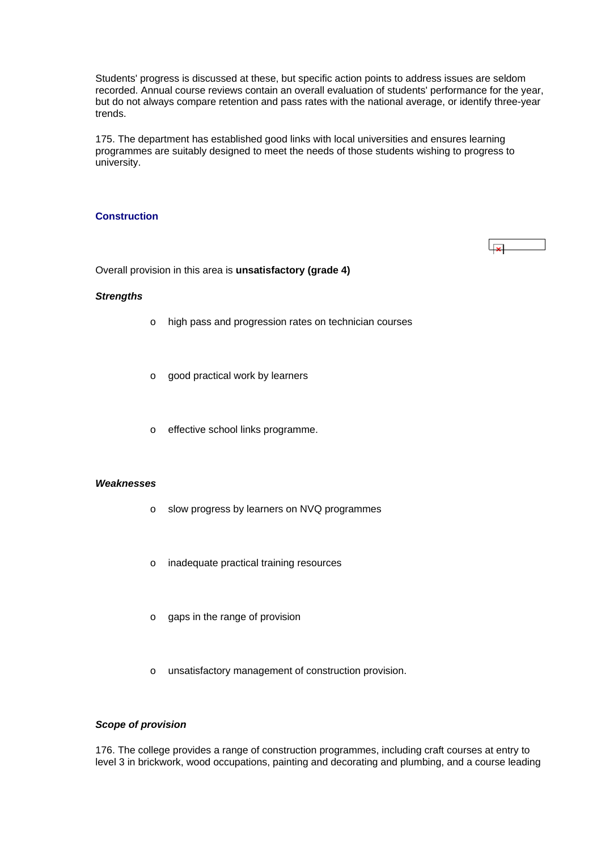<span id="page-41-0"></span>Students' progress is discussed at these, but specific action points to address issues are seldom recorded. Annual course reviews contain an overall evaluation of students' performance for the year, but do not always compare retention and pass rates with the national average, or identify three-year trends.

175. The department has established good links with local universities and ensures learning programmes are suitably designed to meet the needs of those students wishing to progress to university.

#### **Construction**

Overall provision in this area is **unsatisfactory (grade 4)**

## *Strengths*

- o high pass and progression rates on technician courses
- o good practical work by learners
- o effective school links programme.

#### *Weaknesses*

- o slow progress by learners on NVQ programmes
- o inadequate practical training resources
- o gaps in the range of provision
- o unsatisfactory management of construction provision.

## *Scope of provision*

176. The college provides a range of construction programmes, including craft courses at entry to level 3 in brickwork, wood occupations, painting and decorating and plumbing, and a course leading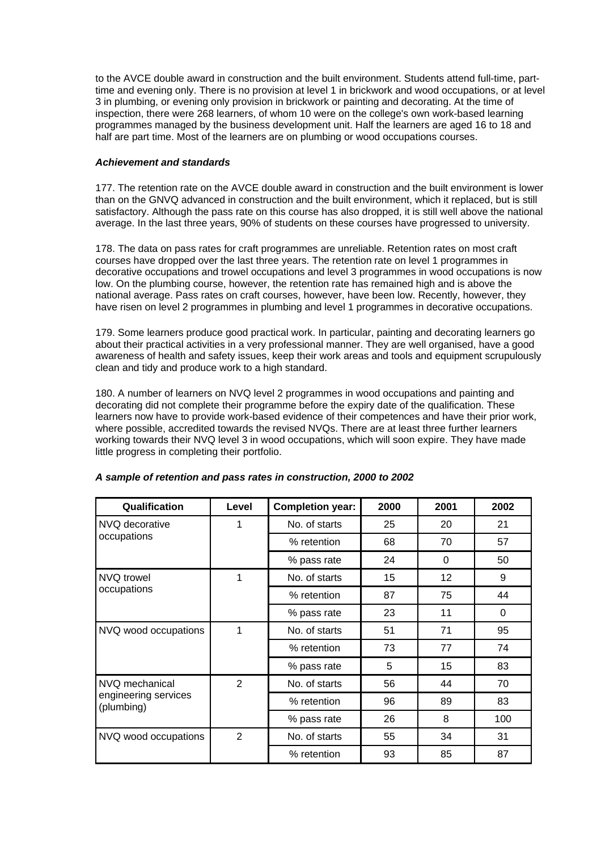to the AVCE double award in construction and the built environment. Students attend full-time, parttime and evening only. There is no provision at level 1 in brickwork and wood occupations, or at level 3 in plumbing, or evening only provision in brickwork or painting and decorating. At the time of inspection, there were 268 learners, of whom 10 were on the college's own work-based learning programmes managed by the business development unit. Half the learners are aged 16 to 18 and half are part time. Most of the learners are on plumbing or wood occupations courses.

## *Achievement and standards*

177. The retention rate on the AVCE double award in construction and the built environment is lower than on the GNVQ advanced in construction and the built environment, which it replaced, but is still satisfactory. Although the pass rate on this course has also dropped, it is still well above the national average. In the last three years, 90% of students on these courses have progressed to university.

178. The data on pass rates for craft programmes are unreliable. Retention rates on most craft courses have dropped over the last three years. The retention rate on level 1 programmes in decorative occupations and trowel occupations and level 3 programmes in wood occupations is now low. On the plumbing course, however, the retention rate has remained high and is above the national average. Pass rates on craft courses, however, have been low. Recently, however, they have risen on level 2 programmes in plumbing and level 1 programmes in decorative occupations.

179. Some learners produce good practical work. In particular, painting and decorating learners go about their practical activities in a very professional manner. They are well organised, have a good awareness of health and safety issues, keep their work areas and tools and equipment scrupulously clean and tidy and produce work to a high standard.

180. A number of learners on NVQ level 2 programmes in wood occupations and painting and decorating did not complete their programme before the expiry date of the qualification. These learners now have to provide work-based evidence of their competences and have their prior work, where possible, accredited towards the revised NVQs. There are at least three further learners working towards their NVQ level 3 in wood occupations, which will soon expire. They have made little progress in completing their portfolio.

| Qualification                      | Level          | <b>Completion year:</b> | 2000 | 2001            | 2002     |
|------------------------------------|----------------|-------------------------|------|-----------------|----------|
| NVQ decorative                     | 1              | No. of starts           | 25   | 20              | 21       |
| occupations                        |                | % retention             | 68   | 70              | 57       |
|                                    |                | % pass rate             | 24   | 0               | 50       |
| NVQ trowel                         | 1              | No. of starts           | 15   | 12 <sup>°</sup> | 9        |
| occupations                        |                | % retention             | 87   | 75              | 44       |
|                                    |                | % pass rate             | 23   | 11              | $\Omega$ |
| NVQ wood occupations               | 1              | No. of starts           | 51   | 71              | 95       |
|                                    |                | % retention             | 73   | 77              | 74       |
|                                    |                | % pass rate             | 5    | 15              | 83       |
| NVQ mechanical                     | $\overline{2}$ | No. of starts           | 56   | 44              | 70       |
| engineering services<br>(plumbing) |                | % retention             | 96   | 89              | 83       |
|                                    |                | % pass rate             | 26   | 8               | 100      |
| NVQ wood occupations               | $\overline{2}$ | No. of starts           | 55   | 34              | 31       |
|                                    |                | % retention             | 93   | 85              | 87       |

## *A sample of retention and pass rates in construction, 2000 to 2002*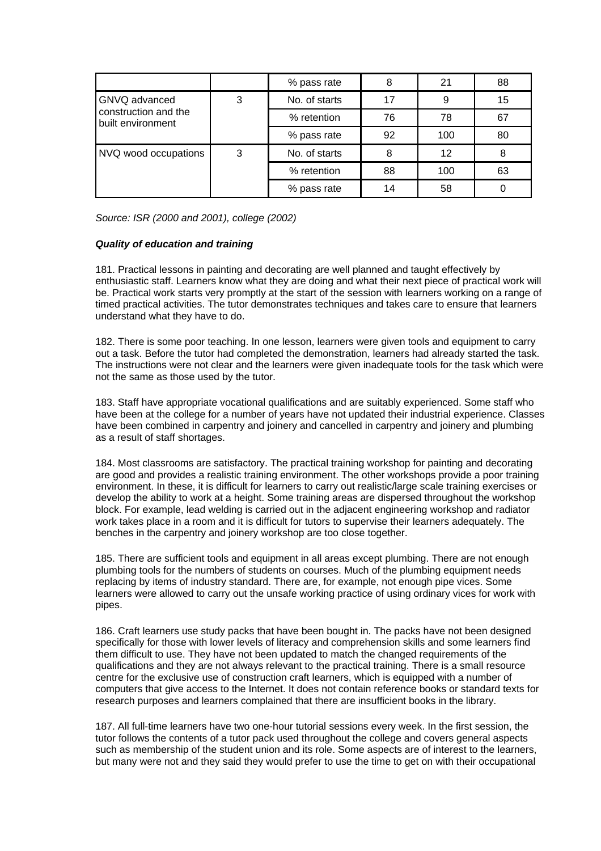|                                           |   | % pass rate   | 8  | 21  | 88 |
|-------------------------------------------|---|---------------|----|-----|----|
| GNVQ advanced                             | 3 | No. of starts | 17 | 9   | 15 |
| construction and the<br>built environment |   | % retention   | 76 | 78  | 67 |
|                                           |   | % pass rate   | 92 | 100 | 80 |
| NVQ wood occupations                      | 3 | No. of starts | 8  | 12  | 8  |
|                                           |   | % retention   | 88 | 100 | 63 |
|                                           |   | % pass rate   | 14 | 58  |    |

*Source: ISR (2000 and 2001), college (2002)*

## *Quality of education and training*

181. Practical lessons in painting and decorating are well planned and taught effectively by enthusiastic staff. Learners know what they are doing and what their next piece of practical work will be. Practical work starts very promptly at the start of the session with learners working on a range of timed practical activities. The tutor demonstrates techniques and takes care to ensure that learners understand what they have to do.

182. There is some poor teaching. In one lesson, learners were given tools and equipment to carry out a task. Before the tutor had completed the demonstration, learners had already started the task. The instructions were not clear and the learners were given inadequate tools for the task which were not the same as those used by the tutor.

183. Staff have appropriate vocational qualifications and are suitably experienced. Some staff who have been at the college for a number of years have not updated their industrial experience. Classes have been combined in carpentry and joinery and cancelled in carpentry and joinery and plumbing as a result of staff shortages.

184. Most classrooms are satisfactory. The practical training workshop for painting and decorating are good and provides a realistic training environment. The other workshops provide a poor training environment. In these, it is difficult for learners to carry out realistic/large scale training exercises or develop the ability to work at a height. Some training areas are dispersed throughout the workshop block. For example, lead welding is carried out in the adjacent engineering workshop and radiator work takes place in a room and it is difficult for tutors to supervise their learners adequately. The benches in the carpentry and joinery workshop are too close together.

185. There are sufficient tools and equipment in all areas except plumbing. There are not enough plumbing tools for the numbers of students on courses. Much of the plumbing equipment needs replacing by items of industry standard. There are, for example, not enough pipe vices. Some learners were allowed to carry out the unsafe working practice of using ordinary vices for work with pipes.

186. Craft learners use study packs that have been bought in. The packs have not been designed specifically for those with lower levels of literacy and comprehension skills and some learners find them difficult to use. They have not been updated to match the changed requirements of the qualifications and they are not always relevant to the practical training. There is a small resource centre for the exclusive use of construction craft learners, which is equipped with a number of computers that give access to the Internet. It does not contain reference books or standard texts for research purposes and learners complained that there are insufficient books in the library.

187. All full-time learners have two one-hour tutorial sessions every week. In the first session, the tutor follows the contents of a tutor pack used throughout the college and covers general aspects such as membership of the student union and its role. Some aspects are of interest to the learners, but many were not and they said they would prefer to use the time to get on with their occupational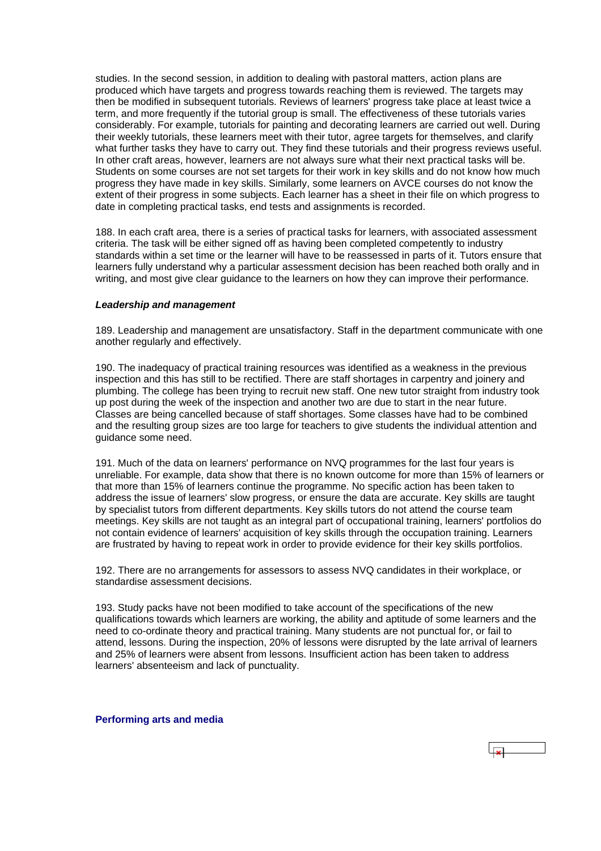<span id="page-44-0"></span>studies. In the second session, in addition to dealing with pastoral matters, action plans are produced which have targets and progress towards reaching them is reviewed. The targets may then be modified in subsequent tutorials. Reviews of learners' progress take place at least twice a term, and more frequently if the tutorial group is small. The effectiveness of these tutorials varies considerably. For example, tutorials for painting and decorating learners are carried out well. During their weekly tutorials, these learners meet with their tutor, agree targets for themselves, and clarify what further tasks they have to carry out. They find these tutorials and their progress reviews useful. In other craft areas, however, learners are not always sure what their next practical tasks will be. Students on some courses are not set targets for their work in key skills and do not know how much progress they have made in key skills. Similarly, some learners on AVCE courses do not know the extent of their progress in some subjects. Each learner has a sheet in their file on which progress to date in completing practical tasks, end tests and assignments is recorded.

188. In each craft area, there is a series of practical tasks for learners, with associated assessment criteria. The task will be either signed off as having been completed competently to industry standards within a set time or the learner will have to be reassessed in parts of it. Tutors ensure that learners fully understand why a particular assessment decision has been reached both orally and in writing, and most give clear guidance to the learners on how they can improve their performance.

#### *Leadership and management*

189. Leadership and management are unsatisfactory. Staff in the department communicate with one another regularly and effectively.

190. The inadequacy of practical training resources was identified as a weakness in the previous inspection and this has still to be rectified. There are staff shortages in carpentry and joinery and plumbing. The college has been trying to recruit new staff. One new tutor straight from industry took up post during the week of the inspection and another two are due to start in the near future. Classes are being cancelled because of staff shortages. Some classes have had to be combined and the resulting group sizes are too large for teachers to give students the individual attention and guidance some need.

191. Much of the data on learners' performance on NVQ programmes for the last four years is unreliable. For example, data show that there is no known outcome for more than 15% of learners or that more than 15% of learners continue the programme. No specific action has been taken to address the issue of learners' slow progress, or ensure the data are accurate. Key skills are taught by specialist tutors from different departments. Key skills tutors do not attend the course team meetings. Key skills are not taught as an integral part of occupational training, learners' portfolios do not contain evidence of learners' acquisition of key skills through the occupation training. Learners are frustrated by having to repeat work in order to provide evidence for their key skills portfolios.

192. There are no arrangements for assessors to assess NVQ candidates in their workplace, or standardise assessment decisions.

193. Study packs have not been modified to take account of the specifications of the new qualifications towards which learners are working, the ability and aptitude of some learners and the need to co-ordinate theory and practical training. Many students are not punctual for, or fail to attend, lessons. During the inspection, 20% of lessons were disrupted by the late arrival of learners and 25% of learners were absent from lessons. Insufficient action has been taken to address learners' absenteeism and lack of punctuality.

**Performing arts and media**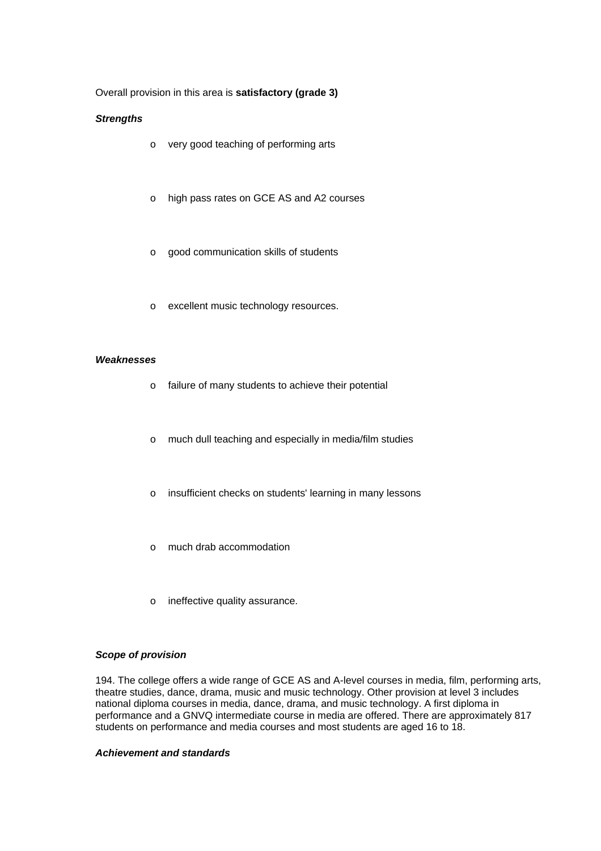## Overall provision in this area is **satisfactory (grade 3)**

#### *Strengths*

- o very good teaching of performing arts
- o high pass rates on GCE AS and A2 courses
- o good communication skills of students
- o excellent music technology resources.

#### *Weaknesses*

- o failure of many students to achieve their potential
- o much dull teaching and especially in media/film studies
- o insufficient checks on students' learning in many lessons
- o much drab accommodation
- o ineffective quality assurance.

#### *Scope of provision*

194. The college offers a wide range of GCE AS and A-level courses in media, film, performing arts, theatre studies, dance, drama, music and music technology. Other provision at level 3 includes national diploma courses in media, dance, drama, and music technology. A first diploma in performance and a GNVQ intermediate course in media are offered. There are approximately 817 students on performance and media courses and most students are aged 16 to 18.

## *Achievement and standards*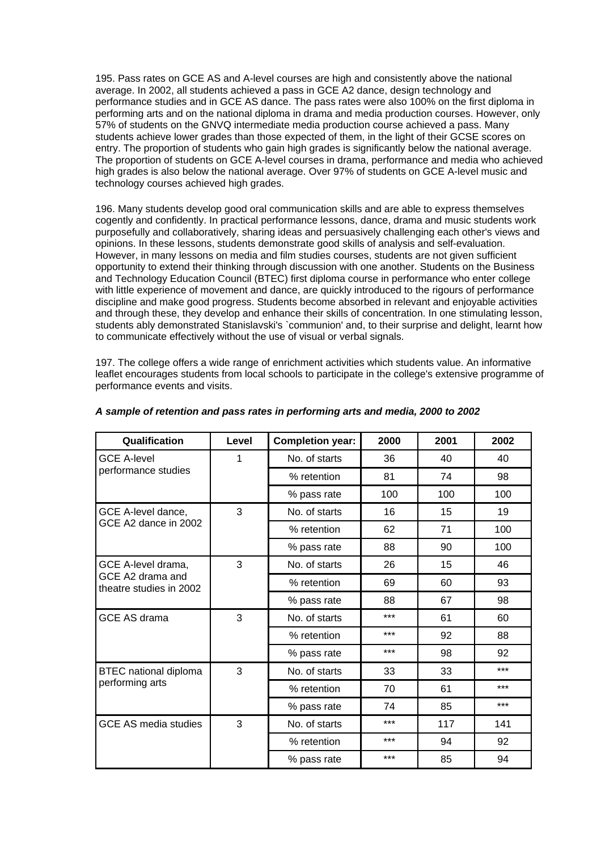195. Pass rates on GCE AS and A-level courses are high and consistently above the national average. In 2002, all students achieved a pass in GCE A2 dance, design technology and performance studies and in GCE AS dance. The pass rates were also 100% on the first diploma in performing arts and on the national diploma in drama and media production courses. However, only 57% of students on the GNVQ intermediate media production course achieved a pass. Many students achieve lower grades than those expected of them, in the light of their GCSE scores on entry. The proportion of students who gain high grades is significantly below the national average. The proportion of students on GCE A-level courses in drama, performance and media who achieved high grades is also below the national average. Over 97% of students on GCE A-level music and technology courses achieved high grades.

196. Many students develop good oral communication skills and are able to express themselves cogently and confidently. In practical performance lessons, dance, drama and music students work purposefully and collaboratively, sharing ideas and persuasively challenging each other's views and opinions. In these lessons, students demonstrate good skills of analysis and self-evaluation. However, in many lessons on media and film studies courses, students are not given sufficient opportunity to extend their thinking through discussion with one another. Students on the Business and Technology Education Council (BTEC) first diploma course in performance who enter college with little experience of movement and dance, are quickly introduced to the rigours of performance discipline and make good progress. Students become absorbed in relevant and enjoyable activities and through these, they develop and enhance their skills of concentration. In one stimulating lesson, students ably demonstrated Stanislavski's `communion' and, to their surprise and delight, learnt how to communicate effectively without the use of visual or verbal signals.

197. The college offers a wide range of enrichment activities which students value. An informative leaflet encourages students from local schools to participate in the college's extensive programme of performance events and visits.

| Qualification                               | Level | <b>Completion year:</b> | 2000 | 2001 | 2002  |
|---------------------------------------------|-------|-------------------------|------|------|-------|
| <b>GCE A-level</b>                          | 1     | No. of starts           | 36   | 40   | 40    |
| performance studies                         |       | % retention             | 81   | 74   | 98    |
|                                             |       | % pass rate             | 100  | 100  | 100   |
| GCE A-level dance,                          | 3     | No. of starts           | 16   | 15   | 19    |
| GCE A2 dance in 2002                        |       | % retention             | 62   | 71   | 100   |
|                                             |       | % pass rate             | 88   | 90   | 100   |
| GCE A-level drama,                          | 3     | No. of starts           | 26   | 15   | 46    |
| GCE A2 drama and<br>theatre studies in 2002 |       | % retention             | 69   | 60   | 93    |
|                                             |       | % pass rate             | 88   | 67   | 98    |
| <b>GCE AS drama</b>                         | 3     | No. of starts           | ***  | 61   | 60    |
|                                             |       | % retention             | ***  | 92   | 88    |
|                                             |       | % pass rate             | ***  | 98   | 92    |
| <b>BTEC</b> national diploma                | 3     | No. of starts           | 33   | 33   | $***$ |
| performing arts                             |       | % retention             | 70   | 61   | $***$ |
|                                             |       | % pass rate             | 74   | 85   | $***$ |
| GCE AS media studies                        | 3     | No. of starts           | ***  | 117  | 141   |
|                                             |       | % retention             | ***  | 94   | 92    |
|                                             |       | % pass rate             | ***  | 85   | 94    |

## *A sample of retention and pass rates in performing arts and media, 2000 to 2002*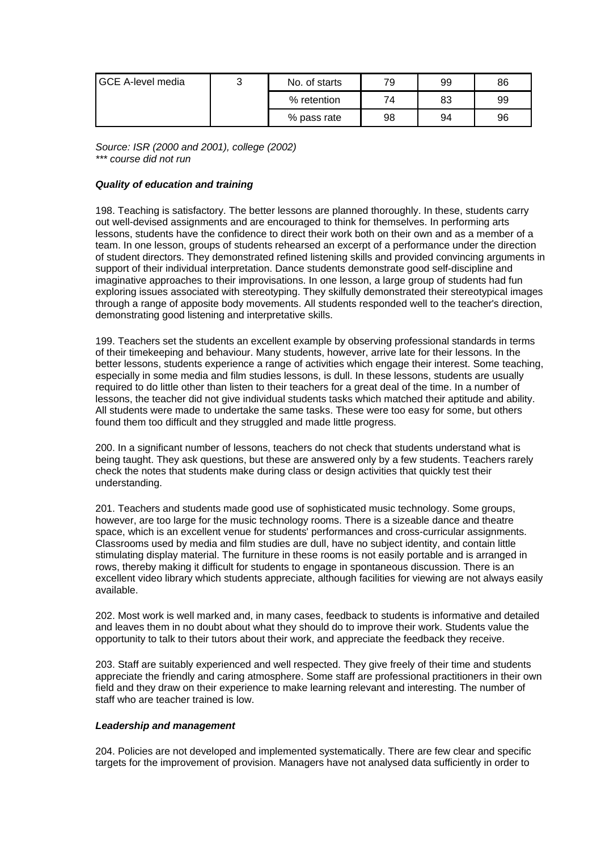| <b>IGCE A-level media</b> | ົ | No. of starts | 79 | 99 | 86 |
|---------------------------|---|---------------|----|----|----|
|                           |   | % retention   | 74 | 83 | 99 |
|                           |   | % pass rate   | 98 | 94 | 96 |

*Source: ISR (2000 and 2001), college (2002) \*\*\* course did not run*

## *Quality of education and training*

198. Teaching is satisfactory. The better lessons are planned thoroughly. In these, students carry out well-devised assignments and are encouraged to think for themselves. In performing arts lessons, students have the confidence to direct their work both on their own and as a member of a team. In one lesson, groups of students rehearsed an excerpt of a performance under the direction of student directors. They demonstrated refined listening skills and provided convincing arguments in support of their individual interpretation. Dance students demonstrate good self-discipline and imaginative approaches to their improvisations. In one lesson, a large group of students had fun exploring issues associated with stereotyping. They skilfully demonstrated their stereotypical images through a range of apposite body movements. All students responded well to the teacher's direction, demonstrating good listening and interpretative skills.

199. Teachers set the students an excellent example by observing professional standards in terms of their timekeeping and behaviour. Many students, however, arrive late for their lessons. In the better lessons, students experience a range of activities which engage their interest. Some teaching, especially in some media and film studies lessons, is dull. In these lessons, students are usually required to do little other than listen to their teachers for a great deal of the time. In a number of lessons, the teacher did not give individual students tasks which matched their aptitude and ability. All students were made to undertake the same tasks. These were too easy for some, but others found them too difficult and they struggled and made little progress.

200. In a significant number of lessons, teachers do not check that students understand what is being taught. They ask questions, but these are answered only by a few students. Teachers rarely check the notes that students make during class or design activities that quickly test their understanding.

201. Teachers and students made good use of sophisticated music technology. Some groups, however, are too large for the music technology rooms. There is a sizeable dance and theatre space, which is an excellent venue for students' performances and cross-curricular assignments. Classrooms used by media and film studies are dull, have no subject identity, and contain little stimulating display material. The furniture in these rooms is not easily portable and is arranged in rows, thereby making it difficult for students to engage in spontaneous discussion. There is an excellent video library which students appreciate, although facilities for viewing are not always easily available.

202. Most work is well marked and, in many cases, feedback to students is informative and detailed and leaves them in no doubt about what they should do to improve their work. Students value the opportunity to talk to their tutors about their work, and appreciate the feedback they receive.

203. Staff are suitably experienced and well respected. They give freely of their time and students appreciate the friendly and caring atmosphere. Some staff are professional practitioners in their own field and they draw on their experience to make learning relevant and interesting. The number of staff who are teacher trained is low.

#### *Leadership and management*

204. Policies are not developed and implemented systematically. There are few clear and specific targets for the improvement of provision. Managers have not analysed data sufficiently in order to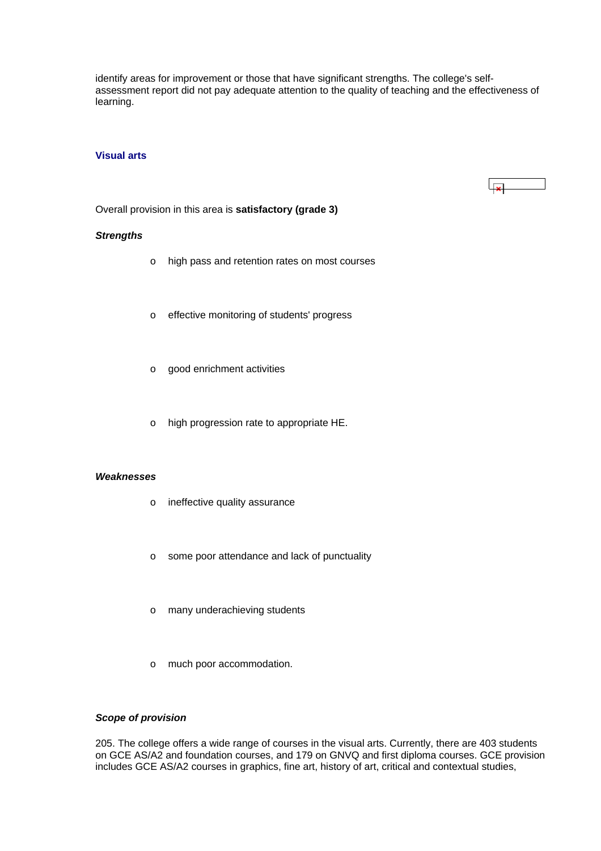<span id="page-48-0"></span>identify areas for improvement or those that have significant strengths. The college's selfassessment report did not pay adequate attention to the quality of teaching and the effectiveness of learning.

#### **Visual arts**



Overall provision in this area is **satisfactory (grade 3)**

#### *Strengths*

- o high pass and retention rates on most courses
- o effective monitoring of students' progress
- o good enrichment activities
- o high progression rate to appropriate HE.

#### *Weaknesses*

- o ineffective quality assurance
- o some poor attendance and lack of punctuality
- o many underachieving students
- o much poor accommodation.

#### *Scope of provision*

205. The college offers a wide range of courses in the visual arts. Currently, there are 403 students on GCE AS/A2 and foundation courses, and 179 on GNVQ and first diploma courses. GCE provision includes GCE AS/A2 courses in graphics, fine art, history of art, critical and contextual studies,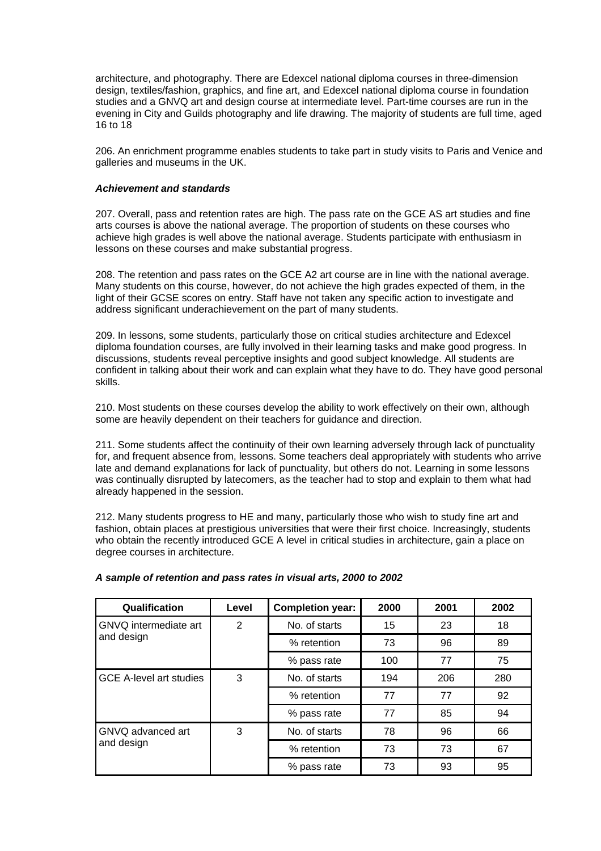architecture, and photography. There are Edexcel national diploma courses in three-dimension design, textiles/fashion, graphics, and fine art, and Edexcel national diploma course in foundation studies and a GNVQ art and design course at intermediate level. Part-time courses are run in the evening in City and Guilds photography and life drawing. The majority of students are full time, aged 16 to 18

206. An enrichment programme enables students to take part in study visits to Paris and Venice and galleries and museums in the UK.

#### *Achievement and standards*

207. Overall, pass and retention rates are high. The pass rate on the GCE AS art studies and fine arts courses is above the national average. The proportion of students on these courses who achieve high grades is well above the national average. Students participate with enthusiasm in lessons on these courses and make substantial progress.

208. The retention and pass rates on the GCE A2 art course are in line with the national average. Many students on this course, however, do not achieve the high grades expected of them, in the light of their GCSE scores on entry. Staff have not taken any specific action to investigate and address significant underachievement on the part of many students.

209. In lessons, some students, particularly those on critical studies architecture and Edexcel diploma foundation courses, are fully involved in their learning tasks and make good progress. In discussions, students reveal perceptive insights and good subject knowledge. All students are confident in talking about their work and can explain what they have to do. They have good personal skills.

210. Most students on these courses develop the ability to work effectively on their own, although some are heavily dependent on their teachers for guidance and direction.

211. Some students affect the continuity of their own learning adversely through lack of punctuality for, and frequent absence from, lessons. Some teachers deal appropriately with students who arrive late and demand explanations for lack of punctuality, but others do not. Learning in some lessons was continually disrupted by latecomers, as the teacher had to stop and explain to them what had already happened in the session.

212. Many students progress to HE and many, particularly those who wish to study fine art and fashion, obtain places at prestigious universities that were their first choice. Increasingly, students who obtain the recently introduced GCE A level in critical studies in architecture, gain a place on degree courses in architecture.

| Qualification                   | Level | <b>Completion year:</b> | 2000 | 2001 | 2002 |
|---------------------------------|-------|-------------------------|------|------|------|
| GNVQ intermediate art           | 2     | No. of starts           | 15   | 23   | 18   |
| and design                      |       | % retention             | 73   | 96   | 89   |
|                                 |       | % pass rate             | 100  | 77   | 75   |
| <b>GCE A-level art studies</b>  | 3     | No. of starts           | 194  | 206  | 280  |
|                                 |       | % retention             | 77   | 77   | 92   |
|                                 |       | % pass rate             | 77   | 85   | 94   |
| GNVQ advanced art<br>and design | 3     | No. of starts           | 78   | 96   | 66   |
|                                 |       | % retention             | 73   | 73   | 67   |
|                                 |       | % pass rate             | 73   | 93   | 95   |

#### *A sample of retention and pass rates in visual arts, 2000 to 2002*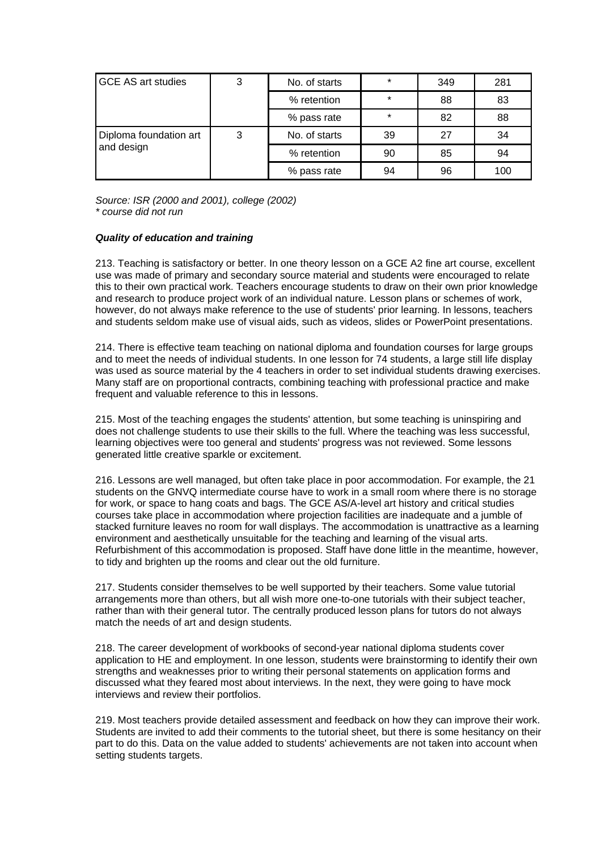| <b>GCE AS art studies</b>            | 3 | No. of starts | $\star$ | 349 | 281 |
|--------------------------------------|---|---------------|---------|-----|-----|
|                                      |   | % retention   | $\star$ | 88  | 83  |
|                                      |   | % pass rate   | $\star$ | 82  | 88  |
| Diploma foundation art<br>and design | 3 | No. of starts | 39      | 27  | 34  |
|                                      |   | % retention   | 90      | 85  | 94  |
|                                      |   | % pass rate   | 94      | 96  | 100 |

*Source: ISR (2000 and 2001), college (2002) \* course did not run*

## *Quality of education and training*

213. Teaching is satisfactory or better. In one theory lesson on a GCE A2 fine art course, excellent use was made of primary and secondary source material and students were encouraged to relate this to their own practical work. Teachers encourage students to draw on their own prior knowledge and research to produce project work of an individual nature. Lesson plans or schemes of work, however, do not always make reference to the use of students' prior learning. In lessons, teachers and students seldom make use of visual aids, such as videos, slides or PowerPoint presentations.

214. There is effective team teaching on national diploma and foundation courses for large groups and to meet the needs of individual students. In one lesson for 74 students, a large still life display was used as source material by the 4 teachers in order to set individual students drawing exercises. Many staff are on proportional contracts, combining teaching with professional practice and make frequent and valuable reference to this in lessons.

215. Most of the teaching engages the students' attention, but some teaching is uninspiring and does not challenge students to use their skills to the full. Where the teaching was less successful, learning objectives were too general and students' progress was not reviewed. Some lessons generated little creative sparkle or excitement.

216. Lessons are well managed, but often take place in poor accommodation. For example, the 21 students on the GNVQ intermediate course have to work in a small room where there is no storage for work, or space to hang coats and bags. The GCE AS/A-level art history and critical studies courses take place in accommodation where projection facilities are inadequate and a jumble of stacked furniture leaves no room for wall displays. The accommodation is unattractive as a learning environment and aesthetically unsuitable for the teaching and learning of the visual arts. Refurbishment of this accommodation is proposed. Staff have done little in the meantime, however, to tidy and brighten up the rooms and clear out the old furniture.

217. Students consider themselves to be well supported by their teachers. Some value tutorial arrangements more than others, but all wish more one-to-one tutorials with their subject teacher, rather than with their general tutor. The centrally produced lesson plans for tutors do not always match the needs of art and design students.

218. The career development of workbooks of second-year national diploma students cover application to HE and employment. In one lesson, students were brainstorming to identify their own strengths and weaknesses prior to writing their personal statements on application forms and discussed what they feared most about interviews. In the next, they were going to have mock interviews and review their portfolios.

219. Most teachers provide detailed assessment and feedback on how they can improve their work. Students are invited to add their comments to the tutorial sheet, but there is some hesitancy on their part to do this. Data on the value added to students' achievements are not taken into account when setting students targets.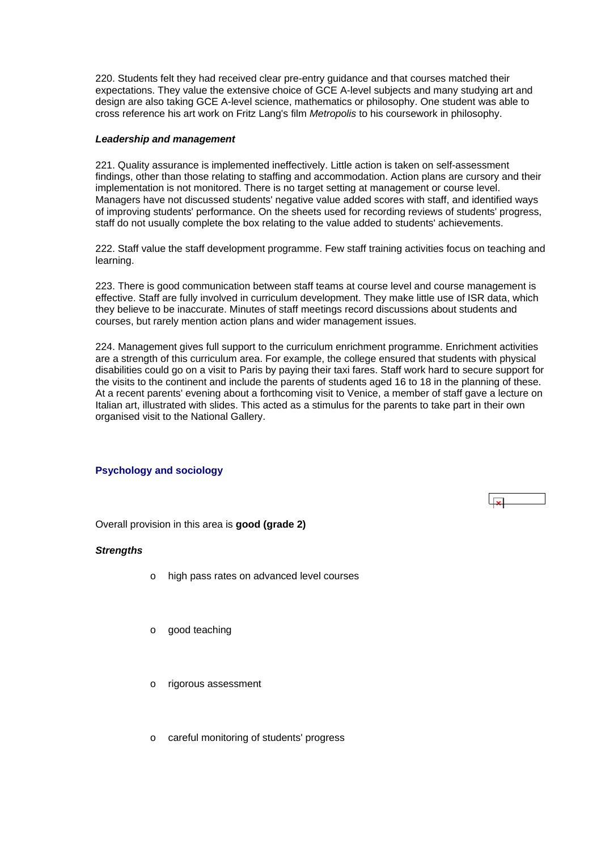<span id="page-51-0"></span>220. Students felt they had received clear pre-entry guidance and that courses matched their expectations. They value the extensive choice of GCE A-level subjects and many studying art and design are also taking GCE A-level science, mathematics or philosophy. One student was able to cross reference his art work on Fritz Lang's film *Metropolis* to his coursework in philosophy.

#### *Leadership and management*

221. Quality assurance is implemented ineffectively. Little action is taken on self-assessment findings, other than those relating to staffing and accommodation. Action plans are cursory and their implementation is not monitored. There is no target setting at management or course level. Managers have not discussed students' negative value added scores with staff, and identified ways of improving students' performance. On the sheets used for recording reviews of students' progress, staff do not usually complete the box relating to the value added to students' achievements.

222. Staff value the staff development programme. Few staff training activities focus on teaching and learning.

223. There is good communication between staff teams at course level and course management is effective. Staff are fully involved in curriculum development. They make little use of ISR data, which they believe to be inaccurate. Minutes of staff meetings record discussions about students and courses, but rarely mention action plans and wider management issues.

224. Management gives full support to the curriculum enrichment programme. Enrichment activities are a strength of this curriculum area. For example, the college ensured that students with physical disabilities could go on a visit to Paris by paying their taxi fares. Staff work hard to secure support for the visits to the continent and include the parents of students aged 16 to 18 in the planning of these. At a recent parents' evening about a forthcoming visit to Venice, a member of staff gave a lecture on Italian art, illustrated with slides. This acted as a stimulus for the parents to take part in their own organised visit to the National Gallery.

## **Psychology and sociology**



Overall provision in this area is **good (grade 2)**

#### *Strengths*

- o high pass rates on advanced level courses
- o good teaching
- o rigorous assessment
- o careful monitoring of students' progress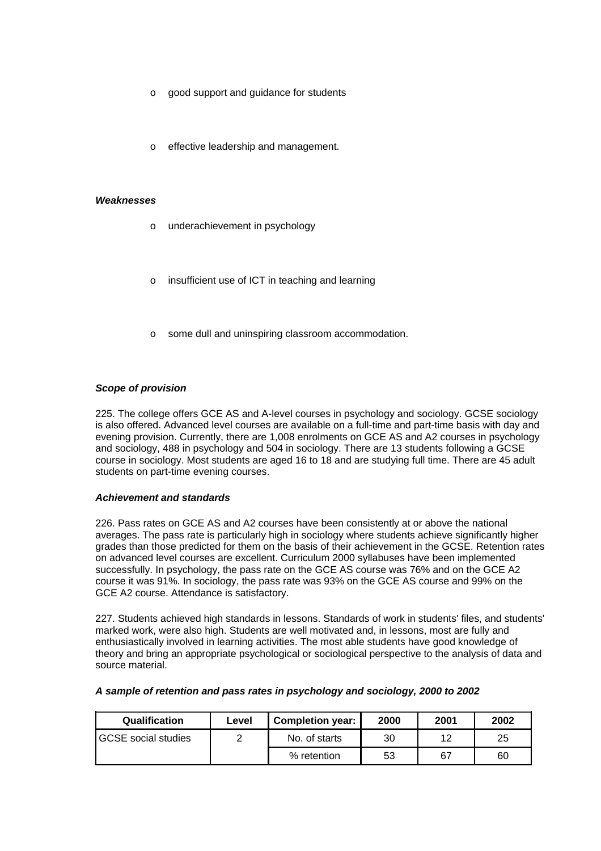- o good support and guidance for students
- o effective leadership and management.

#### *Weaknesses*

- o underachievement in psychology
- insufficient use of ICT in teaching and learning
- some dull and uninspiring classroom accommodation.

## *Scope of provision*

225. The college offers GCE AS and A-level courses in psychology and sociology. GCSE sociology is also offered. Advanced level courses are available on a full-time and part-time basis with day and evening provision. Currently, there are 1,008 enrolments on GCE AS and A2 courses in psychology and sociology, 488 in psychology and 504 in sociology. There are 13 students following a GCSE course in sociology. Most students are aged 16 to 18 and are studying full time. There are 45 adult students on part-time evening courses.

#### *Achievement and standards*

226. Pass rates on GCE AS and A2 courses have been consistently at or above the national averages. The pass rate is particularly high in sociology where students achieve significantly higher grades than those predicted for them on the basis of their achievement in the GCSE. Retention rates on advanced level courses are excellent. Curriculum 2000 syllabuses have been implemented successfully. In psychology, the pass rate on the GCE AS course was 76% and on the GCE A2 course it was 91%. In sociology, the pass rate was 93% on the GCE AS course and 99% on the GCE A2 course. Attendance is satisfactory.

227. Students achieved high standards in lessons. Standards of work in students' files, and students' marked work, were also high. Students are well motivated and, in lessons, most are fully and enthusiastically involved in learning activities. The most able students have good knowledge of theory and bring an appropriate psychological or sociological perspective to the analysis of data and source material.

|  |  | A sample of retention and pass rates in psychology and sociology, 2000 to 2002 |  |
|--|--|--------------------------------------------------------------------------------|--|
|  |  |                                                                                |  |

| Qualification               | Level | <b>Completion year:</b> | 2000 | 2001 | 2002 |
|-----------------------------|-------|-------------------------|------|------|------|
| <b>IGCSE</b> social studies |       | No. of starts           | 30   | 12   | 25   |
|                             |       | % retention             | 53   | 67   | 60   |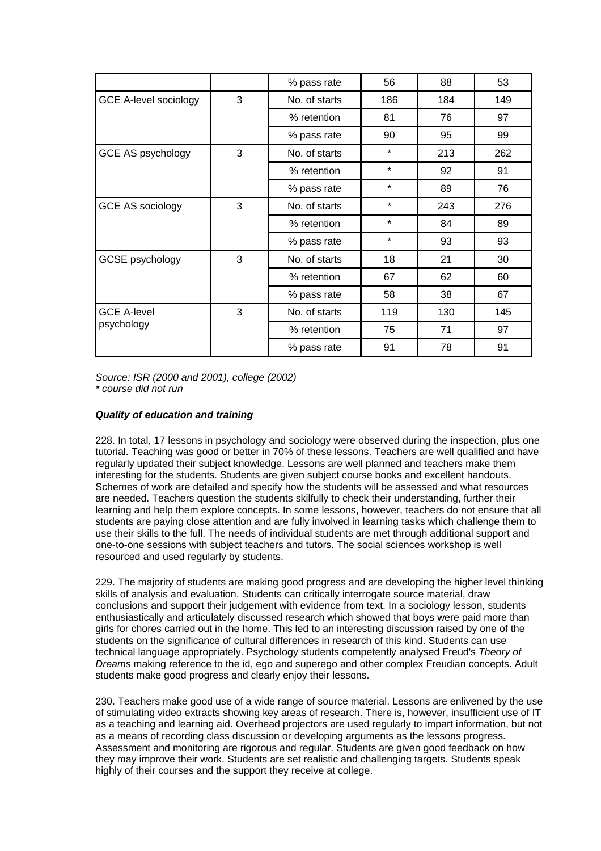|                                  |   | % pass rate   | 56      | 88  | 53  |
|----------------------------------|---|---------------|---------|-----|-----|
| <b>GCE A-level sociology</b>     | 3 | No. of starts | 186     | 184 | 149 |
|                                  |   | % retention   | 81      | 76  | 97  |
|                                  |   | % pass rate   | 90      | 95  | 99  |
| GCE AS psychology                | 3 | No. of starts | $\star$ | 213 | 262 |
|                                  |   | % retention   | $\star$ | 92  | 91  |
|                                  |   | % pass rate   | $\star$ | 89  | 76  |
| <b>GCE AS sociology</b>          | 3 | No. of starts | $\star$ | 243 | 276 |
|                                  |   | % retention   | $\star$ | 84  | 89  |
|                                  |   | % pass rate   | $\star$ | 93  | 93  |
| <b>GCSE</b> psychology           | 3 | No. of starts | 18      | 21  | 30  |
|                                  |   | % retention   | 67      | 62  | 60  |
|                                  |   | % pass rate   | 58      | 38  | 67  |
| <b>GCE A-level</b><br>psychology | 3 | No. of starts | 119     | 130 | 145 |
|                                  |   | % retention   | 75      | 71  | 97  |
|                                  |   | % pass rate   | 91      | 78  | 91  |

*Source: ISR (2000 and 2001), college (2002) \* course did not run*

## *Quality of education and training*

228. In total, 17 lessons in psychology and sociology were observed during the inspection, plus one tutorial. Teaching was good or better in 70% of these lessons. Teachers are well qualified and have regularly updated their subject knowledge. Lessons are well planned and teachers make them interesting for the students. Students are given subject course books and excellent handouts. Schemes of work are detailed and specify how the students will be assessed and what resources are needed. Teachers question the students skilfully to check their understanding, further their learning and help them explore concepts. In some lessons, however, teachers do not ensure that all students are paying close attention and are fully involved in learning tasks which challenge them to use their skills to the full. The needs of individual students are met through additional support and one-to-one sessions with subject teachers and tutors. The social sciences workshop is well resourced and used regularly by students.

229. The majority of students are making good progress and are developing the higher level thinking skills of analysis and evaluation. Students can critically interrogate source material, draw conclusions and support their judgement with evidence from text. In a sociology lesson, students enthusiastically and articulately discussed research which showed that boys were paid more than girls for chores carried out in the home. This led to an interesting discussion raised by one of the students on the significance of cultural differences in research of this kind. Students can use technical language appropriately. Psychology students competently analysed Freud's *Theory of Dreams* making reference to the id, ego and superego and other complex Freudian concepts. Adult students make good progress and clearly enjoy their lessons.

230. Teachers make good use of a wide range of source material. Lessons are enlivened by the use of stimulating video extracts showing key areas of research. There is, however, insufficient use of IT as a teaching and learning aid. Overhead projectors are used regularly to impart information, but not as a means of recording class discussion or developing arguments as the lessons progress. Assessment and monitoring are rigorous and regular. Students are given good feedback on how they may improve their work. Students are set realistic and challenging targets. Students speak highly of their courses and the support they receive at college.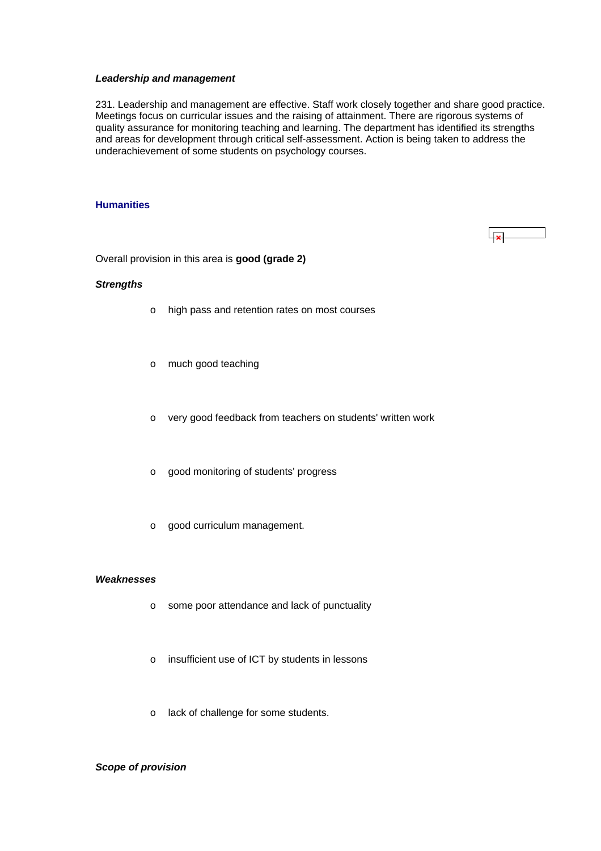#### <span id="page-54-0"></span>*Leadership and management*

231. Leadership and management are effective. Staff work closely together and share good practice. Meetings focus on curricular issues and the raising of attainment. There are rigorous systems of quality assurance for monitoring teaching and learning. The department has identified its strengths and areas for development through critical self-assessment. Action is being taken to address the underachievement of some students on psychology courses.

#### **Humanities**

 $\overline{1}$  x

Overall provision in this area is **good (grade 2)**

#### *Strengths*

- o high pass and retention rates on most courses
- o much good teaching
- o very good feedback from teachers on students' written work
- o good monitoring of students' progress
- o good curriculum management.

#### *Weaknesses*

- o some poor attendance and lack of punctuality
- o insufficient use of ICT by students in lessons
- o lack of challenge for some students.

## *Scope of provision*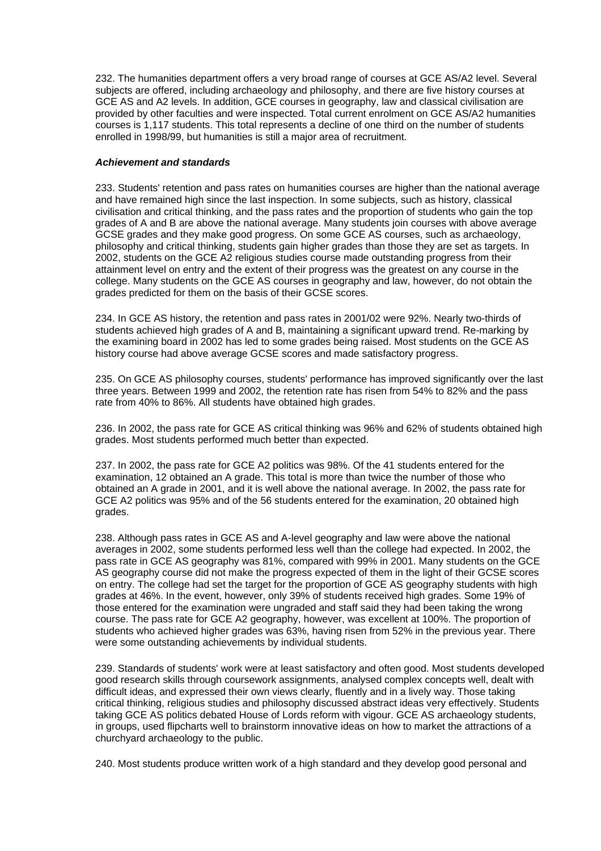232. The humanities department offers a very broad range of courses at GCE AS/A2 level. Several subjects are offered, including archaeology and philosophy, and there are five history courses at GCE AS and A2 levels. In addition, GCE courses in geography, law and classical civilisation are provided by other faculties and were inspected. Total current enrolment on GCE AS/A2 humanities courses is 1,117 students. This total represents a decline of one third on the number of students enrolled in 1998/99, but humanities is still a major area of recruitment.

## *Achievement and standards*

233. Students' retention and pass rates on humanities courses are higher than the national average and have remained high since the last inspection. In some subjects, such as history, classical civilisation and critical thinking, and the pass rates and the proportion of students who gain the top grades of A and B are above the national average. Many students join courses with above average GCSE grades and they make good progress. On some GCE AS courses, such as archaeology, philosophy and critical thinking, students gain higher grades than those they are set as targets. In 2002, students on the GCE A2 religious studies course made outstanding progress from their attainment level on entry and the extent of their progress was the greatest on any course in the college. Many students on the GCE AS courses in geography and law, however, do not obtain the grades predicted for them on the basis of their GCSE scores.

234. In GCE AS history, the retention and pass rates in 2001/02 were 92%. Nearly two-thirds of students achieved high grades of A and B, maintaining a significant upward trend. Re-marking by the examining board in 2002 has led to some grades being raised. Most students on the GCE AS history course had above average GCSE scores and made satisfactory progress.

235. On GCE AS philosophy courses, students' performance has improved significantly over the last three years. Between 1999 and 2002, the retention rate has risen from 54% to 82% and the pass rate from 40% to 86%. All students have obtained high grades.

236. In 2002, the pass rate for GCE AS critical thinking was 96% and 62% of students obtained high grades. Most students performed much better than expected.

237. In 2002, the pass rate for GCE A2 politics was 98%. Of the 41 students entered for the examination, 12 obtained an A grade. This total is more than twice the number of those who obtained an A grade in 2001, and it is well above the national average. In 2002, the pass rate for GCE A2 politics was 95% and of the 56 students entered for the examination, 20 obtained high grades.

238. Although pass rates in GCE AS and A-level geography and law were above the national averages in 2002, some students performed less well than the college had expected. In 2002, the pass rate in GCE AS geography was 81%, compared with 99% in 2001. Many students on the GCE AS geography course did not make the progress expected of them in the light of their GCSE scores on entry. The college had set the target for the proportion of GCE AS geography students with high grades at 46%. In the event, however, only 39% of students received high grades. Some 19% of those entered for the examination were ungraded and staff said they had been taking the wrong course. The pass rate for GCE A2 geography, however, was excellent at 100%. The proportion of students who achieved higher grades was 63%, having risen from 52% in the previous year. There were some outstanding achievements by individual students.

239. Standards of students' work were at least satisfactory and often good. Most students developed good research skills through coursework assignments, analysed complex concepts well, dealt with difficult ideas, and expressed their own views clearly, fluently and in a lively way. Those taking critical thinking, religious studies and philosophy discussed abstract ideas very effectively. Students taking GCE AS politics debated House of Lords reform with vigour. GCE AS archaeology students, in groups, used flipcharts well to brainstorm innovative ideas on how to market the attractions of a churchyard archaeology to the public.

240. Most students produce written work of a high standard and they develop good personal and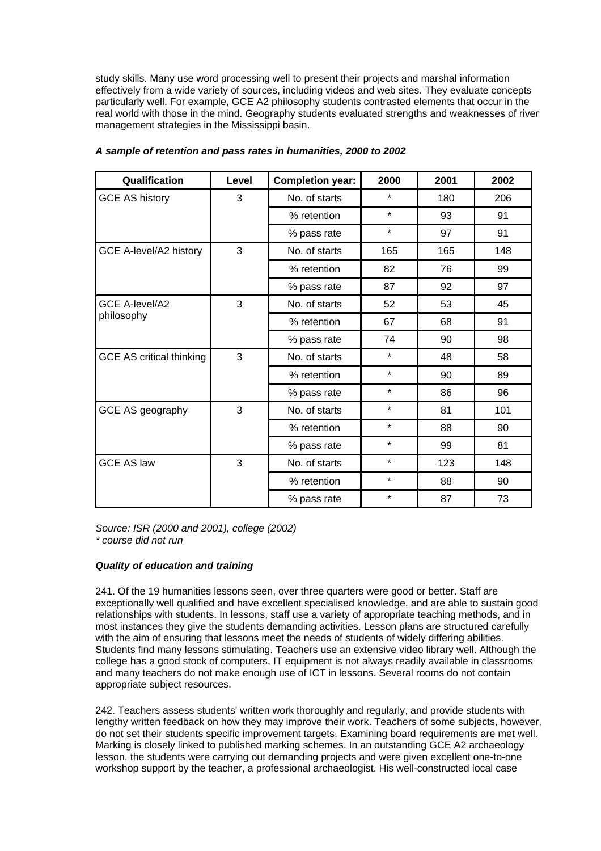study skills. Many use word processing well to present their projects and marshal information effectively from a wide variety of sources, including videos and web sites. They evaluate concepts particularly well. For example, GCE A2 philosophy students contrasted elements that occur in the real world with those in the mind. Geography students evaluated strengths and weaknesses of river management strategies in the Mississippi basin.

| Qualification                   | Level | <b>Completion year:</b> | 2000    | 2001 | 2002 |
|---------------------------------|-------|-------------------------|---------|------|------|
| <b>GCE AS history</b>           | 3     | No. of starts           | $\star$ | 180  | 206  |
|                                 |       | % retention             | $\star$ | 93   | 91   |
|                                 |       | % pass rate             | $\star$ | 97   | 91   |
| GCE A-level/A2 history          | 3     | No. of starts           | 165     | 165  | 148  |
|                                 |       | % retention             | 82      | 76   | 99   |
|                                 |       | % pass rate             | 87      | 92   | 97   |
| <b>GCE A-level/A2</b>           | 3     | No. of starts           | 52      | 53   | 45   |
| philosophy                      |       | % retention             | 67      | 68   | 91   |
|                                 |       | % pass rate             | 74      | 90   | 98   |
| <b>GCE AS critical thinking</b> | 3     | No. of starts           | $\star$ | 48   | 58   |
|                                 |       | % retention             | $\star$ | 90   | 89   |
|                                 |       | % pass rate             | $\star$ | 86   | 96   |
| GCE AS geography                | 3     | No. of starts           | $\star$ | 81   | 101  |
|                                 |       | % retention             | *       | 88   | 90   |
|                                 |       | % pass rate             | $\star$ | 99   | 81   |
| <b>GCE AS law</b>               | 3     | No. of starts           | $\star$ | 123  | 148  |
|                                 |       | % retention             | $\star$ | 88   | 90   |
|                                 |       | % pass rate             | $\star$ | 87   | 73   |

*A sample of retention and pass rates in humanities, 2000 to 2002*

*Source: ISR (2000 and 2001), college (2002) \* course did not run*

## *Quality of education and training*

241. Of the 19 humanities lessons seen, over three quarters were good or better. Staff are exceptionally well qualified and have excellent specialised knowledge, and are able to sustain good relationships with students. In lessons, staff use a variety of appropriate teaching methods, and in most instances they give the students demanding activities. Lesson plans are structured carefully with the aim of ensuring that lessons meet the needs of students of widely differing abilities. Students find many lessons stimulating. Teachers use an extensive video library well. Although the college has a good stock of computers, IT equipment is not always readily available in classrooms and many teachers do not make enough use of ICT in lessons. Several rooms do not contain appropriate subject resources.

242. Teachers assess students' written work thoroughly and regularly, and provide students with lengthy written feedback on how they may improve their work. Teachers of some subjects, however, do not set their students specific improvement targets. Examining board requirements are met well. Marking is closely linked to published marking schemes. In an outstanding GCE A2 archaeology lesson, the students were carrying out demanding projects and were given excellent one-to-one workshop support by the teacher, a professional archaeologist. His well-constructed local case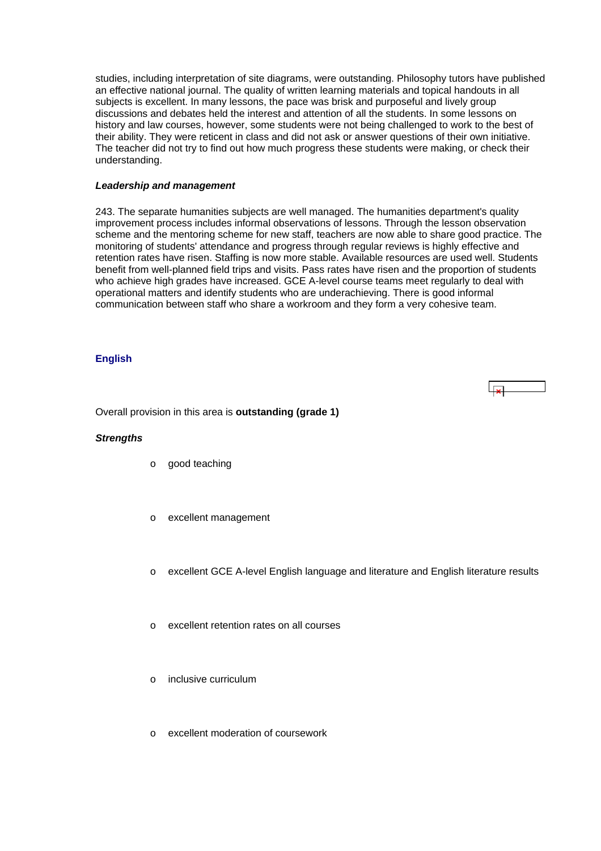<span id="page-57-0"></span>studies, including interpretation of site diagrams, were outstanding. Philosophy tutors have published an effective national journal. The quality of written learning materials and topical handouts in all subjects is excellent. In many lessons, the pace was brisk and purposeful and lively group discussions and debates held the interest and attention of all the students. In some lessons on history and law courses, however, some students were not being challenged to work to the best of their ability. They were reticent in class and did not ask or answer questions of their own initiative. The teacher did not try to find out how much progress these students were making, or check their understanding.

#### *Leadership and management*

243. The separate humanities subjects are well managed. The humanities department's quality improvement process includes informal observations of lessons. Through the lesson observation scheme and the mentoring scheme for new staff, teachers are now able to share good practice. The monitoring of students' attendance and progress through regular reviews is highly effective and retention rates have risen. Staffing is now more stable. Available resources are used well. Students benefit from well-planned field trips and visits. Pass rates have risen and the proportion of students who achieve high grades have increased. GCE A-level course teams meet regularly to deal with operational matters and identify students who are underachieving. There is good informal communication between staff who share a workroom and they form a very cohesive team.

#### **English**

Overall provision in this area is **outstanding (grade 1)**

#### *Strengths*

- o good teaching
- excellent management
- o excellent GCE A-level English language and literature and English literature results

ا جرا

- o excellent retention rates on all courses
- o inclusive curriculum
- o excellent moderation of coursework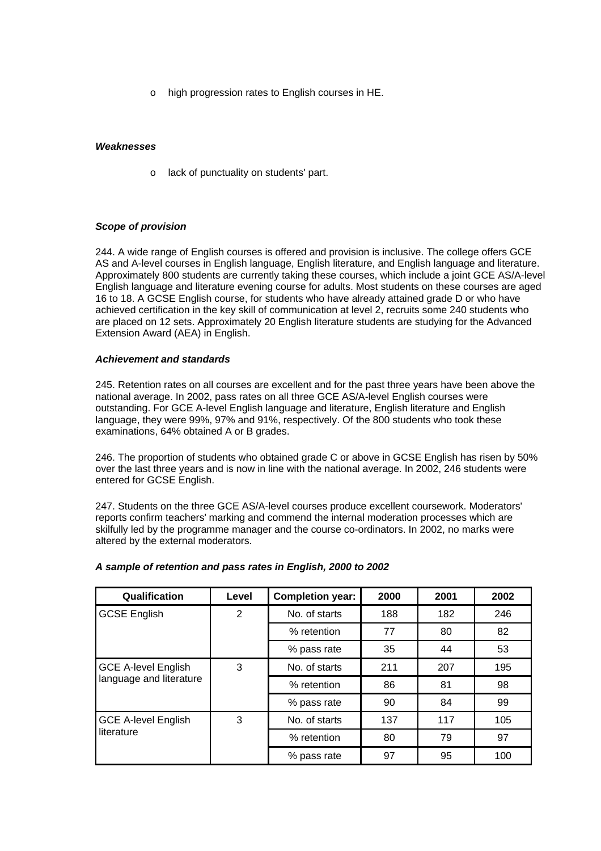o high progression rates to English courses in HE.

#### *Weaknesses*

o lack of punctuality on students' part.

## *Scope of provision*

244. A wide range of English courses is offered and provision is inclusive. The college offers GCE AS and A-level courses in English language, English literature, and English language and literature. Approximately 800 students are currently taking these courses, which include a joint GCE AS/A-level English language and literature evening course for adults. Most students on these courses are aged 16 to 18. A GCSE English course, for students who have already attained grade D or who have achieved certification in the key skill of communication at level 2, recruits some 240 students who are placed on 12 sets. Approximately 20 English literature students are studying for the Advanced Extension Award (AEA) in English.

#### *Achievement and standards*

245. Retention rates on all courses are excellent and for the past three years have been above the national average. In 2002, pass rates on all three GCE AS/A-level English courses were outstanding. For GCE A-level English language and literature, English literature and English language, they were 99%, 97% and 91%, respectively. Of the 800 students who took these examinations, 64% obtained A or B grades.

246. The proportion of students who obtained grade C or above in GCSE English has risen by 50% over the last three years and is now in line with the national average. In 2002, 246 students were entered for GCSE English.

247. Students on the three GCE AS/A-level courses produce excellent coursework. Moderators' reports confirm teachers' marking and commend the internal moderation processes which are skilfully led by the programme manager and the course co-ordinators. In 2002, no marks were altered by the external moderators.

| Qualification                                         | Level | <b>Completion year:</b> | 2000 | 2001 | 2002 |
|-------------------------------------------------------|-------|-------------------------|------|------|------|
| <b>GCSE English</b>                                   | 2     | No. of starts           | 188  | 182  | 246  |
|                                                       |       | % retention             | 77   | 80   | 82   |
|                                                       |       | % pass rate             | 35   | 44   | 53   |
| <b>GCE A-level English</b><br>language and literature | 3     | No. of starts           | 211  | 207  | 195  |
|                                                       |       | % retention             | 86   | 81   | 98   |
|                                                       |       | % pass rate             | 90   | 84   | 99   |
| <b>GCE A-level English</b><br>literature              | 3     | No. of starts           | 137  | 117  | 105  |
|                                                       |       | % retention             | 80   | 79   | 97   |
|                                                       |       | % pass rate             | 97   | 95   | 100  |

## *A sample of retention and pass rates in English, 2000 to 2002*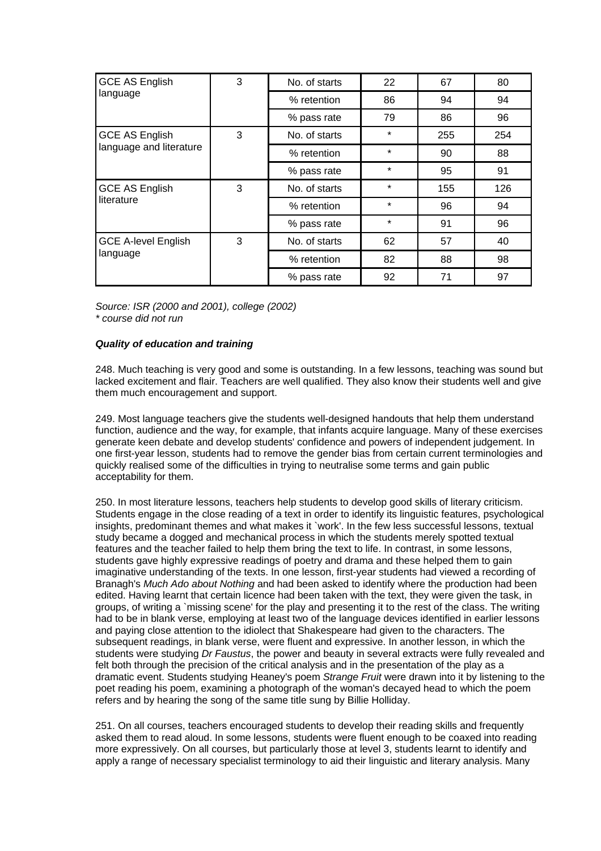| <b>GCE AS English</b>                  | 3 | No. of starts | 22      | 67  | 80  |
|----------------------------------------|---|---------------|---------|-----|-----|
| language                               |   | % retention   | 86      | 94  | 94  |
|                                        |   | % pass rate   | 79      | 86  | 96  |
| <b>GCE AS English</b>                  | 3 | No. of starts | $\star$ | 255 | 254 |
| language and literature                |   | % retention   | $\star$ | 90  | 88  |
|                                        |   | % pass rate   | $\star$ | 95  | 91  |
| <b>GCE AS English</b>                  | 3 | No. of starts | $\star$ | 155 | 126 |
| literature                             |   | % retention   | $\star$ | 96  | 94  |
|                                        |   | % pass rate   | $\star$ | 91  | 96  |
| <b>GCE A-level English</b><br>language | 3 | No. of starts | 62      | 57  | 40  |
|                                        |   | % retention   | 82      | 88  | 98  |
|                                        |   | % pass rate   | 92      | 71  | 97  |

*Source: ISR (2000 and 2001), college (2002) \* course did not run*

## *Quality of education and training*

248. Much teaching is very good and some is outstanding. In a few lessons, teaching was sound but lacked excitement and flair. Teachers are well qualified. They also know their students well and give them much encouragement and support.

249. Most language teachers give the students well-designed handouts that help them understand function, audience and the way, for example, that infants acquire language. Many of these exercises generate keen debate and develop students' confidence and powers of independent judgement. In one first-year lesson, students had to remove the gender bias from certain current terminologies and quickly realised some of the difficulties in trying to neutralise some terms and gain public acceptability for them.

250. In most literature lessons, teachers help students to develop good skills of literary criticism. Students engage in the close reading of a text in order to identify its linguistic features, psychological insights, predominant themes and what makes it `work'. In the few less successful lessons, textual study became a dogged and mechanical process in which the students merely spotted textual features and the teacher failed to help them bring the text to life. In contrast, in some lessons, students gave highly expressive readings of poetry and drama and these helped them to gain imaginative understanding of the texts. In one lesson, first-year students had viewed a recording of Branagh's *Much Ado about Nothing* and had been asked to identify where the production had been edited. Having learnt that certain licence had been taken with the text, they were given the task, in groups, of writing a `missing scene' for the play and presenting it to the rest of the class. The writing had to be in blank verse, employing at least two of the language devices identified in earlier lessons and paying close attention to the idiolect that Shakespeare had given to the characters. The subsequent readings, in blank verse, were fluent and expressive. In another lesson, in which the students were studying *Dr Faustus*, the power and beauty in several extracts were fully revealed and felt both through the precision of the critical analysis and in the presentation of the play as a dramatic event. Students studying Heaney's poem *Strange Fruit* were drawn into it by listening to the poet reading his poem, examining a photograph of the woman's decayed head to which the poem refers and by hearing the song of the same title sung by Billie Holliday.

251. On all courses, teachers encouraged students to develop their reading skills and frequently asked them to read aloud. In some lessons, students were fluent enough to be coaxed into reading more expressively. On all courses, but particularly those at level 3, students learnt to identify and apply a range of necessary specialist terminology to aid their linguistic and literary analysis. Many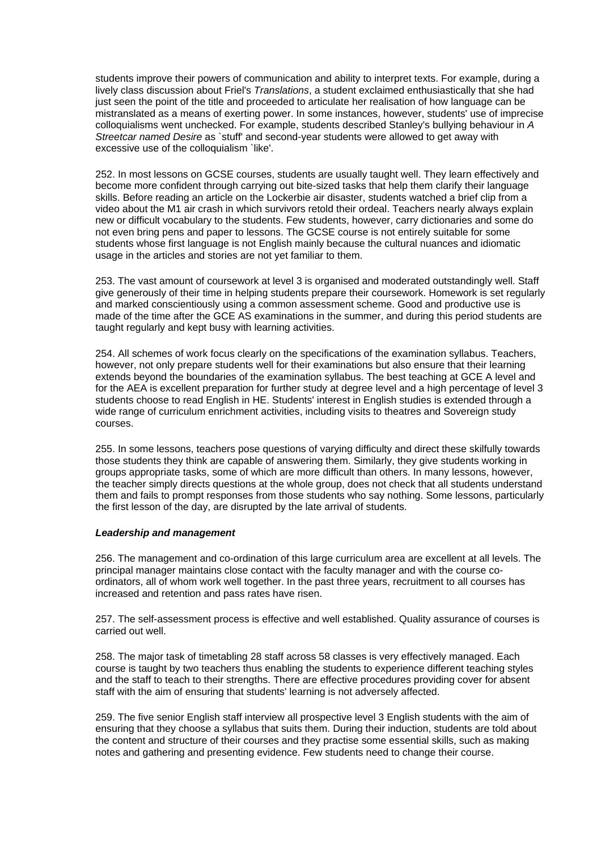students improve their powers of communication and ability to interpret texts. For example, during a lively class discussion about Friel's *Translations*, a student exclaimed enthusiastically that she had just seen the point of the title and proceeded to articulate her realisation of how language can be mistranslated as a means of exerting power. In some instances, however, students' use of imprecise colloquialisms went unchecked. For example, students described Stanley's bullying behaviour in *A Streetcar named Desire* as `stuff' and second-year students were allowed to get away with excessive use of the colloquialism `like'.

252. In most lessons on GCSE courses, students are usually taught well. They learn effectively and become more confident through carrying out bite-sized tasks that help them clarify their language skills. Before reading an article on the Lockerbie air disaster, students watched a brief clip from a video about the M1 air crash in which survivors retold their ordeal. Teachers nearly always explain new or difficult vocabulary to the students. Few students, however, carry dictionaries and some do not even bring pens and paper to lessons. The GCSE course is not entirely suitable for some students whose first language is not English mainly because the cultural nuances and idiomatic usage in the articles and stories are not yet familiar to them.

253. The vast amount of coursework at level 3 is organised and moderated outstandingly well. Staff give generously of their time in helping students prepare their coursework. Homework is set regularly and marked conscientiously using a common assessment scheme. Good and productive use is made of the time after the GCE AS examinations in the summer, and during this period students are taught regularly and kept busy with learning activities.

254. All schemes of work focus clearly on the specifications of the examination syllabus. Teachers, however, not only prepare students well for their examinations but also ensure that their learning extends beyond the boundaries of the examination syllabus. The best teaching at GCE A level and for the AEA is excellent preparation for further study at degree level and a high percentage of level 3 students choose to read English in HE. Students' interest in English studies is extended through a wide range of curriculum enrichment activities, including visits to theatres and Sovereign study courses.

255. In some lessons, teachers pose questions of varying difficulty and direct these skilfully towards those students they think are capable of answering them. Similarly, they give students working in groups appropriate tasks, some of which are more difficult than others. In many lessons, however, the teacher simply directs questions at the whole group, does not check that all students understand them and fails to prompt responses from those students who say nothing. Some lessons, particularly the first lesson of the day, are disrupted by the late arrival of students.

#### *Leadership and management*

256. The management and co-ordination of this large curriculum area are excellent at all levels. The principal manager maintains close contact with the faculty manager and with the course coordinators, all of whom work well together. In the past three years, recruitment to all courses has increased and retention and pass rates have risen.

257. The self-assessment process is effective and well established. Quality assurance of courses is carried out well.

258. The major task of timetabling 28 staff across 58 classes is very effectively managed. Each course is taught by two teachers thus enabling the students to experience different teaching styles and the staff to teach to their strengths. There are effective procedures providing cover for absent staff with the aim of ensuring that students' learning is not adversely affected.

259. The five senior English staff interview all prospective level 3 English students with the aim of ensuring that they choose a syllabus that suits them. During their induction, students are told about the content and structure of their courses and they practise some essential skills, such as making notes and gathering and presenting evidence. Few students need to change their course.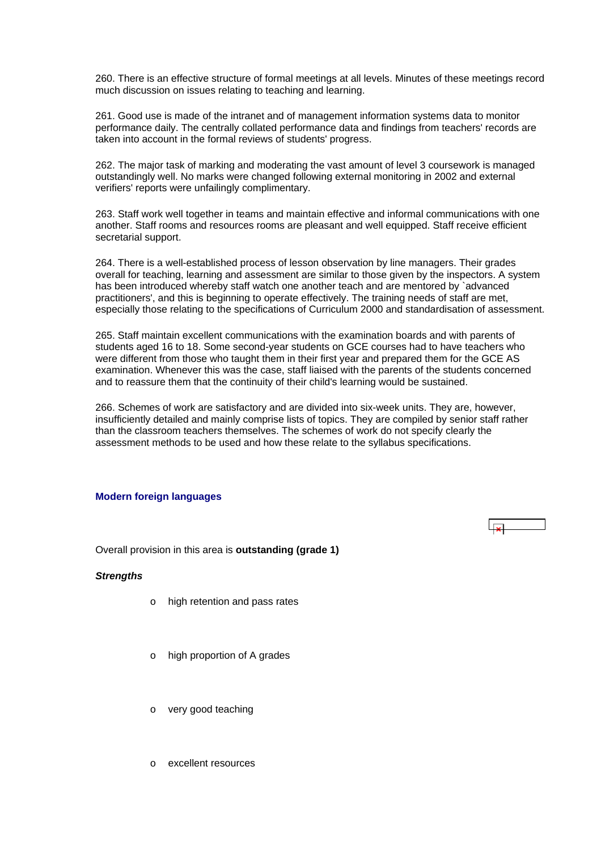<span id="page-61-0"></span>260. There is an effective structure of formal meetings at all levels. Minutes of these meetings record much discussion on issues relating to teaching and learning.

261. Good use is made of the intranet and of management information systems data to monitor performance daily. The centrally collated performance data and findings from teachers' records are taken into account in the formal reviews of students' progress.

262. The major task of marking and moderating the vast amount of level 3 coursework is managed outstandingly well. No marks were changed following external monitoring in 2002 and external verifiers' reports were unfailingly complimentary.

263. Staff work well together in teams and maintain effective and informal communications with one another. Staff rooms and resources rooms are pleasant and well equipped. Staff receive efficient secretarial support.

264. There is a well-established process of lesson observation by line managers. Their grades overall for teaching, learning and assessment are similar to those given by the inspectors. A system has been introduced whereby staff watch one another teach and are mentored by `advanced practitioners', and this is beginning to operate effectively. The training needs of staff are met, especially those relating to the specifications of Curriculum 2000 and standardisation of assessment.

265. Staff maintain excellent communications with the examination boards and with parents of students aged 16 to 18. Some second-year students on GCE courses had to have teachers who were different from those who taught them in their first year and prepared them for the GCE AS examination. Whenever this was the case, staff liaised with the parents of the students concerned and to reassure them that the continuity of their child's learning would be sustained.

266. Schemes of work are satisfactory and are divided into six-week units. They are, however, insufficiently detailed and mainly comprise lists of topics. They are compiled by senior staff rather than the classroom teachers themselves. The schemes of work do not specify clearly the assessment methods to be used and how these relate to the syllabus specifications.

#### **Modern foreign languages**

Overall provision in this area is **outstanding (grade 1)**

#### *Strengths*

- o high retention and pass rates
- o high proportion of A grades
- o very good teaching
- o excellent resources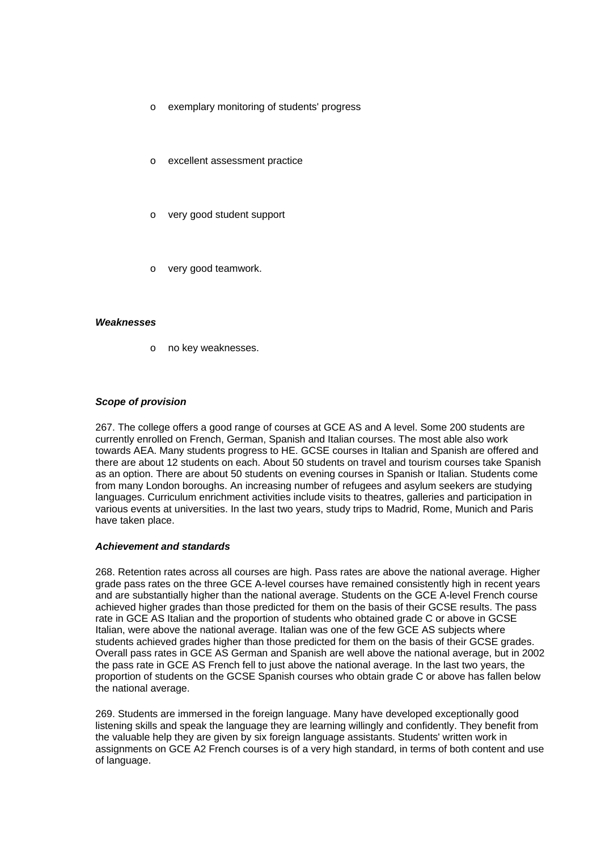- o exemplary monitoring of students' progress
- o excellent assessment practice
- o very good student support
- very good teamwork.

#### *Weaknesses*

o no key weaknesses.

#### *Scope of provision*

267. The college offers a good range of courses at GCE AS and A level. Some 200 students are currently enrolled on French, German, Spanish and Italian courses. The most able also work towards AEA. Many students progress to HE. GCSE courses in Italian and Spanish are offered and there are about 12 students on each. About 50 students on travel and tourism courses take Spanish as an option. There are about 50 students on evening courses in Spanish or Italian. Students come from many London boroughs. An increasing number of refugees and asylum seekers are studying languages. Curriculum enrichment activities include visits to theatres, galleries and participation in various events at universities. In the last two years, study trips to Madrid, Rome, Munich and Paris have taken place.

#### *Achievement and standards*

268. Retention rates across all courses are high. Pass rates are above the national average. Higher grade pass rates on the three GCE A-level courses have remained consistently high in recent years and are substantially higher than the national average. Students on the GCE A-level French course achieved higher grades than those predicted for them on the basis of their GCSE results. The pass rate in GCE AS Italian and the proportion of students who obtained grade C or above in GCSE Italian, were above the national average. Italian was one of the few GCE AS subjects where students achieved grades higher than those predicted for them on the basis of their GCSE grades. Overall pass rates in GCE AS German and Spanish are well above the national average, but in 2002 the pass rate in GCE AS French fell to just above the national average. In the last two years, the proportion of students on the GCSE Spanish courses who obtain grade C or above has fallen below the national average.

269. Students are immersed in the foreign language. Many have developed exceptionally good listening skills and speak the language they are learning willingly and confidently. They benefit from the valuable help they are given by six foreign language assistants. Students' written work in assignments on GCE A2 French courses is of a very high standard, in terms of both content and use of language.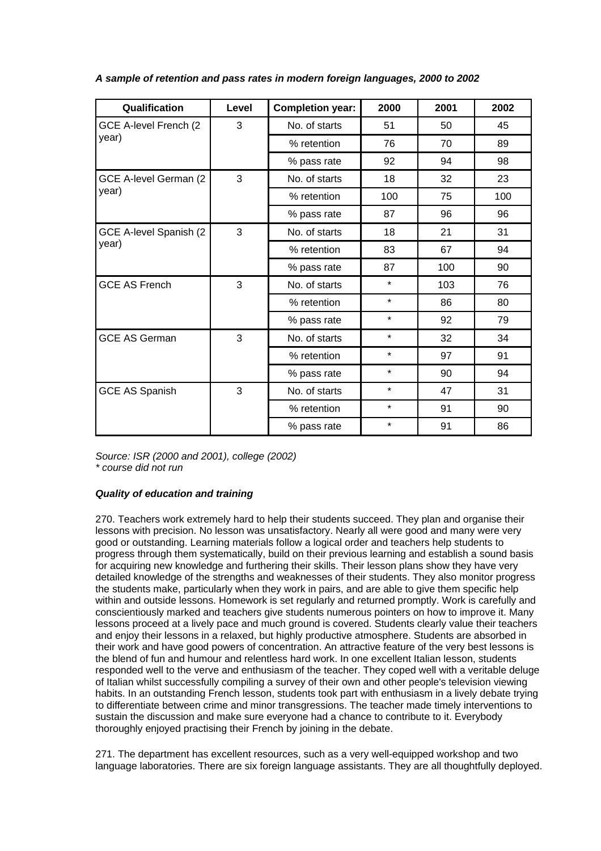| Qualification          | Level | <b>Completion year:</b> | 2000    | 2001 | 2002 |
|------------------------|-------|-------------------------|---------|------|------|
| GCE A-level French (2  | 3     | No. of starts           | 51      | 50   | 45   |
| year)                  |       | % retention             | 76      | 70   | 89   |
|                        |       | % pass rate             | 92      | 94   | 98   |
| GCE A-level German (2  | 3     | No. of starts           | 18      | 32   | 23   |
| year)                  |       | % retention             | 100     | 75   | 100  |
|                        |       | % pass rate             | 87      | 96   | 96   |
| GCE A-level Spanish (2 | 3     | No. of starts           | 18      | 21   | 31   |
| year)                  |       | % retention             | 83      | 67   | 94   |
|                        |       | % pass rate             | 87      | 100  | 90   |
| <b>GCE AS French</b>   | 3     | No. of starts           | $\star$ | 103  | 76   |
|                        |       | % retention             | $\star$ | 86   | 80   |
|                        |       | % pass rate             | $\star$ | 92   | 79   |
| <b>GCE AS German</b>   | 3     | No. of starts           | $\star$ | 32   | 34   |
|                        |       | % retention             | $\star$ | 97   | 91   |
|                        |       | % pass rate             | $\star$ | 90   | 94   |
| <b>GCE AS Spanish</b>  | 3     | No. of starts           | $\star$ | 47   | 31   |
|                        |       | % retention             | $\star$ | 91   | 90   |
|                        |       | % pass rate             | $\star$ | 91   | 86   |

*A sample of retention and pass rates in modern foreign languages, 2000 to 2002*

*Source: ISR (2000 and 2001), college (2002) \* course did not run*

## *Quality of education and training*

270. Teachers work extremely hard to help their students succeed. They plan and organise their lessons with precision. No lesson was unsatisfactory. Nearly all were good and many were very good or outstanding. Learning materials follow a logical order and teachers help students to progress through them systematically, build on their previous learning and establish a sound basis for acquiring new knowledge and furthering their skills. Their lesson plans show they have very detailed knowledge of the strengths and weaknesses of their students. They also monitor progress the students make, particularly when they work in pairs, and are able to give them specific help within and outside lessons. Homework is set regularly and returned promptly. Work is carefully and conscientiously marked and teachers give students numerous pointers on how to improve it. Many lessons proceed at a lively pace and much ground is covered. Students clearly value their teachers and enjoy their lessons in a relaxed, but highly productive atmosphere. Students are absorbed in their work and have good powers of concentration. An attractive feature of the very best lessons is the blend of fun and humour and relentless hard work. In one excellent Italian lesson, students responded well to the verve and enthusiasm of the teacher. They coped well with a veritable deluge of Italian whilst successfully compiling a survey of their own and other people's television viewing habits. In an outstanding French lesson, students took part with enthusiasm in a lively debate trying to differentiate between crime and minor transgressions. The teacher made timely interventions to sustain the discussion and make sure everyone had a chance to contribute to it. Everybody thoroughly enjoyed practising their French by joining in the debate.

271. The department has excellent resources, such as a very well-equipped workshop and two language laboratories. There are six foreign language assistants. They are all thoughtfully deployed.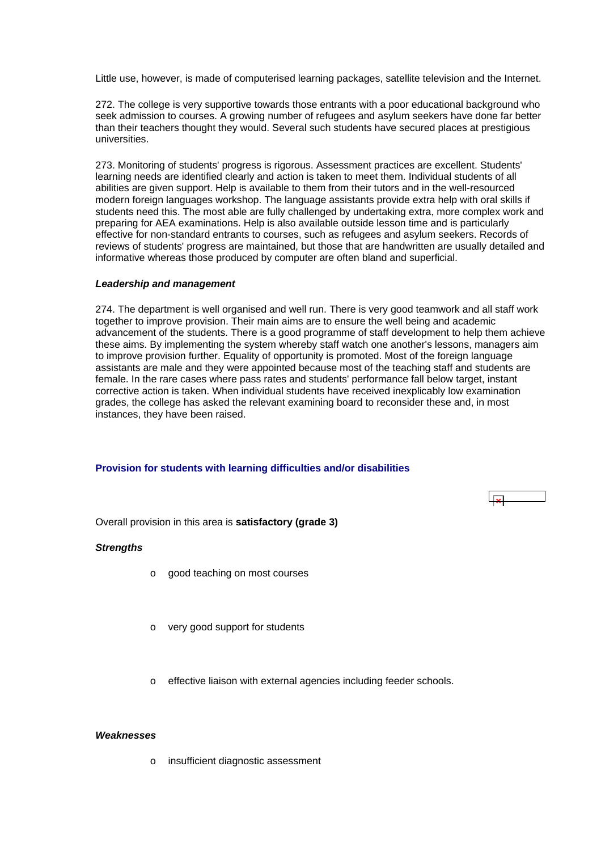<span id="page-64-0"></span>Little use, however, is made of computerised learning packages, satellite television and the Internet.

272. The college is very supportive towards those entrants with a poor educational background who seek admission to courses. A growing number of refugees and asylum seekers have done far better than their teachers thought they would. Several such students have secured places at prestigious universities.

273. Monitoring of students' progress is rigorous. Assessment practices are excellent. Students' learning needs are identified clearly and action is taken to meet them. Individual students of all abilities are given support. Help is available to them from their tutors and in the well-resourced modern foreign languages workshop. The language assistants provide extra help with oral skills if students need this. The most able are fully challenged by undertaking extra, more complex work and preparing for AEA examinations. Help is also available outside lesson time and is particularly effective for non-standard entrants to courses, such as refugees and asylum seekers. Records of reviews of students' progress are maintained, but those that are handwritten are usually detailed and informative whereas those produced by computer are often bland and superficial.

#### *Leadership and management*

274. The department is well organised and well run. There is very good teamwork and all staff work together to improve provision. Their main aims are to ensure the well being and academic advancement of the students. There is a good programme of staff development to help them achieve these aims. By implementing the system whereby staff watch one another's lessons, managers aim to improve provision further. Equality of opportunity is promoted. Most of the foreign language assistants are male and they were appointed because most of the teaching staff and students are female. In the rare cases where pass rates and students' performance fall below target, instant corrective action is taken. When individual students have received inexplicably low examination grades, the college has asked the relevant examining board to reconsider these and, in most instances, they have been raised.

#### **Provision for students with learning difficulties and/or disabilities**

Overall provision in this area is **satisfactory (grade 3)**

#### *Strengths*

- o good teaching on most courses
- o very good support for students
- o effective liaison with external agencies including feeder schools.

#### *Weaknesses*

o insufficient diagnostic assessment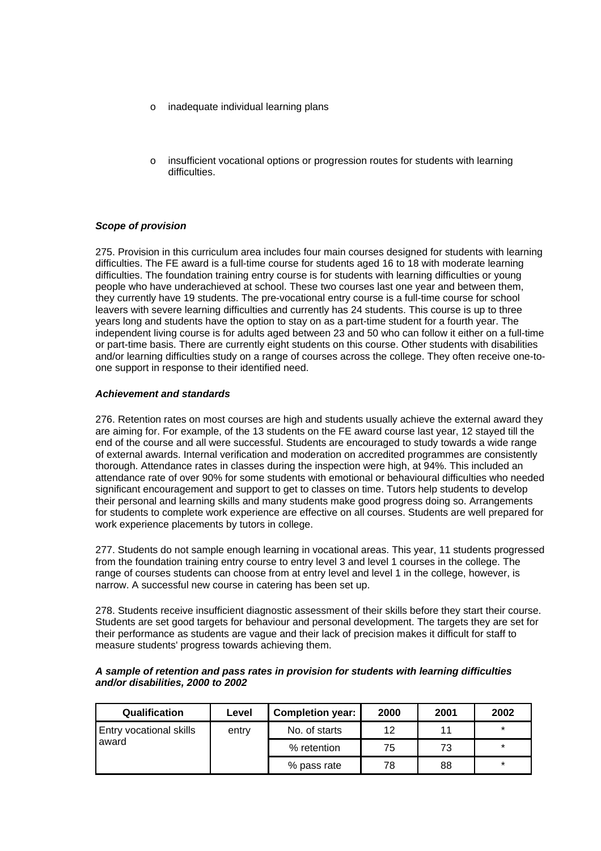- o inadequate individual learning plans
- o insufficient vocational options or progression routes for students with learning difficulties.

#### *Scope of provision*

275. Provision in this curriculum area includes four main courses designed for students with learning difficulties. The FE award is a full-time course for students aged 16 to 18 with moderate learning difficulties. The foundation training entry course is for students with learning difficulties or young people who have underachieved at school. These two courses last one year and between them, they currently have 19 students. The pre-vocational entry course is a full-time course for school leavers with severe learning difficulties and currently has 24 students. This course is up to three years long and students have the option to stay on as a part-time student for a fourth year. The independent living course is for adults aged between 23 and 50 who can follow it either on a full-time or part-time basis. There are currently eight students on this course. Other students with disabilities and/or learning difficulties study on a range of courses across the college. They often receive one-toone support in response to their identified need.

#### *Achievement and standards*

276. Retention rates on most courses are high and students usually achieve the external award they are aiming for. For example, of the 13 students on the FE award course last year, 12 stayed till the end of the course and all were successful. Students are encouraged to study towards a wide range of external awards. Internal verification and moderation on accredited programmes are consistently thorough. Attendance rates in classes during the inspection were high, at 94%. This included an attendance rate of over 90% for some students with emotional or behavioural difficulties who needed significant encouragement and support to get to classes on time. Tutors help students to develop their personal and learning skills and many students make good progress doing so. Arrangements for students to complete work experience are effective on all courses. Students are well prepared for work experience placements by tutors in college.

277. Students do not sample enough learning in vocational areas. This year, 11 students progressed from the foundation training entry course to entry level 3 and level 1 courses in the college. The range of courses students can choose from at entry level and level 1 in the college, however, is narrow. A successful new course in catering has been set up.

278. Students receive insufficient diagnostic assessment of their skills before they start their course. Students are set good targets for behaviour and personal development. The targets they are set for their performance as students are vague and their lack of precision makes it difficult for staff to measure students' progress towards achieving them.

| <b>Qualification</b>                    | Level | <b>Completion year:</b> | 2000 | 2001 | 2002    |
|-----------------------------------------|-------|-------------------------|------|------|---------|
| <b>Entry vocational skills</b><br>award | entry | No. of starts           | 12   | 11   | $\star$ |
|                                         |       | % retention             | 75   | 73   | $\star$ |
|                                         |       | % pass rate             | 78   | 88   | $\star$ |

#### *A sample of retention and pass rates in provision for students with learning difficulties and/or disabilities, 2000 to 2002*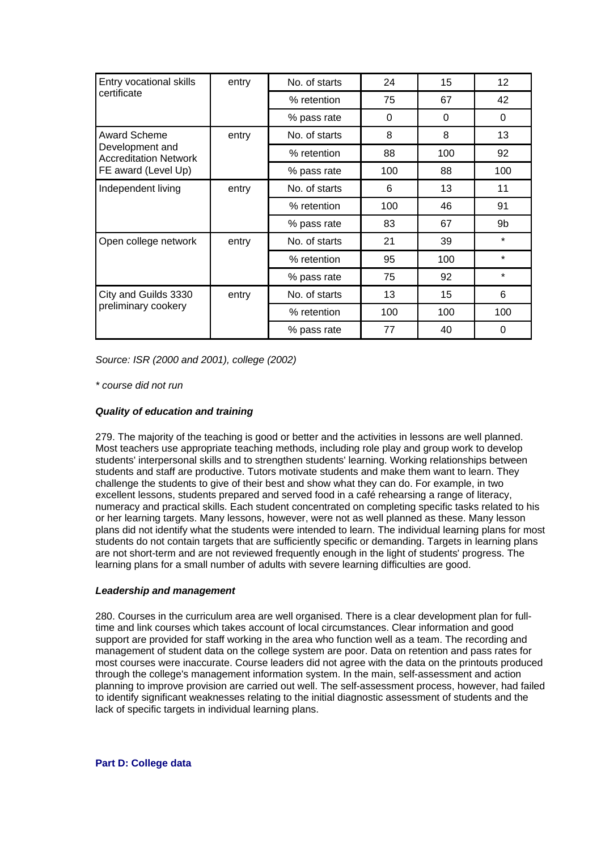<span id="page-66-0"></span>

| Entry vocational skills                         | entry | No. of starts | 24  | 15  | $12 \overline{ }$ |
|-------------------------------------------------|-------|---------------|-----|-----|-------------------|
| certificate                                     |       | % retention   | 75  | 67  | 42                |
|                                                 |       | % pass rate   | 0   | 0   | 0                 |
| <b>Award Scheme</b>                             | entry | No. of starts | 8   | 8   | 13                |
| Development and<br><b>Accreditation Network</b> |       | % retention   | 88  | 100 | 92                |
| FE award (Level Up)                             |       | % pass rate   | 100 | 88  | 100               |
| Independent living                              | entry | No. of starts | 6   | 13  | 11                |
|                                                 |       | % retention   | 100 | 46  | 91                |
|                                                 |       | % pass rate   | 83  | 67  | 9b                |
| Open college network                            | entry | No. of starts | 21  | 39  | $\star$           |
|                                                 |       | % retention   | 95  | 100 | $\star$           |
|                                                 |       | % pass rate   | 75  | 92  | $\star$           |
| City and Guilds 3330                            | entry | No. of starts | 13  | 15  | 6                 |
| preliminary cookery                             |       | % retention   | 100 | 100 | 100               |
|                                                 |       | % pass rate   | 77  | 40  | 0                 |

*Source: ISR (2000 and 2001), college (2002)*

*\* course did not run*

## *Quality of education and training*

279. The majority of the teaching is good or better and the activities in lessons are well planned. Most teachers use appropriate teaching methods, including role play and group work to develop students' interpersonal skills and to strengthen students' learning. Working relationships between students and staff are productive. Tutors motivate students and make them want to learn. They challenge the students to give of their best and show what they can do. For example, in two excellent lessons, students prepared and served food in a café rehearsing a range of literacy, numeracy and practical skills. Each student concentrated on completing specific tasks related to his or her learning targets. Many lessons, however, were not as well planned as these. Many lesson plans did not identify what the students were intended to learn. The individual learning plans for most students do not contain targets that are sufficiently specific or demanding. Targets in learning plans are not short-term and are not reviewed frequently enough in the light of students' progress. The learning plans for a small number of adults with severe learning difficulties are good.

## *Leadership and management*

280. Courses in the curriculum area are well organised. There is a clear development plan for fulltime and link courses which takes account of local circumstances. Clear information and good support are provided for staff working in the area who function well as a team. The recording and management of student data on the college system are poor. Data on retention and pass rates for most courses were inaccurate. Course leaders did not agree with the data on the printouts produced through the college's management information system. In the main, self-assessment and action planning to improve provision are carried out well. The self-assessment process, however, had failed to identify significant weaknesses relating to the initial diagnostic assessment of students and the lack of specific targets in individual learning plans.

**Part D: College data**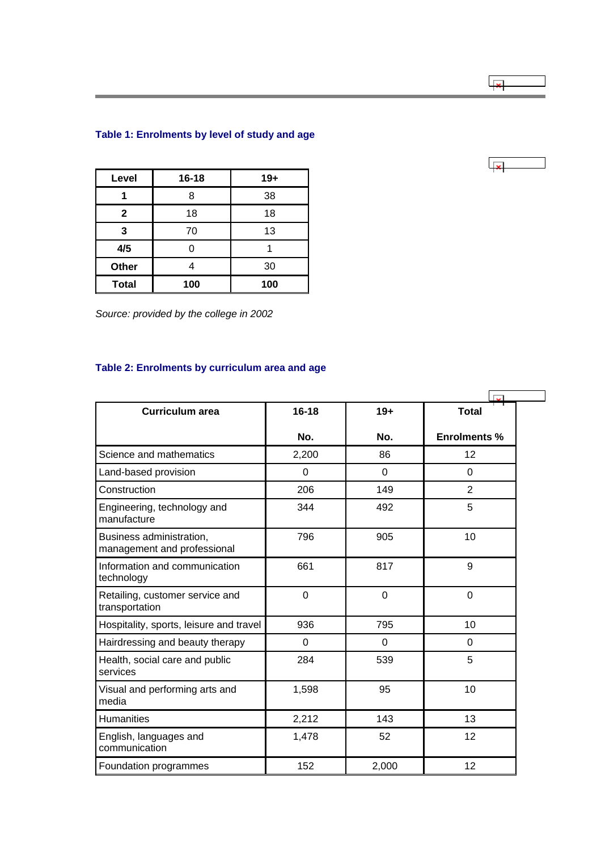# <span id="page-67-0"></span>**Table 1: Enrolments by level of study and age**

| Level        | $16 - 18$ | $19+$ |  |
|--------------|-----------|-------|--|
|              | 8         | 38    |  |
| $\mathbf{2}$ | 18        | 18    |  |
| 3            | 70        | 13    |  |
| 4/5          | 0         |       |  |
| Other        |           | 30    |  |
| <b>Total</b> | 100       | 100   |  |

*Source: provided by the college in 2002*

# **Table 2: Enrolments by curriculum area and age**

| <b>Curriculum area</b>                                  | $16 - 18$ | $19+$ | Total               |
|---------------------------------------------------------|-----------|-------|---------------------|
|                                                         | No.       | No.   | <b>Enrolments %</b> |
| Science and mathematics                                 | 2,200     | 86    | 12                  |
| Land-based provision                                    | 0         | 0     | 0                   |
| Construction                                            | 206       | 149   | $\overline{2}$      |
| Engineering, technology and<br>manufacture              | 344       | 492   | 5                   |
| Business administration,<br>management and professional | 796       | 905   | 10                  |
| Information and communication<br>technology             | 661       | 817   | 9                   |
| Retailing, customer service and<br>transportation       | 0         | 0     | 0                   |
| Hospitality, sports, leisure and travel                 | 936       | 795   | 10                  |
| Hairdressing and beauty therapy                         | 0         | 0     | 0                   |
| Health, social care and public<br>services              | 284       | 539   | 5                   |
| Visual and performing arts and<br>media                 | 1,598     | 95    | 10                  |
| <b>Humanities</b>                                       | 2,212     | 143   | 13                  |
| English, languages and<br>communication                 | 1,478     | 52    | 12                  |
| Foundation programmes                                   | 152       | 2,000 | 12                  |

 $\overline{1}$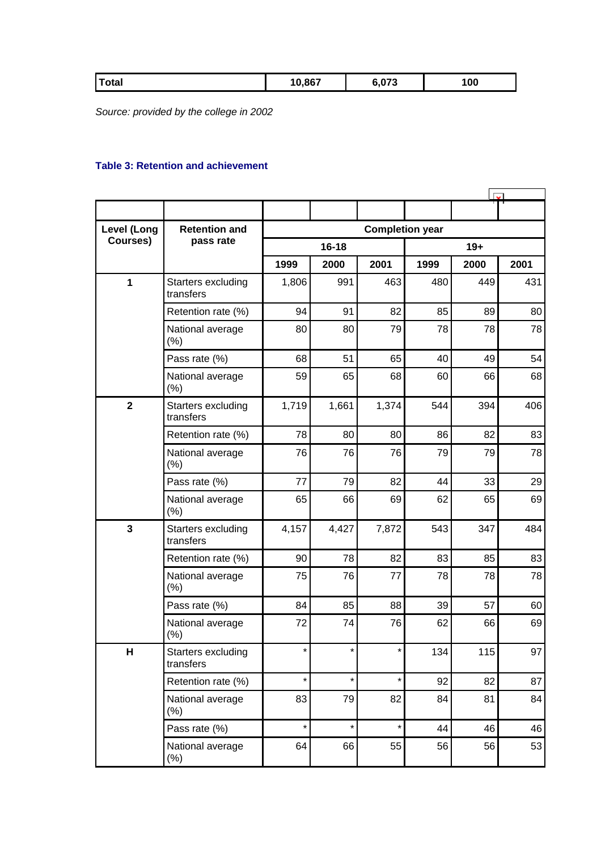<span id="page-68-0"></span>

| J,867<br>.073,<br>100<br>Total |  |
|--------------------------------|--|
|--------------------------------|--|

*Source: provided by the college in 2002*

## **Table 3: Retention and achievement**

| <b>Level (Long</b> | <b>Completion year</b><br><b>Retention and</b> |           |         |         |       |      |      |
|--------------------|------------------------------------------------|-----------|---------|---------|-------|------|------|
| Courses)           | pass rate                                      | $16 - 18$ |         |         | $19+$ |      |      |
|                    |                                                | 1999      | 2000    | 2001    | 1999  | 2000 | 2001 |
| $\mathbf{1}$       | Starters excluding<br>transfers                | 1,806     | 991     | 463     | 480   | 449  | 431  |
|                    | Retention rate (%)                             | 94        | 91      | 82      | 85    | 89   | 80   |
|                    | National average<br>(%)                        | 80        | 80      | 79      | 78    | 78   | 78   |
|                    | Pass rate (%)                                  | 68        | 51      | 65      | 40    | 49   | 54   |
|                    | National average<br>(%)                        | 59        | 65      | 68      | 60    | 66   | 68   |
| $\mathbf{2}$       | Starters excluding<br>transfers                | 1,719     | 1,661   | 1,374   | 544   | 394  | 406  |
|                    | Retention rate (%)                             | 78        | 80      | 80      | 86    | 82   | 83   |
|                    | National average<br>(% )                       | 76        | 76      | 76      | 79    | 79   | 78   |
|                    | Pass rate (%)                                  | 77        | 79      | 82      | 44    | 33   | 29   |
|                    | National average<br>(% )                       | 65        | 66      | 69      | 62    | 65   | 69   |
| 3                  | Starters excluding<br>transfers                | 4,157     | 4,427   | 7,872   | 543   | 347  | 484  |
|                    | Retention rate (%)                             | 90        | 78      | 82      | 83    | 85   | 83   |
|                    | National average<br>(%)                        | 75        | 76      | 77      | 78    | 78   | 78   |
|                    | Pass rate (%)                                  | 84        | 85      | 88      | 39    | 57   | 60   |
|                    | National average<br>(% )                       | 72        | 74      | 76      | 62    | 66   | 69   |
| н                  | Starters excluding<br>transfers                | *         | $\star$ | *       | 134   | 115  | 97   |
|                    | Retention rate (%)                             | $\star$   | $\star$ | $\star$ | 92    | 82   | 87   |
|                    | National average<br>(% )                       | 83        | 79      | 82      | 84    | 81   | 84   |
|                    | Pass rate (%)                                  | $\star$   | $\star$ | $\star$ | 44    | 46   | 46   |
|                    | National average<br>(% )                       | 64        | 66      | 55      | 56    | 56   | 53   |